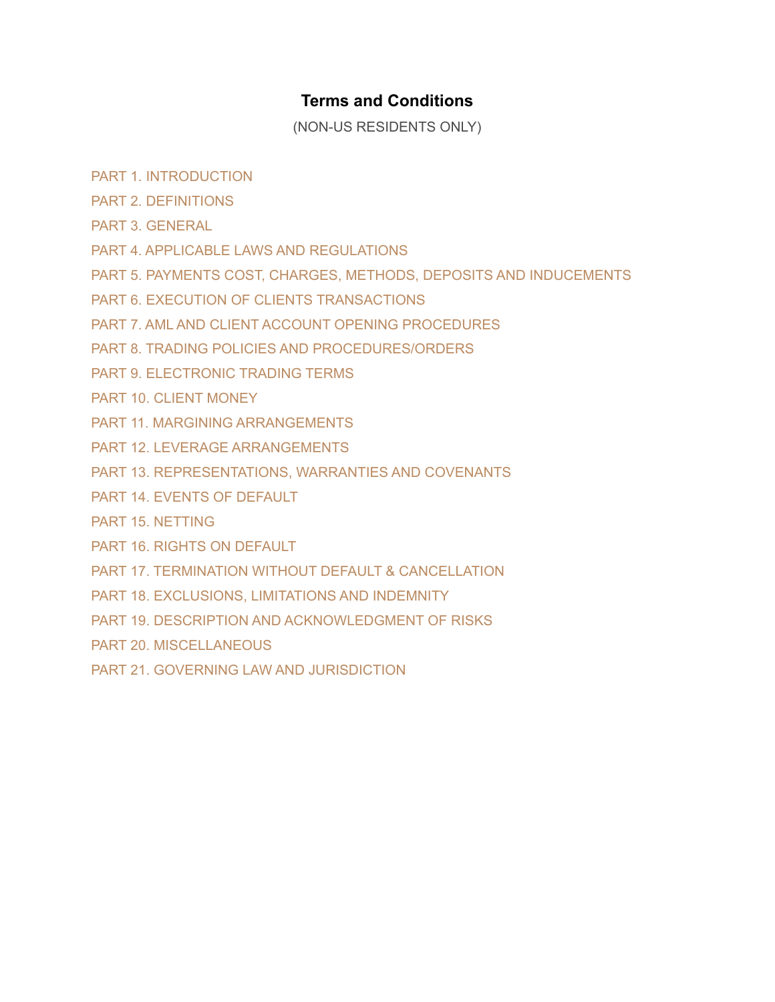# **Terms and Conditions**

(NON-US RESIDENTS ONLY)

- PART 1. [INTROD](https://capital.com/terms-and-conditions#part_1)UCTION
- PART 2. [DEFINITIONS](https://capital.com/terms-and-conditions#part_2)
- PART 3. [GENERAL](https://capital.com/terms-and-conditions#part_3)
- PART 4. APPLICABLE LAWS AND [REGULATIONS](https://capital.com/terms-and-conditions#part_4)
- PART 5. PAYMENTS COST, CHARGES, METHODS, DEPOSITS AND [INDUCEMENTS](https://capital.com/terms-and-conditions#part_5)
- PART 6. EXECUTION OF CLIENTS [TRANSACTIONS](https://capital.com/terms-and-conditions#part_6)
- PART 7. AML AND CLIENT ACCOUNT OPENING [PROCEDURES](https://capital.com/terms-and-conditions#part_7)
- PART 8. TRADING POLICIES AND [PROCEDURES/ORDERS](https://capital.com/terms-and-conditions#part_8)
- PART 9. [ELECTRONIC](https://capital.com/terms-and-conditions#part_9) TRADING TERMS
- PART 10. CLIENT [MONEY](https://capital.com/terms-and-conditions#part_10)
- PART 11. MARGINING [ARRANGEMENTS](https://capital.com/terms-and-conditions#part_11)
- PART 12. LEVERAGE [ARRANGEMENTS](https://capital.com/terms-and-conditions#part_12)
- PART 13. [REPRESENTATIONS,](https://capital.com/terms-and-conditions#part_13) WARRANTIES AND COVENANTS
- PART 14. EVENTS OF [DEFAULT](https://capital.com/terms-and-conditions#part_14)
- PART 15. [NETTING](https://capital.com/terms-and-conditions#part_15)
- PART 16. RIGHTS ON [DEFAULT](https://capital.com/terms-and-conditions#part_16)
- PART 17. TERMINATION WITHOUT DEFAULT & [CANCELLATION](https://capital.com/terms-and-conditions#part_17)
- PART 18. [EXCLUSIONS,](https://capital.com/terms-and-conditions#part_18) LIMITATIONS AND INDEMNITY
- PART 19. DESCRIPTION AND [ACKNOWLEDGMENT](https://capital.com/terms-and-conditions#part_19) OF RISKS
- PART 20. [MISCELLANEOUS](https://capital.com/terms-and-conditions#part_20)
- PART 21. GOVERNING LAW AND [JURISDICTION](https://capital.com/terms-and-conditions#part_21)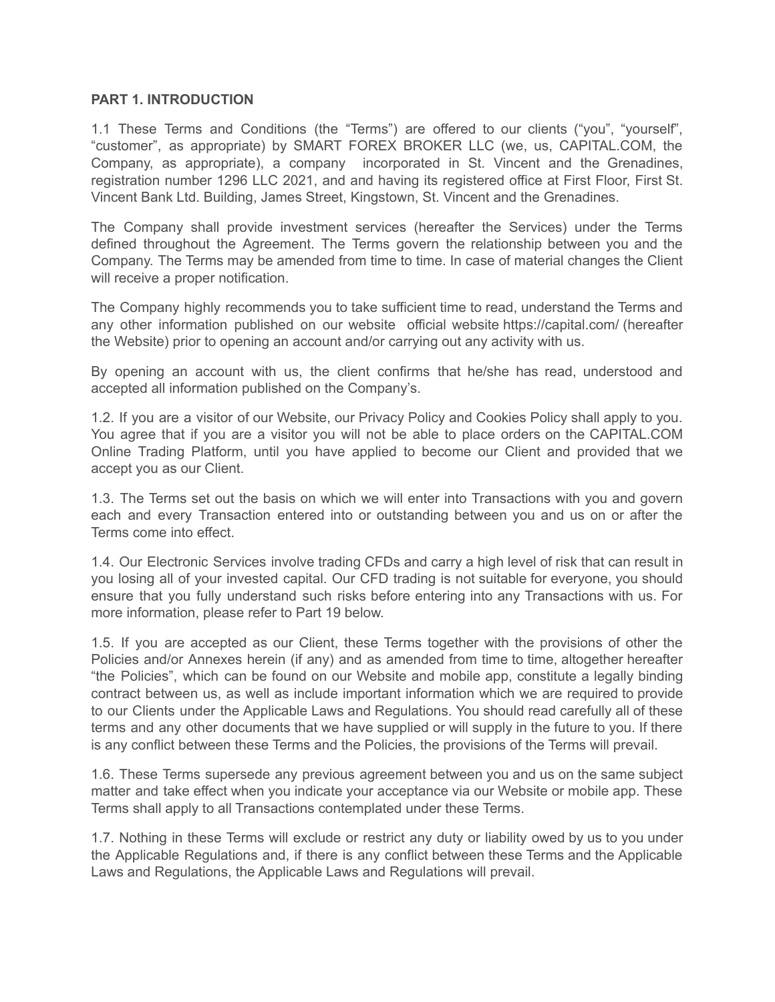#### **PART 1. INTRODUCTION**

1.1 These Terms and Conditions (the "Terms") are offered to our clients ("you", "yourself", "customer", as appropriate) by SMART FOREX BROKER LLC (we, us, CAPITAL.COM, the Company, as appropriate), a company incorporated in St. Vincent and the Grenadines, registration number 1296 LLC 2021, and апd having its registered office at First Floor, First St. Vincent Ваnk Ltd. Building, James Street, Kingstown, St. Vincent and the Grenadines.

The Company shall provide investment services (hereafter the Services) under the Terms defined throughout the Agreement. The Terms govern the relationship between you and the Company. The Terms may be amended from time to time. In case of material changes the Client will receive a proper notification.

The Company highly recommends you to take sufficient time to read, understand the Terms and any other information published on our website official website <https://capital.com/> (hereafter the Website) prior to opening an account and/or carrying out any activity with us.

By opening an account with us, the client confirms that he/she has read, understood and accepted all information published on the Company's.

1.2. If you are a visitor of our Website, our Privacy Policy and Cookies Policy shall apply to you. You agree that if you are a visitor you will not be able to place orders on the CAPITAL.COM Online Trading Platform, until you have applied to become our Client and provided that we accept you as our Client.

1.3. The Terms set out the basis on which we will enter into Transactions with you and govern each and every Transaction entered into or outstanding between you and us on or after the Terms come into effect.

1.4. Our Electronic Services involve trading CFDs and carry a high level of risk that can result in you losing all of your invested capital. Our CFD trading is not suitable for everyone, you should ensure that you fully understand such risks before entering into any Transactions with us. For more information, please refer to Part 19 below.

1.5. If you are accepted as our Client, these Terms together with the provisions of other the Policies and/or Annexes herein (if any) and as amended from time to time, altogether hereafter "the Policies", which can be found on our Website and mobile app, constitute a legally binding contract between us, as well as include important information which we are required to provide to our Clients under the Applicable Laws and Regulations. You should read carefully all of these terms and any other documents that we have supplied or will supply in the future to you. If there is any conflict between these Terms and the Policies, the provisions of the Terms will prevail.

1.6. These Terms supersede any previous agreement between you and us on the same subject matter and take effect when you indicate your acceptance via our Website or mobile app. These Terms shall apply to all Transactions contemplated under these Terms.

1.7. Nothing in these Terms will exclude or restrict any duty or liability owed by us to you under the Applicable Regulations and, if there is any conflict between these Terms and the Applicable Laws and Regulations, the Applicable Laws and Regulations will prevail.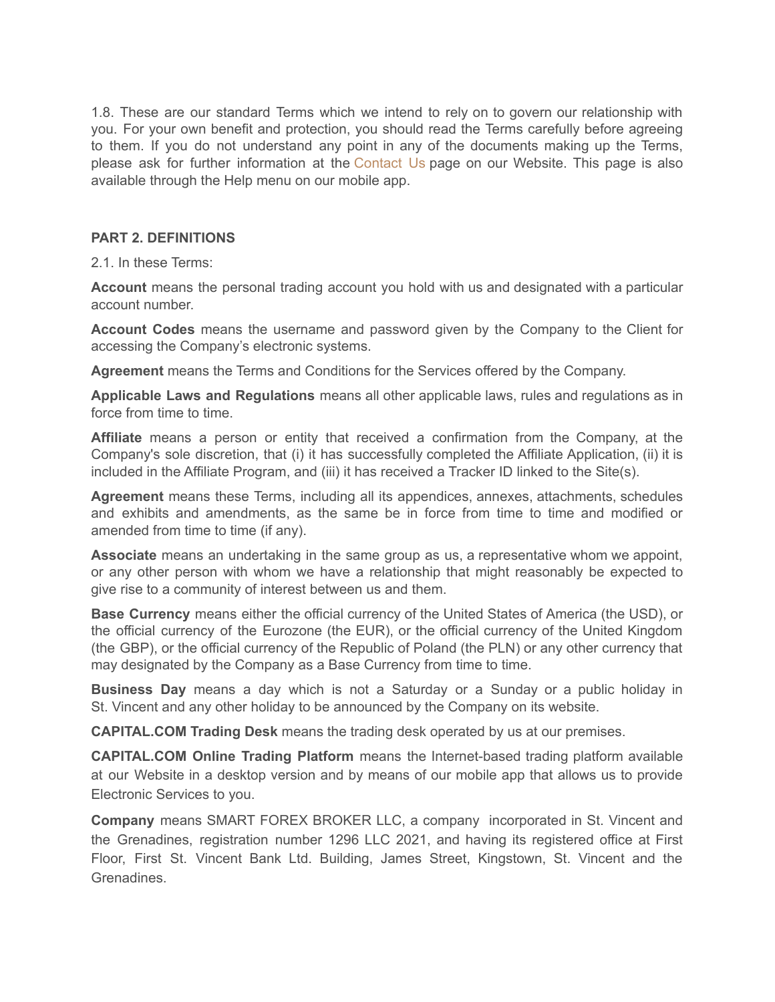1.8. These are our standard Terms which we intend to rely on to govern our relationship with you. For your own benefit and protection, you should read the Terms carefully before agreeing to them. If you do not understand any point in any of the documents making up the Terms, please ask for further information at the [Contact](https://capital.com/contact-us) Us page on our Website. This page is also available through the Help menu on our mobile app.

## **PART 2. DEFINITIONS**

2.1. In these Terms:

**Account** means the personal trading account you hold with us and designated with a particular account number.

**Account Codes** means the username and password given by the Company to the Client for accessing the Company's electronic systems.

**Agreement** means the Terms and Conditions for the Services offered by the Company.

**Applicable Laws and Regulations** means all other applicable laws, rules and regulations as in force from time to time.

**Affiliate** means a person or entity that received a confirmation from the Company, at the Company's sole discretion, that (i) it has successfully completed the Affiliate Application, (ii) it is included in the Affiliate Program, and (iii) it has received a Tracker ID linked to the Site(s).

**Agreement** means these Terms, including all its appendices, annexes, attachments, schedules and exhibits and amendments, as the same be in force from time to time and modified or amended from time to time (if any).

**Associate** means an undertaking in the same group as us, a representative whom we appoint, or any other person with whom we have a relationship that might reasonably be expected to give rise to a community of interest between us and them.

**Base Currency** means either the official currency of the United States of America (the USD), or the official currency of the Eurozone (the EUR), or the official currency of the United Kingdom (the GBP), or the official currency of the Republic of Poland (the PLN) or any other currency that may designated by the Company as a Base Currency from time to time.

**Business Day** means a day which is not a Saturday or a Sunday or a public holiday in St. Vincent and any other holiday to be announced by the Company on its website.

**CAPITAL.COM Trading Desk** means the trading desk operated by us at our premises.

**CAPITAL.COM Online Trading Platform** means the Internet-based trading platform available at our Website in a desktop version and by means of our mobile app that allows us to provide Electronic Services to you.

**Company** means SMART FOREX BROKER LLC, a company incorporated in St. Vincent and the Grenadines, registration number 1296 LLC 2021, and having its registered office at First Floor, First St. Vincent Ваnk Ltd. Building, James Street, Kingstown, St. Vincent and the Grenadines.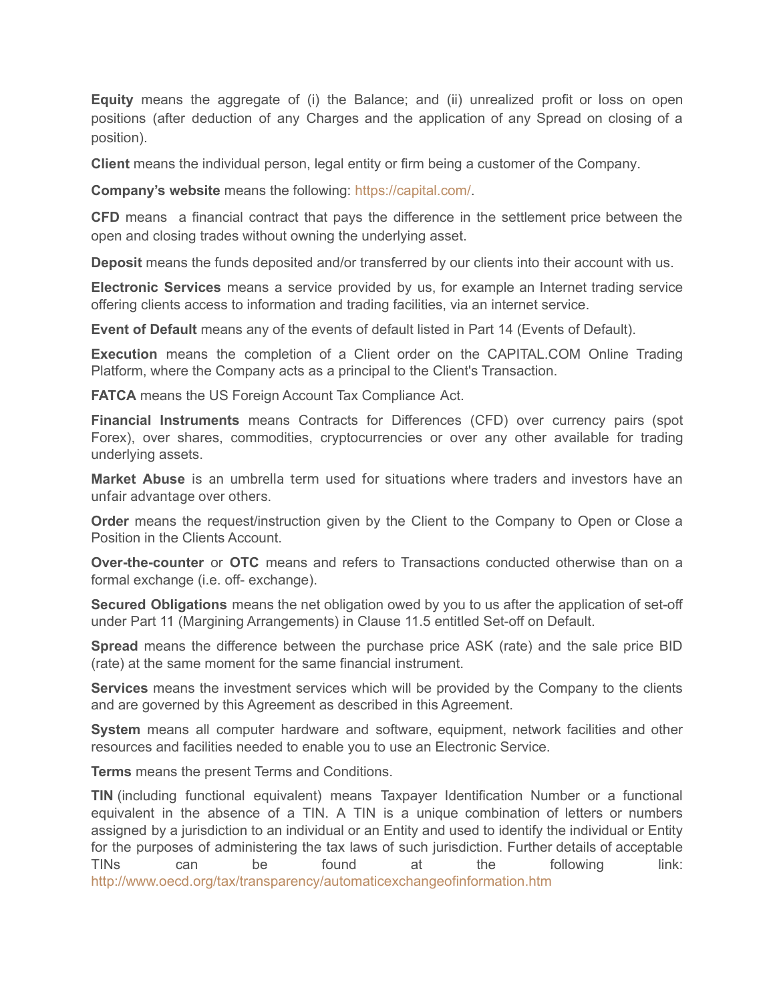**Equity** means the aggregate of (i) the Balance; and (ii) unrealized profit or loss on open positions (after deduction of any Charges and the application of any Spread on closing of a position).

**Client** means the individual person, legal entity or firm being a customer of the Company.

**Company's website** means the following: <https://capital.com/>.

**CFD** means a financial contract that pays the difference in the settlement price between the open and closing trades without owning the underlying asset.

**Deposit** means the funds deposited and/or transferred by our clients into their account with us.

**Electronic Services** means a service provided by us, for example an Internet trading service offering clients access to information and trading facilities, via an internet service.

**Event of Default** means any of the events of default listed in Part 14 (Events of Default).

**Execution** means the completion of a Client order on the CAPITAL.COM Online Trading Platform, where the Company acts as a principal to the Client's Transaction.

**FATCA** means the US Foreign Account Tax Compliance Act.

**Financial Instruments** means Contracts for Differences (CFD) over currency pairs (spot Forex), over shares, commodities, cryptocurrencies or over any other available for trading underlying assets.

**Market Abuse** is an umbrella term used for situations where traders and investors have an unfair advantage over others.

**Order** means the request/instruction given by the Client to the Company to Open or Close a Position in the Clients Account.

**Over-the-counter** or **OTC** means and refers to Transactions conducted otherwise than on a formal exchange (i.e. off- exchange).

**Secured Obligations** means the net obligation owed by you to us after the application of set-off under Part 11 (Margining Arrangements) in Clause 11.5 entitled Set-off on Default.

**Spread** means the difference between the purchase price ASK (rate) and the sale price BID (rate) at the same moment for the same financial instrument.

**Services** means the investment services which will be provided by the Company to the clients and are governed by this Agreement as described in this Agreement.

**System** means all computer hardware and software, equipment, network facilities and other resources and facilities needed to enable you to use an Electronic Service.

**Terms** means the present Terms and Conditions.

**TIN** (including functional equivalent) means Taxpayer Identification Number or a functional equivalent in the absence of a TIN. A TIN is a unique combination of letters or numbers assigned by a jurisdiction to an individual or an Entity and used to identify the individual or Entity for the purposes of administering the tax laws of such jurisdiction. Further details of acceptable TINs can be found at the following link: <http://www.oecd.org/tax/transparency/automaticexchangeofinformation.htm>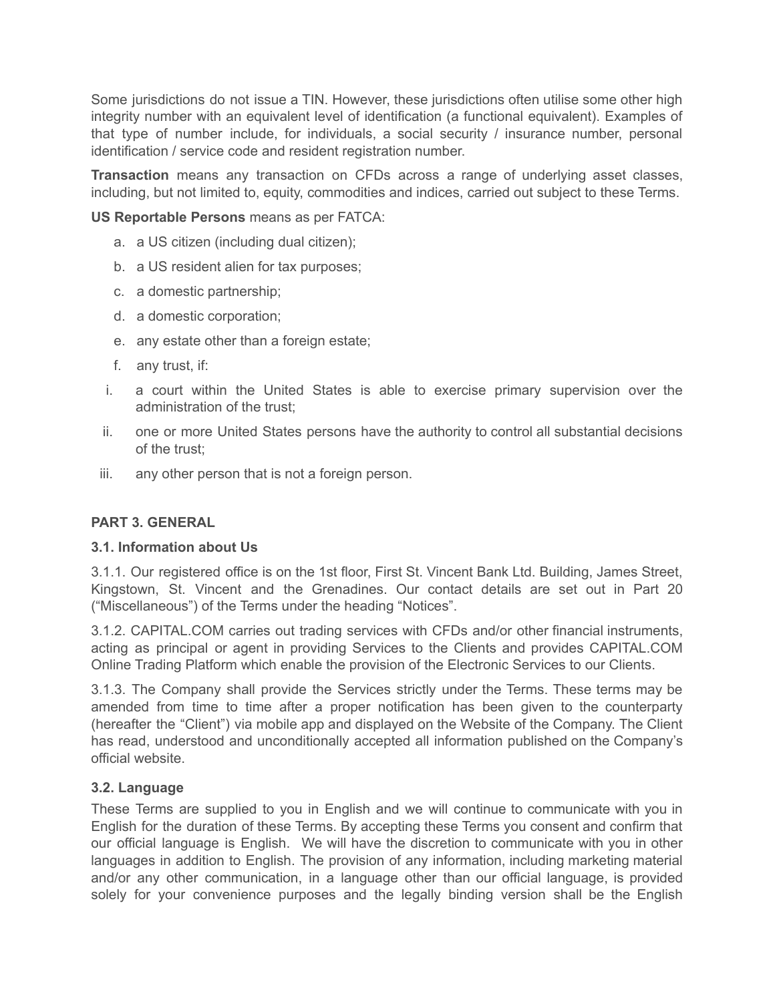Some jurisdictions do not issue a TIN. However, these jurisdictions often utilise some other high integrity number with an equivalent level of identification (a functional equivalent). Examples of that type of number include, for individuals, a social security / insurance number, personal identification / service code and resident registration number.

**Transaction** means any transaction on CFDs across a range of underlying asset classes, including, but not limited to, equity, commodities and indices, carried out subject to these Terms.

**US Reportable Persons** means as per FATCA:

- a. a US citizen (including dual citizen);
- b. a US resident alien for tax purposes;
- c. a domestic partnership;
- d. a domestic corporation;
- e. any estate other than a foreign estate;
- f. any trust, if:
- i. a court within the United States is able to exercise primary supervision over the administration of the trust;
- ii. one or more United States persons have the authority to control all substantial decisions of the trust;
- iii. any other person that is not a foreign person.

## **PART 3. GENERAL**

#### **3.1. Information about Us**

3.1.1. Our registered office is on the 1st floor, First St. Vincent Ваnk Ltd. Building, James Street, Kingstown, St. Vincent and the Grenadines. Our contact details are set out in Part 20 ("Miscellaneous") of the Terms under the heading "Notices".

3.1.2. CAPITAL.COM carries out trading services with CFDs and/or other financial instruments, acting as principal or agent in providing Services to the Clients and provides CAPITAL.COM Online Trading Platform which enable the provision of the Electronic Services to our Clients.

3.1.3. The Company shall provide the Services strictly under the Terms. These terms may be amended from time to time after a proper notification has been given to the counterparty (hereafter the "Client") via mobile app and displayed on the Website of the Company. The Client has read, understood and unconditionally accepted all information published on the Company's official website.

## **3.2. Language**

These Terms are supplied to you in English and we will continue to communicate with you in English for the duration of these Terms. By accepting these Terms you consent and confirm that our official language is English. We will have the discretion to communicate with you in other languages in addition to English. The provision of any information, including marketing material and/or any other communication, in a language other than our official language, is provided solely for your convenience purposes and the legally binding version shall be the English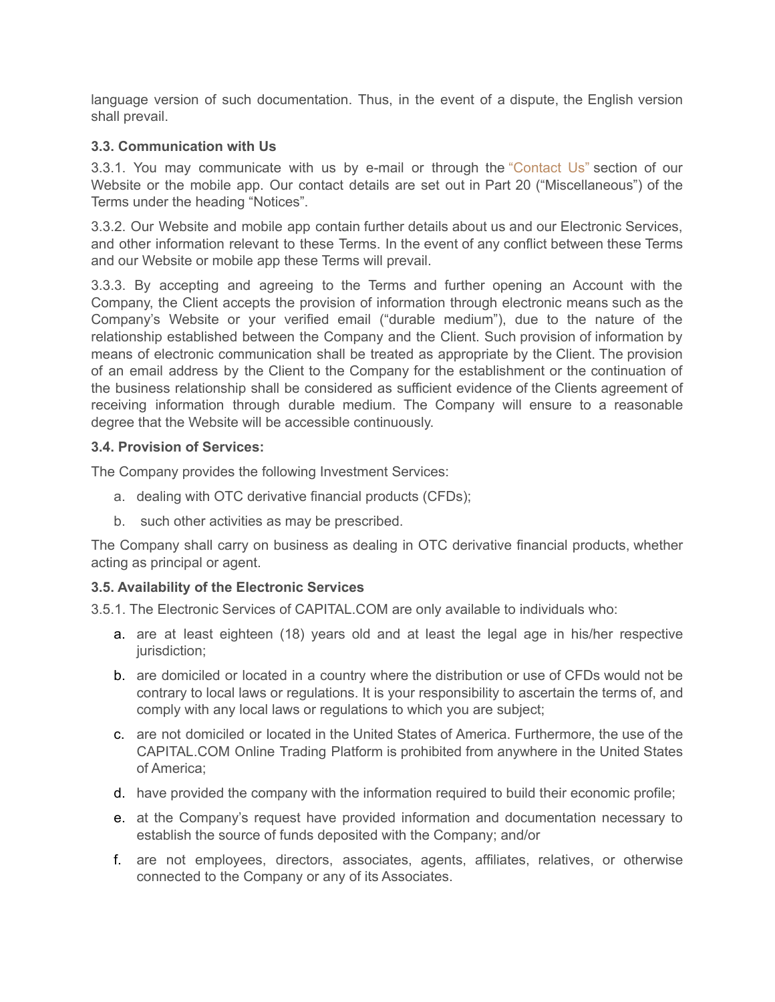language version of such documentation. Thus, in the event of a dispute, the English version shall prevail.

# **3.3. Communication with Us**

3.3.1. You may communicate with us by e-mail or through the ["Contact](https://capital.com/contact-us) Us" section of our Website or the mobile app. Our contact details are set out in Part 20 ("Miscellaneous") of the Terms under the heading "Notices".

3.3.2. Our Website and mobile app contain further details about us and our Electronic Services, and other information relevant to these Terms. In the event of any conflict between these Terms and our Website or mobile app these Terms will prevail.

3.3.3. By accepting and agreeing to the Terms and further opening an Account with the Company, the Client accepts the provision of information through electronic means such as the Company's Website or your verified email ("durable medium"), due to the nature of the relationship established between the Company and the Client. Such provision of information by means of electronic communication shall be treated as appropriate by the Client. The provision of an email address by the Client to the Company for the establishment or the continuation of the business relationship shall be considered as sufficient evidence of the Clients agreement of receiving information through durable medium. The Company will ensure to a reasonable degree that the Website will be accessible continuously.

## **3.4. Provision of Services:**

The Company provides the following Investment Services:

- a. dealing with OTC derivative financial products (CFDs);
- b. such other activities as may be prescribed.

The Company shall carry on business as dealing in OTC derivative financial products, whether acting as principal or agent.

# **3.5. Availability of the Electronic Services**

3.5.1. The Electronic Services of CAPITAL.COM are only available to individuals who:

- a. are at least eighteen (18) years old and at least the legal age in his/her respective jurisdiction:
- b. are domiciled or located in a country where the distribution or use of CFDs would not be contrary to local laws or regulations. It is your responsibility to ascertain the terms of, and comply with any local laws or regulations to which you are subject;
- c. are not domiciled or located in the United States of America. Furthermore, the use of the CAPITAL.COM Online Trading Platform is prohibited from anywhere in the United States of America;
- d. have provided the company with the information required to build their economic profile;
- e. at the Company's request have provided information and documentation necessary to establish the source of funds deposited with the Company; and/or
- f. are not employees, directors, associates, agents, affiliates, relatives, or otherwise connected to the Company or any of its Associates.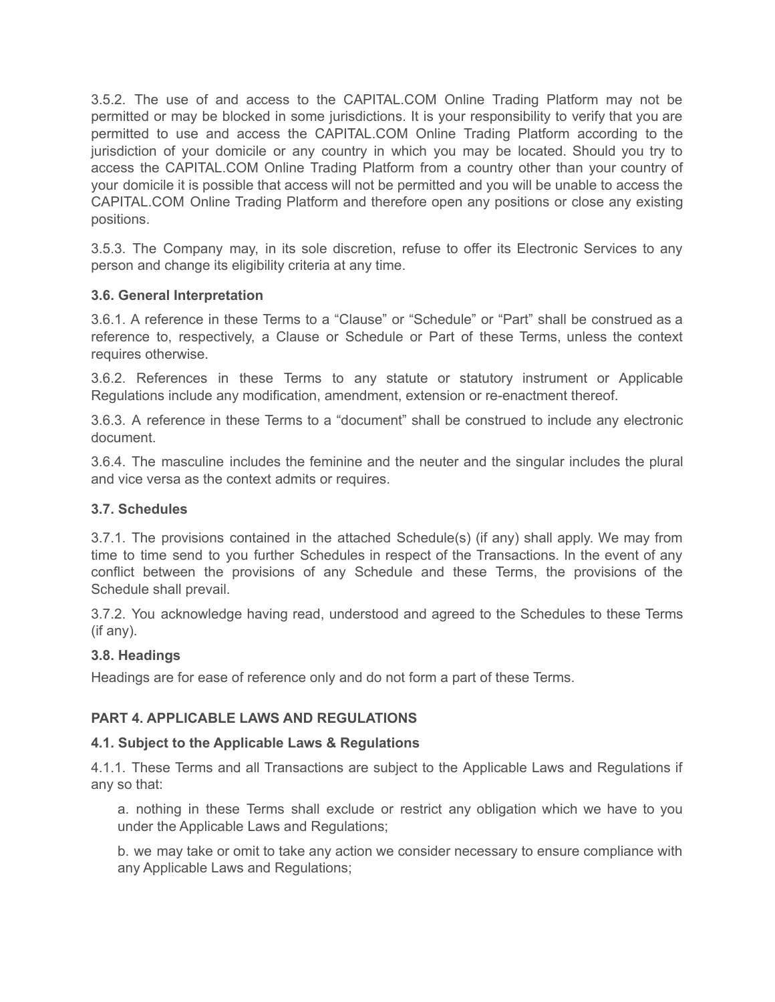3.5.2. The use of and access to the CAPITAL.COM Online Trading Platform may not be permitted or may be blocked in some jurisdictions. It is your responsibility to verify that you are permitted to use and access the CAPITAL.COM Online Trading Platform according to the jurisdiction of your domicile or any country in which you may be located. Should you try to access the CAPITAL.COM Online Trading Platform from a country other than your country of your domicile it is possible that access will not be permitted and you will be unable to access the CAPITAL.COM Online Trading Platform and therefore open any positions or close any existing positions.

3.5.3. The Company may, in its sole discretion, refuse to offer its Electronic Services to any person and change its eligibility criteria at any time.

# **3.6. General Interpretation**

3.6.1. A reference in these Terms to a "Clause" or "Schedule" or "Part" shall be construed as a reference to, respectively, a Clause or Schedule or Part of these Terms, unless the context requires otherwise.

3.6.2. References in these Terms to any statute or statutory instrument or Applicable Regulations include any modification, amendment, extension or re-enactment thereof.

3.6.3. A reference in these Terms to a "document" shall be construed to include any electronic document.

3.6.4. The masculine includes the feminine and the neuter and the singular includes the plural and vice versa as the context admits or requires.

## **3.7. Schedules**

3.7.1. The provisions contained in the attached Schedule(s) (if any) shall apply. We may from time to time send to you further Schedules in respect of the Transactions. In the event of any conflict between the provisions of any Schedule and these Terms, the provisions of the Schedule shall prevail.

3.7.2. You acknowledge having read, understood and agreed to the Schedules to these Terms (if any).

## **3.8. Headings**

Headings are for ease of reference only and do not form a part of these Terms.

# **PART 4. APPLICABLE LAWS AND REGULATIONS**

## **4.1. Subject to the Applicable Laws & Regulations**

4.1.1. These Terms and all Transactions are subject to the Applicable Laws and Regulations if any so that:

a. nothing in these Terms shall exclude or restrict any obligation which we have to you under the Applicable Laws and Regulations;

b. we may take or omit to take any action we consider necessary to ensure compliance with any Applicable Laws and Regulations;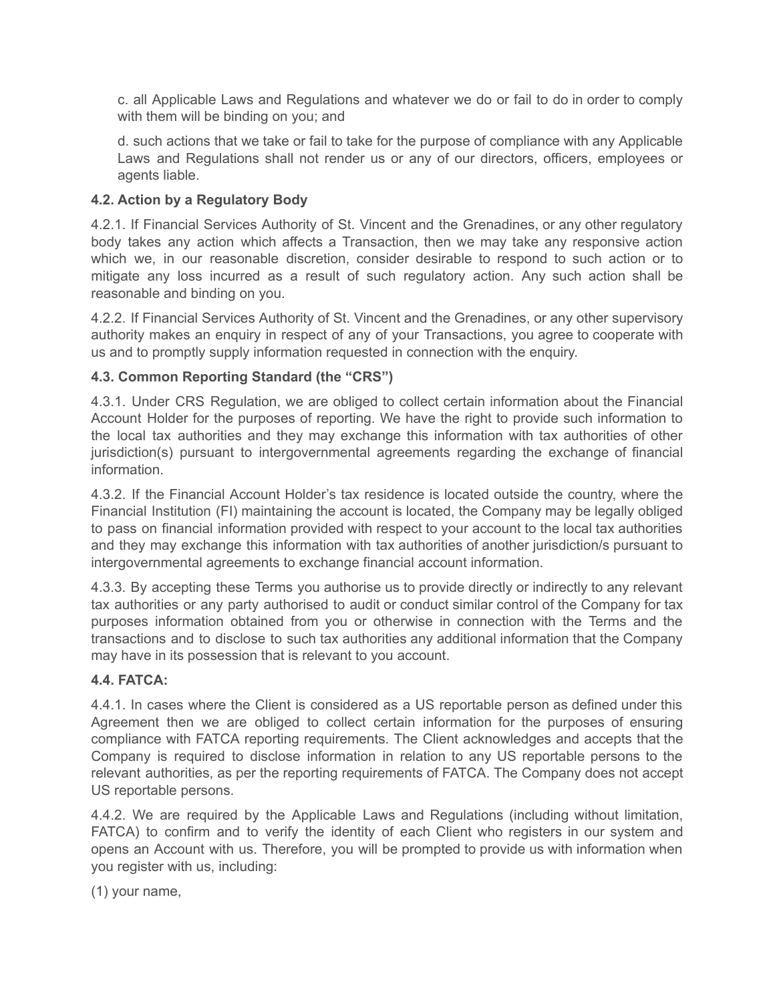c. all Applicable Laws and Regulations and whatever we do or fail to do in order to comply with them will be binding on you; and

d. such actions that we take or fail to take for the purpose of compliance with any Applicable Laws and Regulations shall not render us or any of our directors, officers, employees or agents liable.

# **4.2. Action by a Regulatory Body**

4.2.1. If Financial Services Authority of St. Vincent and the Grenadines, or any other regulatory body takes any action which affects a Transaction, then we may take any responsive action which we, in our reasonable discretion, consider desirable to respond to such action or to mitigate any loss incurred as a result of such regulatory action. Any such action shall be reasonable and binding on you.

4.2.2. If Financial Services Authority of St. Vincent and the Grenadines, or any other supervisory authority makes an enquiry in respect of any of your Transactions, you agree to cooperate with us and to promptly supply information requested in connection with the enquiry.

# **4.3. Common Reporting Standard (the "CRS")**

4.3.1. Under CRS Regulation, we are obliged to collect certain information about the Financial Account Holder for the purposes of reporting. We have the right to provide such information to the local tax authorities and they may exchange this information with tax authorities of other jurisdiction(s) pursuant to intergovernmental agreements regarding the exchange of financial information.

4.3.2. If the Financial Account Holder's tax residence is located outside the country, where the Financial Institution (FI) maintaining the account is located, the Company may be legally obliged to pass on financial information provided with respect to your account to the local tax authorities and they may exchange this information with tax authorities of another jurisdiction/s pursuant to intergovernmental agreements to exchange financial account information.

4.3.3. By accepting these Terms you authorise us to provide directly or indirectly to any relevant tax authorities or any party authorised to audit or conduct similar control of the Company for tax purposes information obtained from you or otherwise in connection with the Terms and the transactions and to disclose to such tax authorities any additional information that the Company may have in its possession that is relevant to you account.

## **4.4. FATCA:**

4.4.1. In cases where the Client is considered as a US reportable person as defined under this Agreement then we are obliged to collect certain information for the purposes of ensuring compliance with FATCA reporting requirements. The Client acknowledges and accepts that the Company is required to disclose information in relation to any US reportable persons to the relevant authorities, as per the reporting requirements of FATCA. The Company does not accept US reportable persons.

4.4.2. We are required by the Applicable Laws and Regulations (including without limitation, FATCA) to confirm and to verify the identity of each Client who registers in our system and opens an Account with us. Therefore, you will be prompted to provide us with information when you register with us, including:

(1) your name,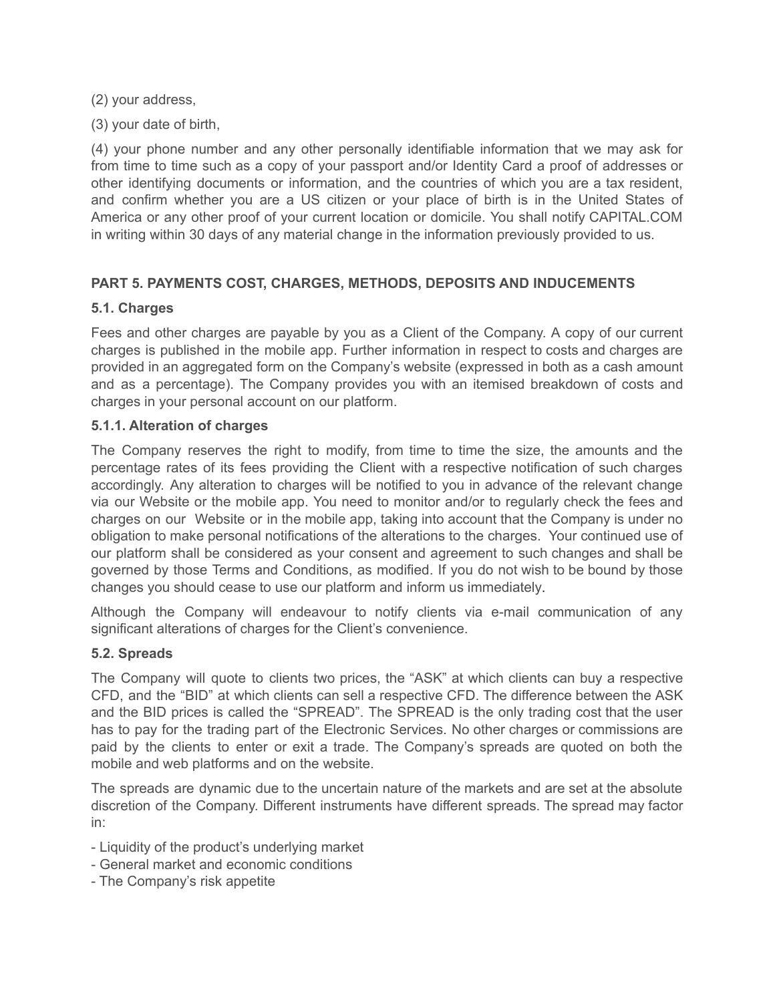(2) your address,

(3) your date of birth,

(4) your phone number and any other personally identifiable information that we may ask for from time to time such as a copy of your passport and/or Identity Card a proof of addresses or other identifying documents or information, and the countries of which you are a tax resident, and confirm whether you are a US citizen or your place of birth is in the United States of America or any other proof of your current location or domicile. You shall notify CAPITAL.COM in writing within 30 days of any material change in the information previously provided to us.

# **PART 5. PAYMENTS COST, CHARGES, METHODS, DEPOSITS AND INDUCEMENTS**

# **5.1. Charges**

Fees and other charges are payable by you as a Client of the Company. A copy of our current charges is published in the mobile app. Further information in respect to costs and charges are provided in an aggregated form on the Company's website (expressed in both as a cash amount and as a percentage). The Company provides you with an itemised breakdown of costs and charges in your personal account on our platform.

# **5.1.1. Alteration of charges**

The Company reserves the right to modify, from time to time the size, the amounts and the percentage rates of its fees providing the Client with a respective notification of such charges accordingly. Any alteration to charges will be notified to you in advance of the relevant change via our Website or the mobile app. You need to monitor and/or to regularly check the fees and charges on our Website or in the mobile app, taking into account that the Company is under no obligation to make personal notifications of the alterations to the charges. Your continued use of our platform shall be considered as your consent and agreement to such changes and shall be governed by those Terms and Conditions, as modified. If you do not wish to be bound by those changes you should cease to use our platform and inform us immediately.

Although the Company will endeavour to notify clients via e-mail communication of any significant alterations of charges for the Client's convenience.

# **5.2. Spreads**

The Company will quote to clients two prices, the "ASK" at which clients can buy a respective CFD, and the "BID" at which clients can sell a respective CFD. The difference between the ASK and the BID prices is called the "SPREAD". The SPREAD is the only trading cost that the user has to pay for the trading part of the Electronic Services. No other charges or commissions are paid by the clients to enter or exit a trade. The Company's spreads are quoted on both the mobile and web platforms and on the website.

The spreads are dynamic due to the uncertain nature of the markets and are set at the absolute discretion of the Company. Different instruments have different spreads. The spread may factor in:

- Liquidity of the product's underlying market
- General market and economic conditions
- The Company's risk appetite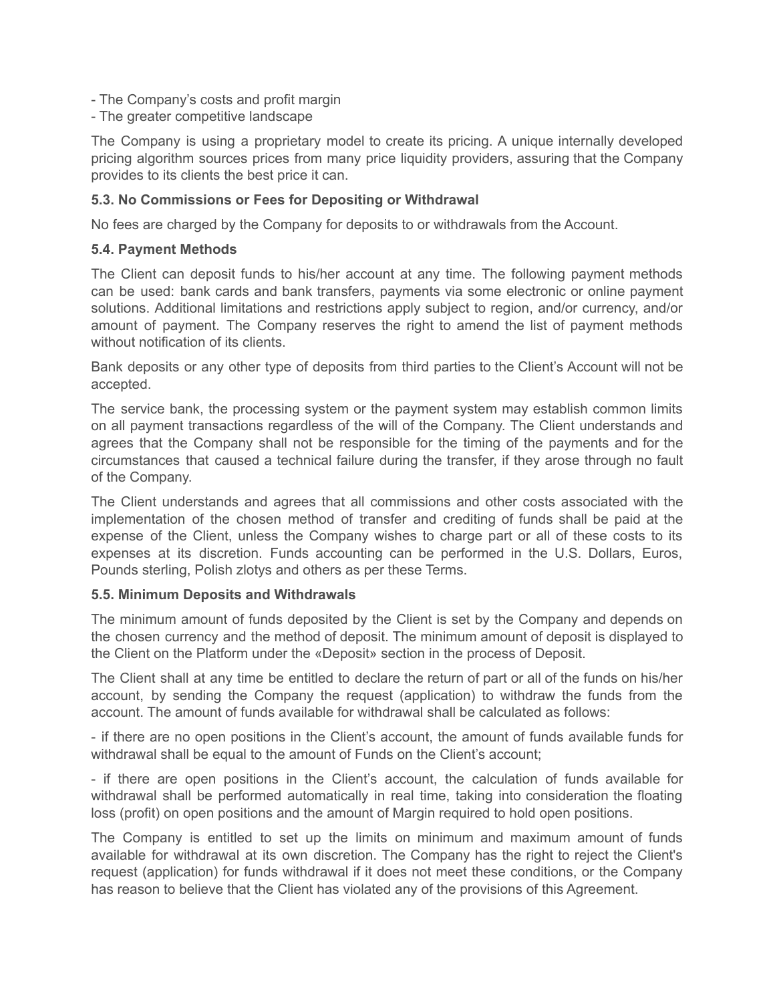- The Company's costs and profit margin
- The greater competitive landscape

The Company is using a proprietary model to create its pricing. A unique internally developed pricing algorithm sources prices from many price liquidity providers, assuring that the Company provides to its clients the best price it can.

## **5.3. No Commissions or Fees for Depositing or Withdrawal**

No fees are charged by the Company for deposits to or withdrawals from the Account.

#### **5.4. Payment Methods**

The Client can deposit funds to his/her account at any time. The following payment methods can be used: bank cards and bank transfers, payments via some electronic or online payment solutions. Additional limitations and restrictions apply subject to region, and/or currency, and/or amount of payment. The Company reserves the right to amend the list of payment methods without notification of its clients.

Bank deposits or any other type of deposits from third parties to the Client's Account will not be accepted.

The service bank, the processing system or the payment system may establish common limits on all payment transactions regardless of the will of the Company. The Client understands and agrees that the Company shall not be responsible for the timing of the payments and for the circumstances that caused a technical failure during the transfer, if they arose through no fault of the Company.

The Client understands and agrees that all commissions and other costs associated with the implementation of the chosen method of transfer and crediting of funds shall be paid at the expense of the Client, unless the Company wishes to charge part or all of these costs to its expenses at its discretion. Funds accounting can be performed in the U.S. Dollars, Euros, Pounds sterling, Polish zlotys and others as per these Terms.

#### **5.5. Minimum Deposits and Withdrawals**

The minimum amount of funds deposited by the Client is set by the Company and depends on the chosen currency and the method of deposit. The minimum amount of deposit is displayed to the Client on the Platform under the «Deposit» section in the process of Deposit.

The Client shall at any time be entitled to declare the return of part or all of the funds on his/her account, by sending the Company the request (application) to withdraw the funds from the account. The amount of funds available for withdrawal shall be calculated as follows:

- if there are no open positions in the Client's account, the amount of funds available funds for withdrawal shall be equal to the amount of Funds on the Client's account;

- if there are open positions in the Client's account, the calculation of funds available for withdrawal shall be performed automatically in real time, taking into consideration the floating loss (profit) on open positions and the amount of Margin required to hold open positions.

The Company is entitled to set up the limits on minimum and maximum amount of funds available for withdrawal at its own discretion. The Company has the right to reject the Client's request (application) for funds withdrawal if it does not meet these conditions, or the Company has reason to believe that the Client has violated any of the provisions of this Agreement.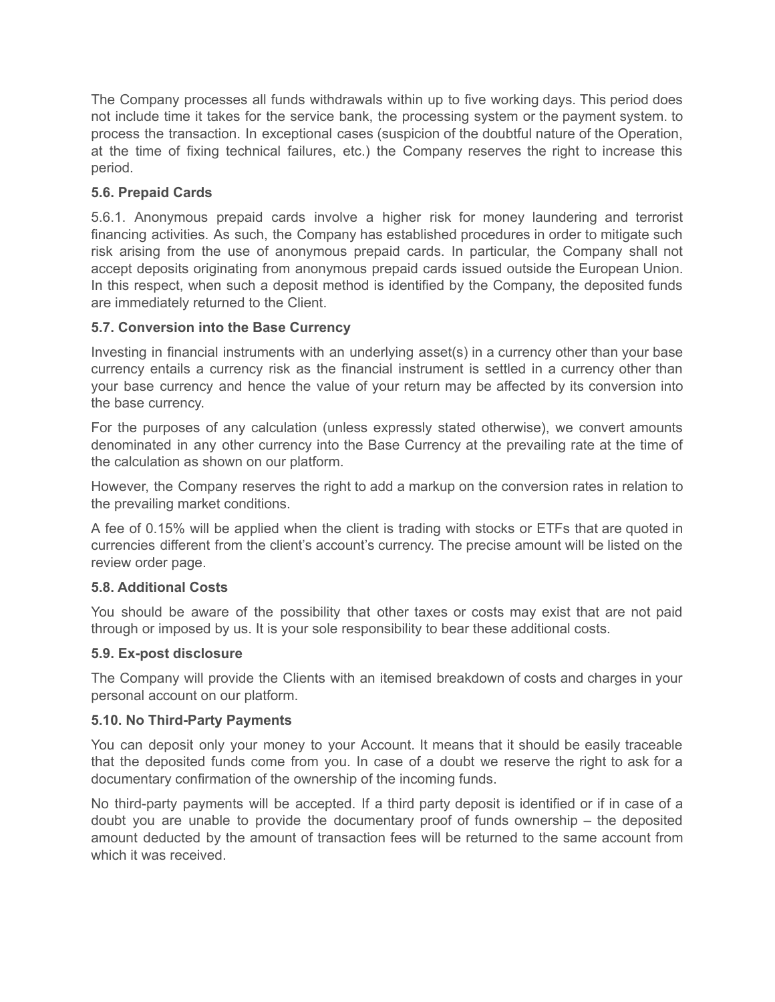The Company processes all funds withdrawals within up to five working days. This period does not include time it takes for the service bank, the processing system or the payment system. to process the transaction. In exceptional cases (suspicion of the doubtful nature of the Operation, at the time of fixing technical failures, etc.) the Company reserves the right to increase this period.

# **5.6. Prepaid Cards**

5.6.1. Anonymous prepaid cards involve a higher risk for money laundering and terrorist financing activities. As such, the Company has established procedures in order to mitigate such risk arising from the use of anonymous prepaid cards. In particular, the Company shall not accept deposits originating from anonymous prepaid cards issued outside the European Union. In this respect, when such a deposit method is identified by the Company, the deposited funds are immediately returned to the Client.

# **5.7. Conversion into the Base Currency**

Investing in financial instruments with an underlying asset(s) in a currency other than your base currency entails a currency risk as the financial instrument is settled in a currency other than your base currency and hence the value of your return may be affected by its conversion into the base currency.

For the purposes of any calculation (unless expressly stated otherwise), we convert amounts denominated in any other currency into the Base Currency at the prevailing rate at the time of the calculation as shown on our platform.

However, the Company reserves the right to add a markup on the conversion rates in relation to the prevailing market conditions.

A fee of 0.15% will be applied when the client is trading with stocks or ETFs that are quoted in currencies different from the client's account's currency. The precise amount will be listed on the review order page.

# **5.8. Additional Costs**

You should be aware of the possibility that other taxes or costs may exist that are not paid through or imposed by us. It is your sole responsibility to bear these additional costs.

# **5.9. Ex-post disclosure**

The Company will provide the Clients with an itemised breakdown of costs and charges in your personal account on our platform.

## **5.10. No Third-Party Payments**

You can deposit only your money to your Account. It means that it should be easily traceable that the deposited funds come from you. In case of a doubt we reserve the right to ask for a documentary confirmation of the ownership of the incoming funds.

No third-party payments will be accepted. If a third party deposit is identified or if in case of a doubt you are unable to provide the documentary proof of funds ownership – the deposited amount deducted by the amount of transaction fees will be returned to the same account from which it was received.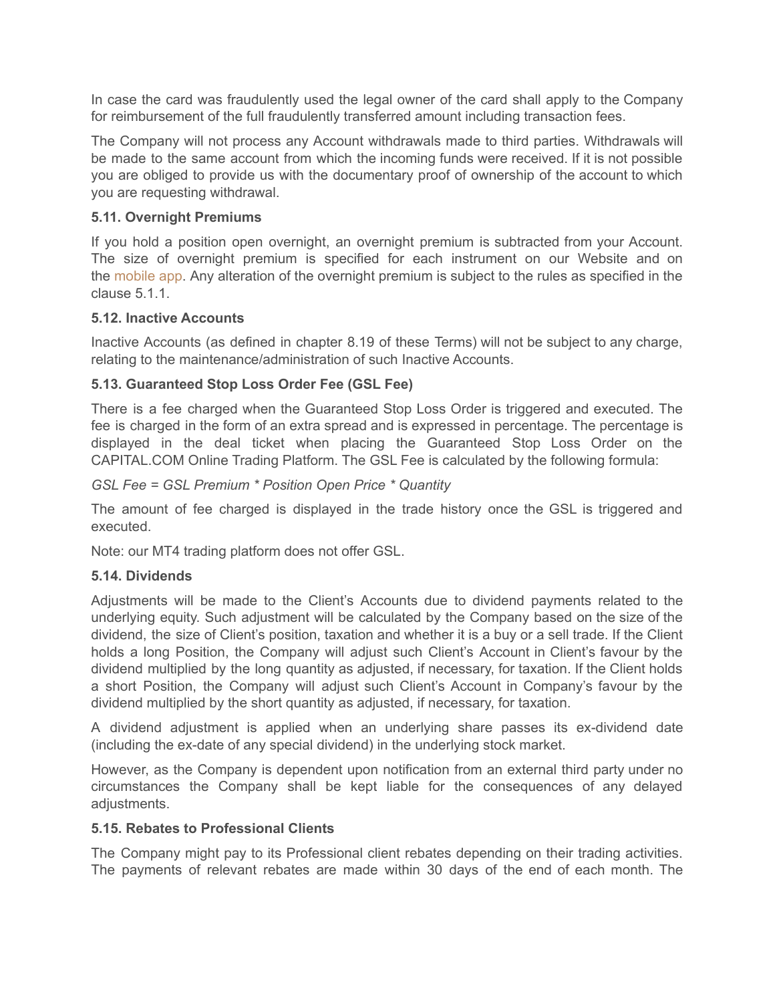In case the card was fraudulently used the legal owner of the card shall apply to the Company for reimbursement of the full fraudulently transferred amount including transaction fees.

The Company will not process any Account withdrawals made to third parties. Withdrawals will be made to the same account from which the incoming funds were received. If it is not possible you are obliged to provide us with the documentary proof of ownership of the account to which you are requesting withdrawal.

# **5.11. Overnight Premiums**

If you hold a position open overnight, an overnight premium is subtracted from your Account. The size of overnight premium is specified for each instrument on our Website and on the [mobile](https://capital.com/derivative-financial-instruments) app. Any alteration of the overnight premium is subject to the rules as specified in the clause 5.1.1.

## **5.12. Inactive Accounts**

Inactive Accounts (as defined in chapter 8.19 of these Terms) will not be subject to any charge, relating to the maintenance/administration of such Inactive Accounts.

# **5.13. Guaranteed Stop Loss Order Fee (GSL Fee)**

There is a fee charged when the Guaranteed Stop Loss Order is triggered and executed. The fee is charged in the form of an extra spread and is expressed in percentage. The percentage is displayed in the deal ticket when placing the Guaranteed Stop Loss Order on the CAPITAL.COM Online Trading Platform. The GSL Fee is calculated by the following formula:

## *GSL Fee = GSL Premium \* Position Open Price \* Quantity*

The amount of fee charged is displayed in the trade history once the GSL is triggered and executed.

Note: our MT4 trading platform does not offer GSL.

## **5.14. Dividends**

Adjustments will be made to the Client's Accounts due to dividend payments related to the underlying equity. Such adjustment will be calculated by the Company based on the size of the dividend, the size of Client's position, taxation and whether it is a buy or a sell trade. If the Client holds a long Position, the Company will adjust such Client's Account in Client's favour by the dividend multiplied by the long quantity as adjusted, if necessary, for taxation. If the Client holds a short Position, the Company will adjust such Client's Account in Company's favour by the dividend multiplied by the short quantity as adjusted, if necessary, for taxation.

A dividend adjustment is applied when an underlying share passes its ex-dividend date (including the ex-date of any special dividend) in the underlying stock market.

However, as the Company is dependent upon notification from an external third party under no circumstances the Company shall be kept liable for the consequences of any delayed adjustments.

## **5.15. Rebates to Professional Clients**

The Company might pay to its Professional client rebates depending on their trading activities. The payments of relevant rebates are made within 30 days of the end of each month. The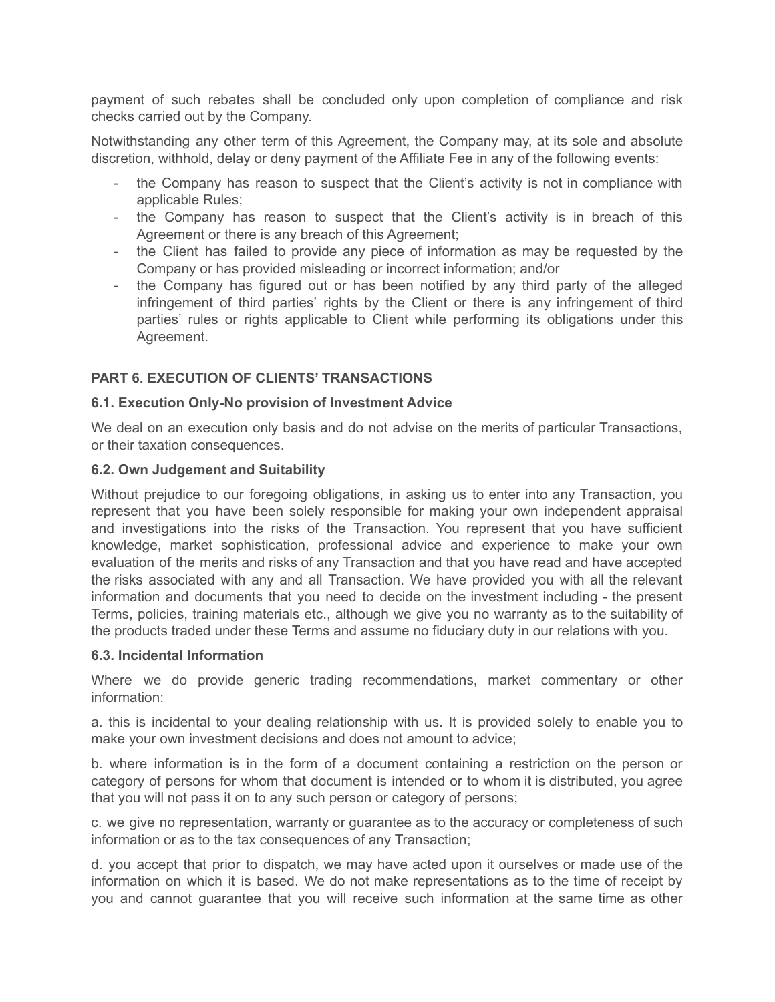payment of such rebates shall be concluded only upon completion of compliance and risk checks carried out by the Company.

Notwithstanding any other term of this Agreement, the Company may, at its sole and absolute discretion, withhold, delay or deny payment of the Affiliate Fee in any of the following events:

- the Company has reason to suspect that the Client's activity is not in compliance with applicable Rules;
- the Company has reason to suspect that the Client's activity is in breach of this Agreement or there is any breach of this Agreement;
- the Client has failed to provide any piece of information as may be requested by the Company or has provided misleading or incorrect information; and/or
- the Company has figured out or has been notified by any third party of the alleged infringement of third parties' rights by the Client or there is any infringement of third parties' rules or rights applicable to Client while performing its obligations under this Agreement.

# **PART 6. EXECUTION OF CLIENTS' TRANSACTIONS**

## **6.1. Execution Only-No provision of Investment Advice**

We deal on an execution only basis and do not advise on the merits of particular Transactions, or their taxation consequences.

#### **6.2. Own Judgement and Suitability**

Without prejudice to our foregoing obligations, in asking us to enter into any Transaction, you represent that you have been solely responsible for making your own independent appraisal and investigations into the risks of the Transaction. You represent that you have sufficient knowledge, market sophistication, professional advice and experience to make your own evaluation of the merits and risks of any Transaction and that you have read and have accepted the risks associated with any and all Transaction. We have provided you with all the relevant information and documents that you need to decide on the investment including - the present Terms, policies, training materials etc., although we give you no warranty as to the suitability of the products traded under these Terms and assume no fiduciary duty in our relations with you.

#### **6.3. Incidental Information**

Where we do provide generic trading recommendations, market commentary or other information:

a. this is incidental to your dealing relationship with us. It is provided solely to enable you to make your own investment decisions and does not amount to advice;

b. where information is in the form of a document containing a restriction on the person or category of persons for whom that document is intended or to whom it is distributed, you agree that you will not pass it on to any such person or category of persons;

c. we give no representation, warranty or guarantee as to the accuracy or completeness of such information or as to the tax consequences of any Transaction;

d. you accept that prior to dispatch, we may have acted upon it ourselves or made use of the information on which it is based. We do not make representations as to the time of receipt by you and cannot guarantee that you will receive such information at the same time as other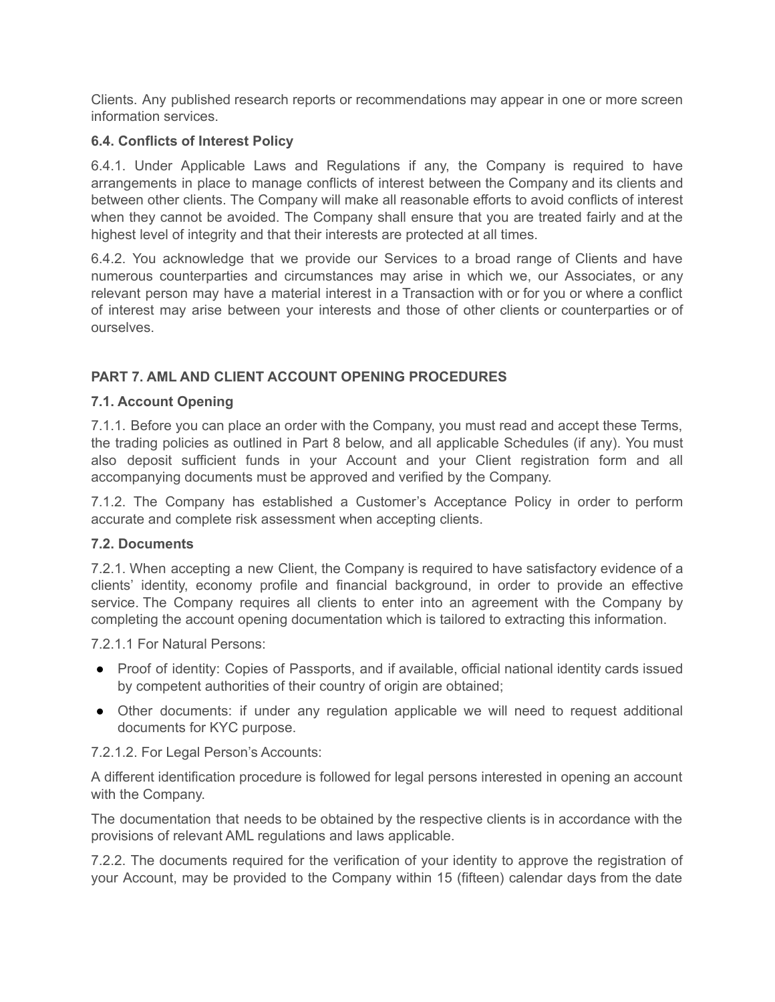Clients. Any published research reports or recommendations may appear in one or more screen information services.

# **6.4. Conflicts of Interest Policy**

6.4.1. Under Applicable Laws and Regulations if any, the Company is required to have arrangements in place to manage conflicts of interest between the Company and its clients and between other clients. The Company will make all reasonable efforts to avoid conflicts of interest when they cannot be avoided. The Company shall ensure that you are treated fairly and at the highest level of integrity and that their interests are protected at all times.

6.4.2. You acknowledge that we provide our Services to a broad range of Clients and have numerous counterparties and circumstances may arise in which we, our Associates, or any relevant person may have a material interest in a Transaction with or for you or where a conflict of interest may arise between your interests and those of other clients or counterparties or of ourselves.

# **PART 7. AML AND CLIENT ACCOUNT OPENING PROCEDURES**

# **7.1. Account Opening**

7.1.1. Before you can place an order with the Company, you must read and accept these Terms, the trading policies as outlined in Part 8 below, and all applicable Schedules (if any). You must also deposit sufficient funds in your Account and your Client registration form and all accompanying documents must be approved and verified by the Company.

7.1.2. The Company has established a Customer's Acceptance Policy in order to perform accurate and complete risk assessment when accepting clients.

## **7.2. Documents**

7.2.1. When accepting a new Client, the Company is required to have satisfactory evidence of a clients' identity, economy profile and financial background, in order to provide an effective service. The Company requires all clients to enter into an agreement with the Company by completing the account opening documentation which is tailored to extracting this information.

7.2.1.1 For Natural Persons:

- Proof of identity: Copies of Passports, and if available, official national identity cards issued by competent authorities of their country of origin are obtained;
- Other documents: if under any regulation applicable we will need to request additional documents for KYC purpose.

7.2.1.2. For Legal Person's Accounts:

A different identification procedure is followed for legal persons interested in opening an account with the Company.

The documentation that needs to be obtained by the respective clients is in accordance with the provisions of relevant AML regulations and laws applicable.

7.2.2. The documents required for the verification of your identity to approve the registration of your Account, may be provided to the Company within 15 (fifteen) calendar days from the date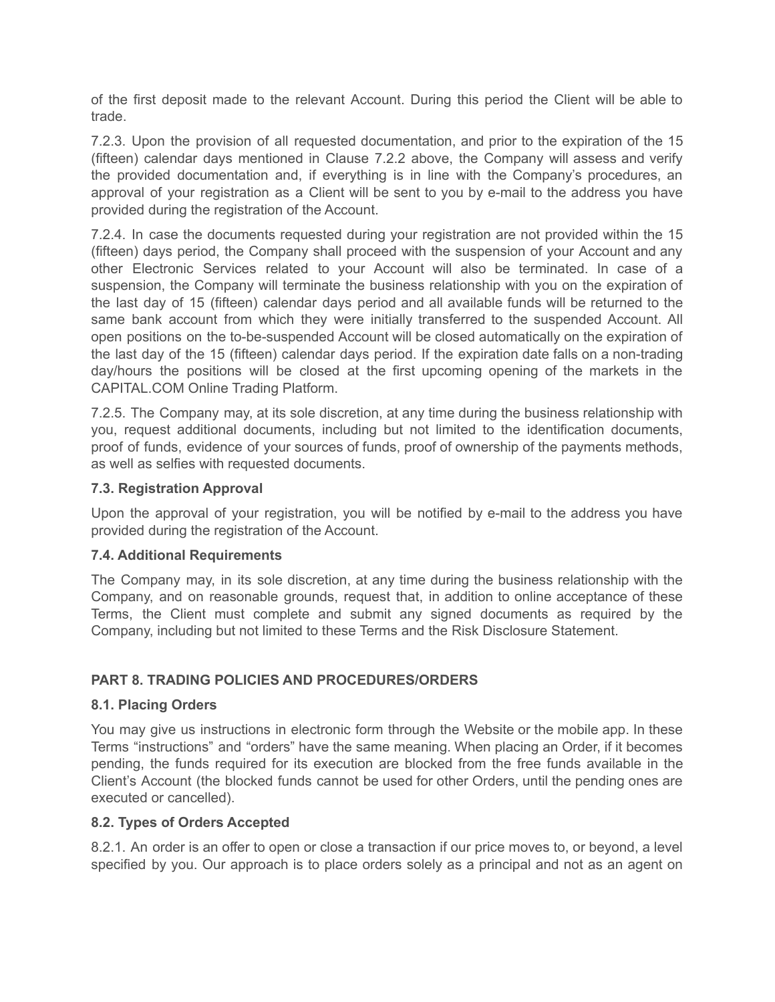of the first deposit made to the relevant Account. During this period the Client will be able to trade.

7.2.3. Upon the provision of all requested documentation, and prior to the expiration of the 15 (fifteen) calendar days mentioned in Clause 7.2.2 above, the Company will assess and verify the provided documentation and, if everything is in line with the Company's procedures, an approval of your registration as a Client will be sent to you by e-mail to the address you have provided during the registration of the Account.

7.2.4. In case the documents requested during your registration are not provided within the 15 (fifteen) days period, the Company shall proceed with the suspension of your Account and any other Electronic Services related to your Account will also be terminated. In case of a suspension, the Company will terminate the business relationship with you on the expiration of the last day of 15 (fifteen) calendar days period and all available funds will be returned to the same bank account from which they were initially transferred to the suspended Account. All open positions on the to-be-suspended Account will be closed automatically on the expiration of the last day of the 15 (fifteen) calendar days period. If the expiration date falls on a non-trading day/hours the positions will be closed at the first upcoming opening of the markets in the CAPITAL.COM Online Trading Platform.

7.2.5. The Company may, at its sole discretion, at any time during the business relationship with you, request additional documents, including but not limited to the identification documents, proof of funds, evidence of your sources of funds, proof of ownership of the payments methods, as well as selfies with requested documents.

## **7.3. Registration Approval**

Upon the approval of your registration, you will be notified by e-mail to the address you have provided during the registration of the Account.

## **7.4. Additional Requirements**

The Company may, in its sole discretion, at any time during the business relationship with the Company, and on reasonable grounds, request that, in addition to online acceptance of these Terms, the Client must complete and submit any signed documents as required by the Company, including but not limited to these Terms and the Risk Disclosure Statement.

# **PART 8. TRADING POLICIES AND PROCEDURES/ORDERS**

## **8.1. Placing Orders**

You may give us instructions in electronic form through the Website or the mobile app. In these Terms "instructions" and "orders" have the same meaning. When placing an Order, if it becomes pending, the funds required for its execution are blocked from the free funds available in the Client's Account (the blocked funds cannot be used for other Orders, until the pending ones are executed or cancelled).

## **8.2. Types of Orders Accepted**

8.2.1. An order is an offer to open or close a transaction if our price moves to, or beyond, a level specified by you. Our approach is to place orders solely as a principal and not as an agent on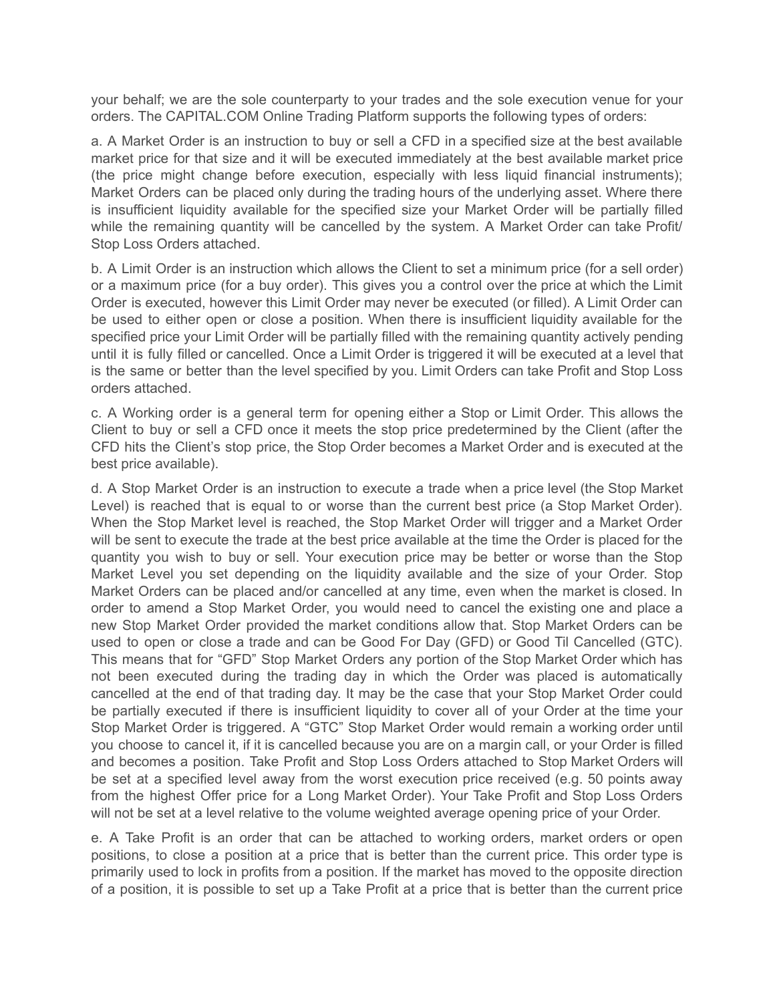your behalf; we are the sole counterparty to your trades and the sole execution venue for your orders. The CAPITAL.COM Online Trading Platform supports the following types of orders:

a. A Market Order is an instruction to buy or sell a CFD in a specified size at the best available market price for that size and it will be executed immediately at the best available market price (the price might change before execution, especially with less liquid financial instruments); Market Orders can be placed only during the trading hours of the underlying asset. Where there is insufficient liquidity available for the specified size your Market Order will be partially filled while the remaining quantity will be cancelled by the system. A Market Order can take Profit/ Stop Loss Orders attached.

b. A Limit Order is an instruction which allows the Client to set a minimum price (for a sell order) or a maximum price (for a buy order). This gives you a control over the price at which the Limit Order is executed, however this Limit Order may never be executed (or filled). A Limit Order can be used to either open or close a position. When there is insufficient liquidity available for the specified price your Limit Order will be partially filled with the remaining quantity actively pending until it is fully filled or cancelled. Once a Limit Order is triggered it will be executed at a level that is the same or better than the level specified by you. Limit Orders can take Profit and Stop Loss orders attached.

c. A Working order is a general term for opening either a Stop or Limit Order. This allows the Client to buy or sell a CFD once it meets the stop price predetermined by the Client (after the CFD hits the Client's stop price, the Stop Order becomes a Market Order and is executed at the best price available).

d. A Stop Market Order is an instruction to execute a trade when a price level (the Stop Market Level) is reached that is equal to or worse than the current best price (a Stop Market Order). When the Stop Market level is reached, the Stop Market Order will trigger and a Market Order will be sent to execute the trade at the best price available at the time the Order is placed for the quantity you wish to buy or sell. Your execution price may be better or worse than the Stop Market Level you set depending on the liquidity available and the size of your Order. Stop Market Orders can be placed and/or cancelled at any time, even when the market is closed. In order to amend a Stop Market Order, you would need to cancel the existing one and place a new Stop Market Order provided the market conditions allow that. Stop Market Orders can be used to open or close a trade and can be Good For Day (GFD) or Good Til Cancelled (GTC). This means that for "GFD" Stop Market Orders any portion of the Stop Market Order which has not been executed during the trading day in which the Order was placed is automatically cancelled at the end of that trading day. It may be the case that your Stop Market Order could be partially executed if there is insufficient liquidity to cover all of your Order at the time your Stop Market Order is triggered. A "GTC" Stop Market Order would remain a working order until you choose to cancel it, if it is cancelled because you are on a margin call, or your Order is filled and becomes a position. Take Profit and Stop Loss Orders attached to Stop Market Orders will be set at a specified level away from the worst execution price received (e.g. 50 points away from the highest Offer price for a Long Market Order). Your Take Profit and Stop Loss Orders will not be set at a level relative to the volume weighted average opening price of your Order.

e. A Take Profit is an order that can be attached to working orders, market orders or open positions, to close a position at a price that is better than the current price. This order type is primarily used to lock in profits from a position. If the market has moved to the opposite direction of a position, it is possible to set up a Take Profit at a price that is better than the current price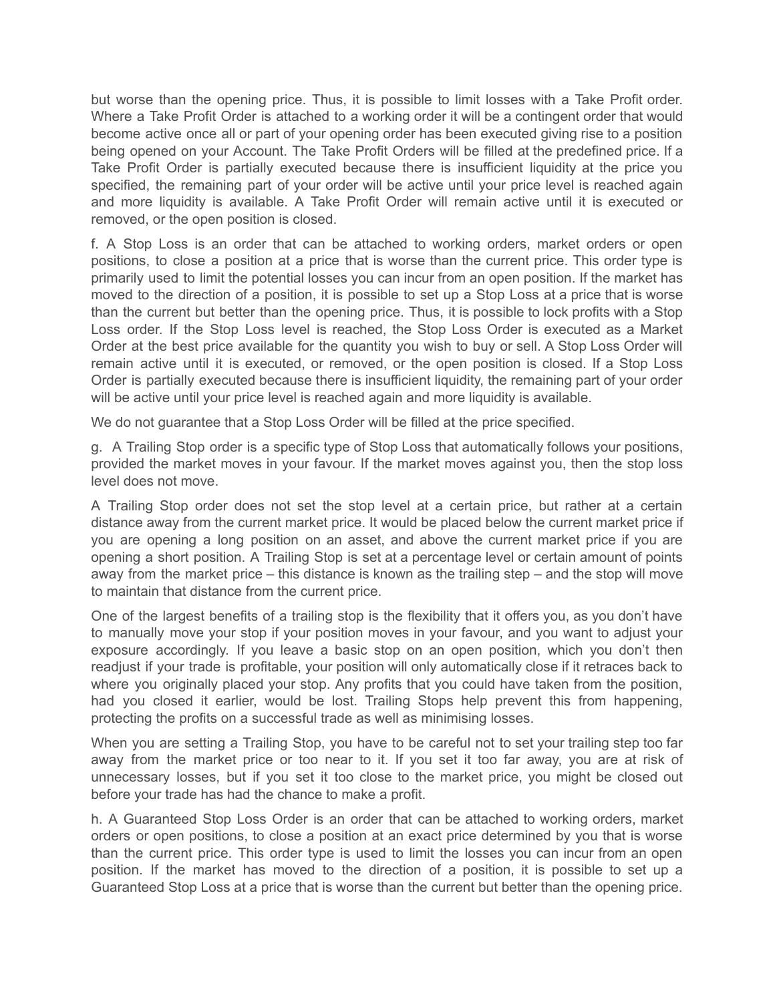but worse than the opening price. Thus, it is possible to limit losses with a Take Profit order. Where a Take Profit Order is attached to a working order it will be a contingent order that would become active once all or part of your opening order has been executed giving rise to a position being opened on your Account. The Take Profit Orders will be filled at the predefined price. If a Take Profit Order is partially executed because there is insufficient liquidity at the price you specified, the remaining part of your order will be active until your price level is reached again and more liquidity is available. A Take Profit Order will remain active until it is executed or removed, or the open position is closed.

f. A Stop Loss is an order that can be attached to working orders, market orders or open positions, to close a position at a price that is worse than the current price. This order type is primarily used to limit the potential losses you can incur from an open position. If the market has moved to the direction of a position, it is possible to set up a Stop Loss at a price that is worse than the current but better than the opening price. Thus, it is possible to lock profits with a Stop Loss order. If the Stop Loss level is reached, the Stop Loss Order is executed as a Market Order at the best price available for the quantity you wish to buy or sell. A Stop Loss Order will remain active until it is executed, or removed, or the open position is closed. If a Stop Loss Order is partially executed because there is insufficient liquidity, the remaining part of your order will be active until your price level is reached again and more liquidity is available.

We do not guarantee that a Stop Loss Order will be filled at the price specified.

g. A Trailing Stop order is a specific type of Stop Loss that automatically follows your positions, provided the market moves in your favour. If the market moves against you, then the stop loss level does not move.

A Trailing Stop order does not set the stop level at a certain price, but rather at a certain distance away from the current market price. It would be placed below the current market price if you are opening a long position on an asset, and above the current market price if you are opening a short position. A Trailing Stop is set at a percentage level or certain amount of points away from the market price – this distance is known as the trailing step – and the stop will move to maintain that distance from the current price.

One of the largest benefits of a trailing stop is the flexibility that it offers you, as you don't have to manually move your stop if your position moves in your favour, and you want to adjust your exposure accordingly. If you leave a basic stop on an open position, which you don't then readjust if your trade is profitable, your position will only automatically close if it retraces back to where you originally placed your stop. Any profits that you could have taken from the position, had you closed it earlier, would be lost. Trailing Stops help prevent this from happening, protecting the profits on a successful trade as well as minimising losses.

When you are setting a Trailing Stop, you have to be careful not to set your trailing step too far away from the market price or too near to it. If you set it too far away, you are at risk of unnecessary losses, but if you set it too close to the market price, you might be closed out before your trade has had the chance to make a profit.

h. A Guaranteed Stop Loss Order is an order that can be attached to working orders, market orders or open positions, to close a position at an exact price determined by you that is worse than the current price. This order type is used to limit the losses you can incur from an open position. If the market has moved to the direction of a position, it is possible to set up a Guaranteed Stop Loss at a price that is worse than the current but better than the opening price.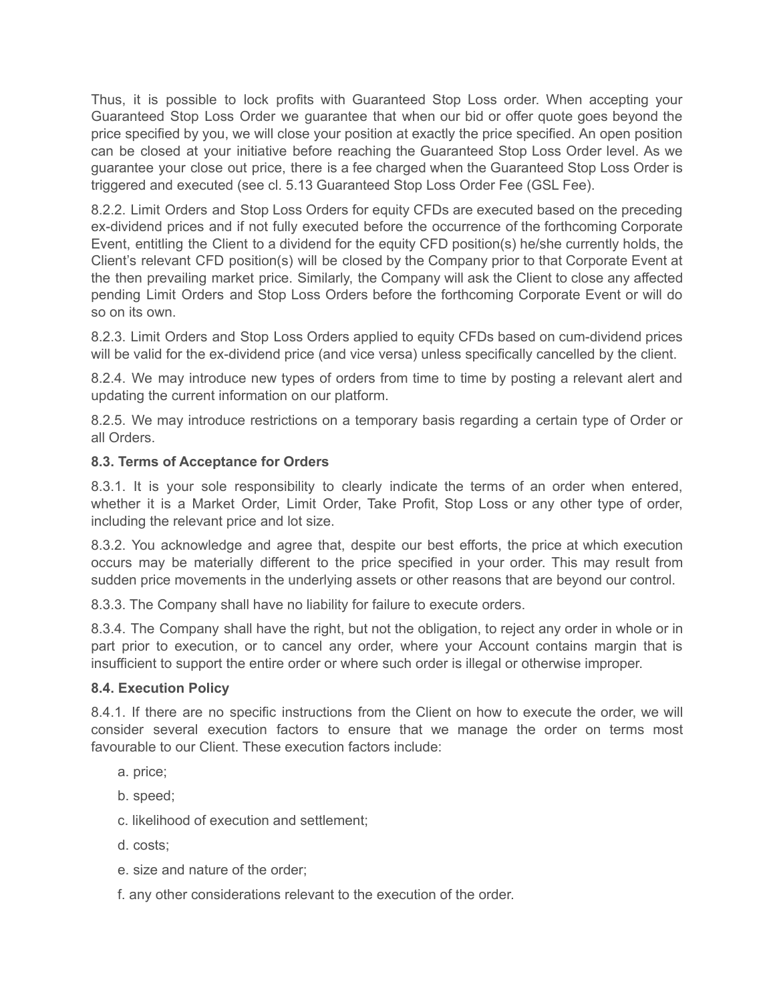Thus, it is possible to lock profits with Guaranteed Stop Loss order. When accepting your Guaranteed Stop Loss Order we guarantee that when our bid or offer quote goes beyond the price specified by you, we will close your position at exactly the price specified. An open position can be closed at your initiative before reaching the Guaranteed Stop Loss Order level. As we guarantee your close out price, there is a fee charged when the Guaranteed Stop Loss Order is triggered and executed (see cl. 5.13 Guaranteed Stop Loss Order Fee (GSL Fee).

8.2.2. Limit Orders and Stop Loss Orders for equity CFDs are executed based on the preceding ex-dividend prices and if not fully executed before the occurrence of the forthcoming Corporate Event, entitling the Client to a dividend for the equity CFD position(s) he/she currently holds, the Client's relevant CFD position(s) will be closed by the Company prior to that Corporate Event at the then prevailing market price. Similarly, the Company will ask the Client to close any affected pending Limit Orders and Stop Loss Orders before the forthcoming Corporate Event or will do so on its own.

8.2.3. Limit Orders and Stop Loss Orders applied to equity CFDs based on cum-dividend prices will be valid for the ex-dividend price (and vice versa) unless specifically cancelled by the client.

8.2.4. We may introduce new types of orders from time to time by posting a relevant alert and updating the current information on our platform.

8.2.5. We may introduce restrictions on a temporary basis regarding a certain type of Order or all Orders.

# **8.3. Terms of Acceptance for Orders**

8.3.1. It is your sole responsibility to clearly indicate the terms of an order when entered, whether it is a Market Order, Limit Order, Take Profit, Stop Loss or any other type of order, including the relevant price and lot size.

8.3.2. You acknowledge and agree that, despite our best efforts, the price at which execution occurs may be materially different to the price specified in your order. This may result from sudden price movements in the underlying assets or other reasons that are beyond our control.

8.3.3. The Company shall have no liability for failure to execute orders.

8.3.4. The Company shall have the right, but not the obligation, to reject any order in whole or in part prior to execution, or to cancel any order, where your Account contains margin that is insufficient to support the entire order or where such order is illegal or otherwise improper.

## **8.4. Execution Policy**

8.4.1. If there are no specific instructions from the Client on how to execute the order, we will consider several execution factors to ensure that we manage the order on terms most favourable to our Client. These execution factors include:

- a. price;
- b. speed;
- c. likelihood of execution and settlement;
- d. costs;
- e. size and nature of the order;
- f. any other considerations relevant to the execution of the order.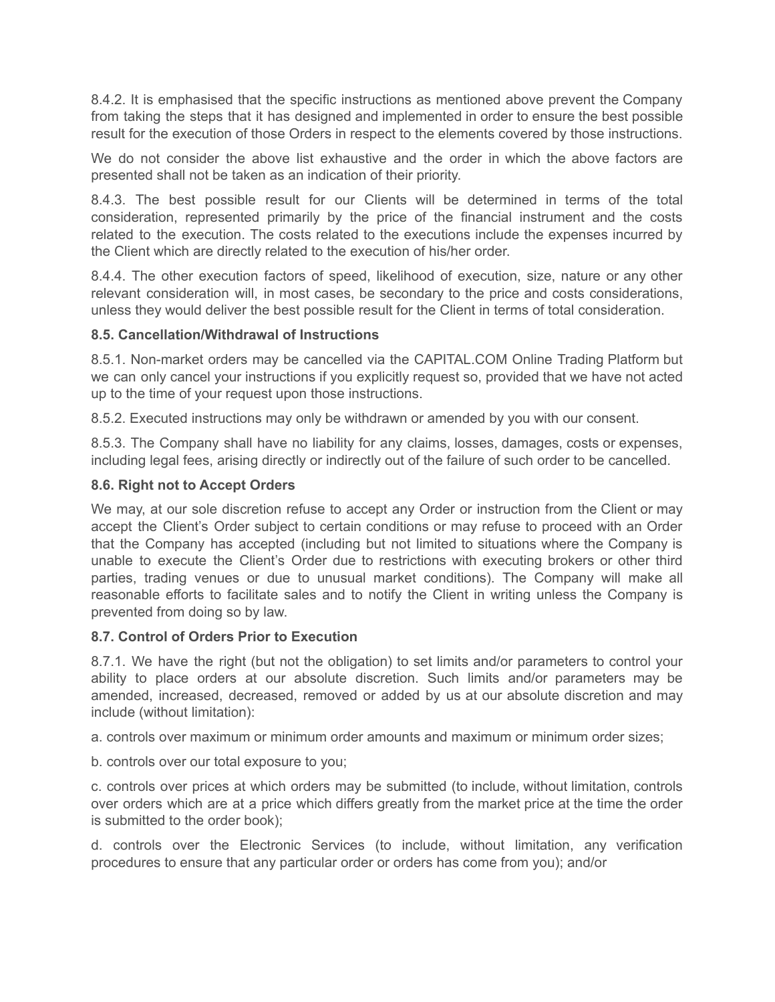8.4.2. It is emphasised that the specific instructions as mentioned above prevent the Company from taking the steps that it has designed and implemented in order to ensure the best possible result for the execution of those Orders in respect to the elements covered by those instructions.

We do not consider the above list exhaustive and the order in which the above factors are presented shall not be taken as an indication of their priority.

8.4.3. The best possible result for our Clients will be determined in terms of the total consideration, represented primarily by the price of the financial instrument and the costs related to the execution. The costs related to the executions include the expenses incurred by the Client which are directly related to the execution of his/her order.

8.4.4. The other execution factors of speed, likelihood of execution, size, nature or any other relevant consideration will, in most cases, be secondary to the price and costs considerations, unless they would deliver the best possible result for the Client in terms of total consideration.

## **8.5. Cancellation/Withdrawal of Instructions**

8.5.1. Non-market orders may be cancelled via the CAPITAL.COM Online Trading Platform but we can only cancel your instructions if you explicitly request so, provided that we have not acted up to the time of your request upon those instructions.

8.5.2. Executed instructions may only be withdrawn or amended by you with our consent.

8.5.3. The Company shall have no liability for any claims, losses, damages, costs or expenses, including legal fees, arising directly or indirectly out of the failure of such order to be cancelled.

## **8.6. Right not to Accept Orders**

We may, at our sole discretion refuse to accept any Order or instruction from the Client or may accept the Client's Order subject to certain conditions or may refuse to proceed with an Order that the Company has accepted (including but not limited to situations where the Company is unable to execute the Client's Order due to restrictions with executing brokers or other third parties, trading venues or due to unusual market conditions). The Company will make all reasonable efforts to facilitate sales and to notify the Client in writing unless the Company is prevented from doing so by law.

## **8.7. Control of Orders Prior to Execution**

8.7.1. We have the right (but not the obligation) to set limits and/or parameters to control your ability to place orders at our absolute discretion. Such limits and/or parameters may be amended, increased, decreased, removed or added by us at our absolute discretion and may include (without limitation):

a. controls over maximum or minimum order amounts and maximum or minimum order sizes;

b. controls over our total exposure to you;

c. controls over prices at which orders may be submitted (to include, without limitation, controls over orders which are at a price which differs greatly from the market price at the time the order is submitted to the order book);

d. controls over the Electronic Services (to include, without limitation, any verification procedures to ensure that any particular order or orders has come from you); and/or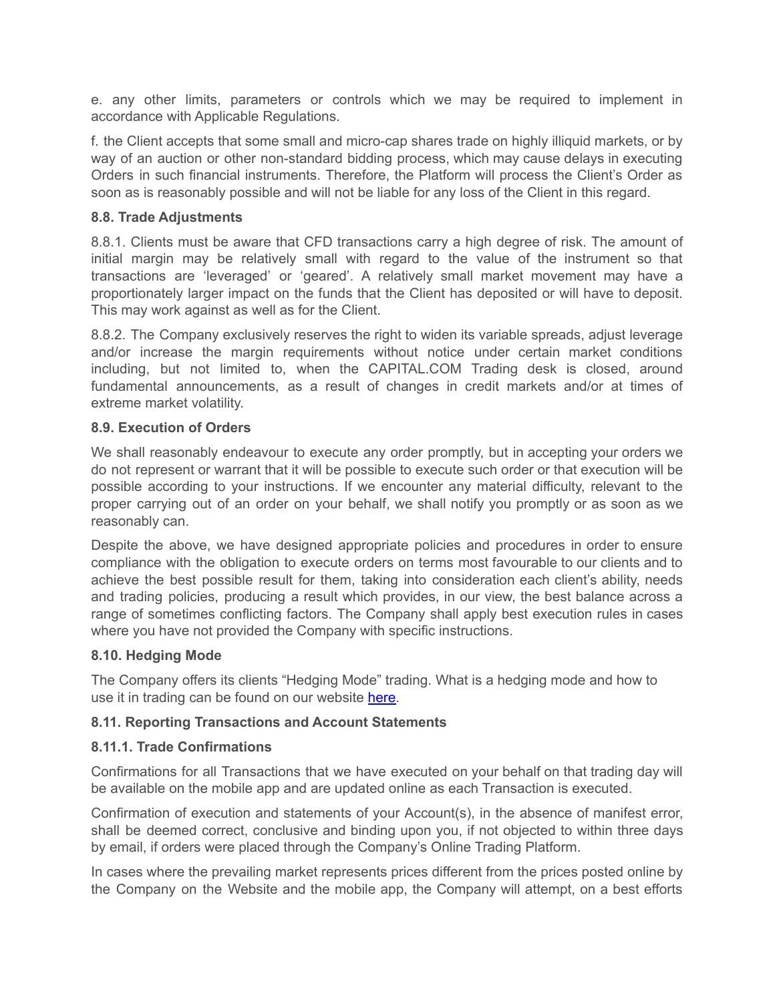e. any other limits, parameters or controls which we may be required to implement in accordance with Applicable Regulations.

f. the Client accepts that some small and micro-cap shares trade on highly illiquid markets, or by way of an auction or other non-standard bidding process, which may cause delays in executing Orders in such financial instruments. Therefore, the Platform will process the Client's Order as soon as is reasonably possible and will not be liable for any loss of the Client in this regard.

#### **8.8. Trade Adjustments**

8.8.1. Clients must be aware that CFD transactions carry a high degree of risk. The amount of initial margin may be relatively small with regard to the value of the instrument so that transactions are 'leveraged' or 'geared'. A relatively small market movement may have a proportionately larger impact on the funds that the Client has deposited or will have to deposit. This may work against as well as for the Client.

8.8.2. The Company exclusively reserves the right to widen its variable spreads, adjust leverage and/or increase the margin requirements without notice under certain market conditions including, but not limited to, when the CAPITAL.COM Trading desk is closed, around fundamental announcements, as a result of changes in credit markets and/or at times of extreme market volatility.

#### **8.9. Execution of Orders**

We shall reasonably endeavour to execute any order promptly, but in accepting your orders we do not represent or warrant that it will be possible to execute such order or that execution will be possible according to your instructions. If we encounter any material difficulty, relevant to the proper carrying out of an order on your behalf, we shall notify you promptly or as soon as we reasonably can.

Despite the above, we have designed appropriate policies and procedures in order to ensure compliance with the obligation to execute orders on terms most favourable to our clients and to achieve the best possible result for them, taking into consideration each client's ability, needs and trading policies, producing a result which provides, in our view, the best balance across a range of sometimes conflicting factors. The Company shall apply best execution rules in cases where you have not provided the Company with specific instructions.

## **8.10. Hedging Mode**

The Company offers its clients "Hedging Mode" trading. What is a hedging mode and how to use it in trading can be found on our website [here.](https://capital.com/what-is-hedging-mode-and-how-to-use-it-in-trading)

## **8.11. Reporting Transactions and Account Statements**

## **8.11.1. Trade Confirmations**

Confirmations for all Transactions that we have executed on your behalf on that trading day will be available on the mobile app and are updated online as each Transaction is executed.

Confirmation of execution and statements of your Account(s), in the absence of manifest error, shall be deemed correct, conclusive and binding upon you, if not objected to within three days by email, if orders were placed through the Company's Online Trading Platform.

In cases where the prevailing market represents prices different from the prices posted online by the Company on the Website and the mobile app, the Company will attempt, on a best efforts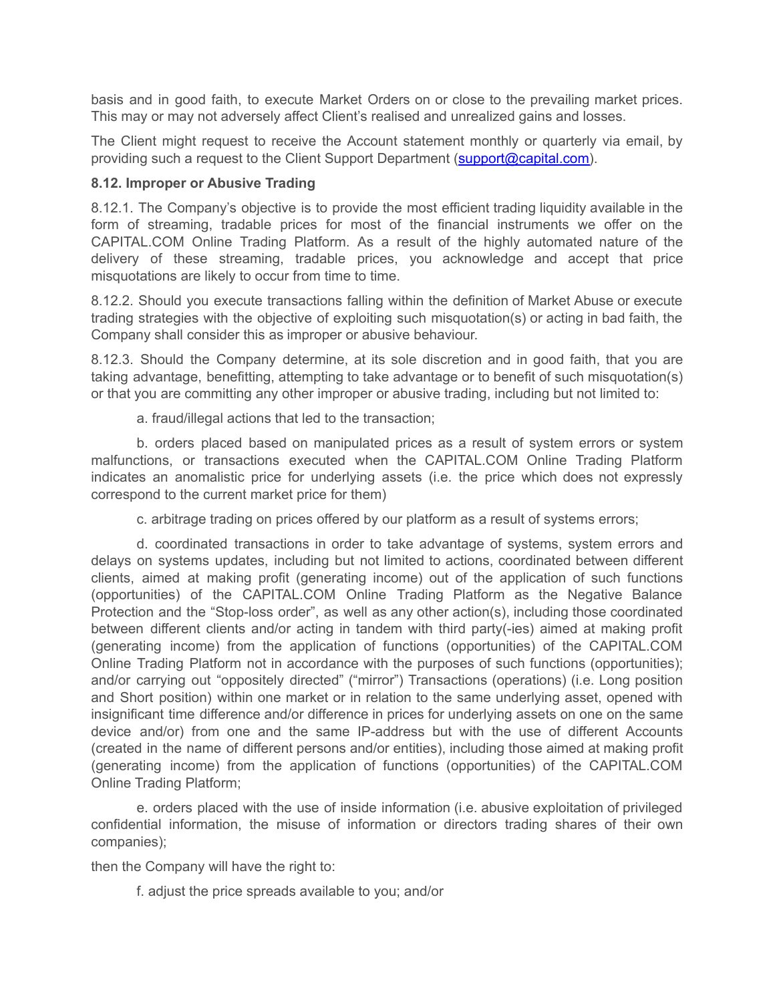basis and in good faith, to execute Market Orders on or close to the prevailing market prices. This may or may not adversely affect Client's realised and unrealized gains and losses.

The Client might request to receive the Account statement monthly or quarterly via email, by providing such a request to the Client Support Department [\(support@capital.com\)](mailto:support@capital.com).

#### **8.12. Improper or Abusive Trading**

8.12.1. The Company's objective is to provide the most efficient trading liquidity available in the form of streaming, tradable prices for most of the financial instruments we offer on the CAPITAL.COM Online Trading Platform. As a result of the highly automated nature of the delivery of these streaming, tradable prices, you acknowledge and accept that price misquotations are likely to occur from time to time.

8.12.2. Should you execute transactions falling within the definition of Market Abuse or execute trading strategies with the objective of exploiting such misquotation(s) or acting in bad faith, the Company shall consider this as improper or abusive behaviour.

8.12.3. Should the Company determine, at its sole discretion and in good faith, that you are taking advantage, benefitting, attempting to take advantage or to benefit of such misquotation(s) or that you are committing any other improper or abusive trading, including but not limited to:

a. fraud/illegal actions that led to the transaction;

b. orders placed based on manipulated prices as a result of system errors or system malfunctions, or transactions executed when the CAPITAL.COM Online Trading Platform indicates an anomalistic price for underlying assets (i.e. the price which does not expressly correspond to the current market price for them)

c. arbitrage trading on prices offered by our platform as a result of systems errors;

d. coordinated transactions in order to take advantage of systems, system errors and delays on systems updates, including but not limited to actions, coordinated between different clients, aimed at making profit (generating income) out of the application of such functions (opportunities) of the CAPITAL.COM Online Trading Platform as the Negative Balance Protection and the "Stop-loss order", as well as any other action(s), including those coordinated between different clients and/or acting in tandem with third party(-ies) aimed at making profit (generating income) from the application of functions (opportunities) of the CAPITAL.COM Online Trading Platform not in accordance with the purposes of such functions (opportunities); and/or carrying out "oppositely directed" ("mirror") Transactions (operations) (i.e. Long position and Short position) within one market or in relation to the same underlying asset, opened with insignificant time difference and/or difference in prices for underlying assets on one on the same device and/or) from one and the same IP-address but with the use of different Accounts (created in the name of different persons and/or entities), including those aimed at making profit (generating income) from the application of functions (opportunities) of the CAPITAL.COM Online Trading Platform;

e. orders placed with the use of inside information (i.e. abusive exploitation of privileged confidential information, the misuse of information or directors trading shares of their own companies);

then the Company will have the right to:

f. adjust the price spreads available to you; and/or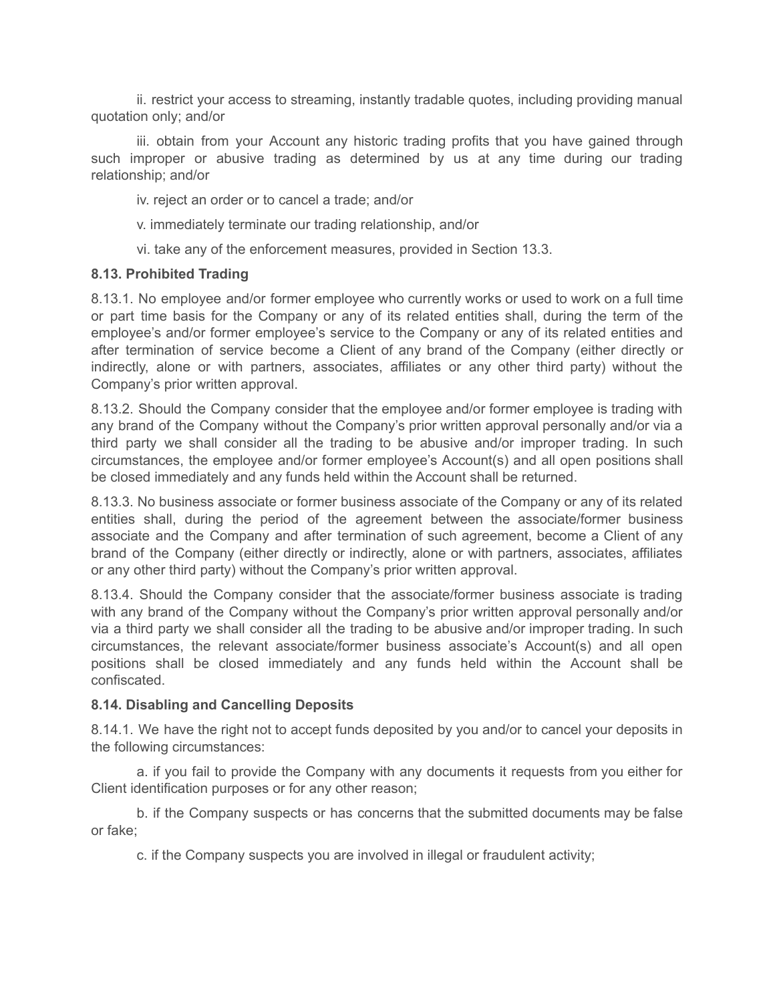ii. restrict your access to streaming, instantly tradable quotes, including providing manual quotation only; and/or

iii. obtain from your Account any historic trading profits that you have gained through such improper or abusive trading as determined by us at any time during our trading relationship; and/or

iv. reject an order or to cancel a trade; and/or

v. immediately terminate our trading relationship, and/or

vi. take any of the enforcement measures, provided in Section 13.3.

## **8.13. Prohibited Trading**

8.13.1. No employee and/or former employee who currently works or used to work on a full time or part time basis for the Company or any of its related entities shall, during the term of the employee's and/or former employee's service to the Company or any of its related entities and after termination of service become a Client of any brand of the Company (either directly or indirectly, alone or with partners, associates, affiliates or any other third party) without the Company's prior written approval.

8.13.2. Should the Company consider that the employee and/or former employee is trading with any brand of the Company without the Company's prior written approval personally and/or via a third party we shall consider all the trading to be abusive and/or improper trading. In such circumstances, the employee and/or former employee's Account(s) and all open positions shall be closed immediately and any funds held within the Account shall be returned.

8.13.3. No business associate or former business associate of the Company or any of its related entities shall, during the period of the agreement between the associate/former business associate and the Company and after termination of such agreement, become a Client of any brand of the Company (either directly or indirectly, alone or with partners, associates, affiliates or any other third party) without the Company's prior written approval.

8.13.4. Should the Company consider that the associate/former business associate is trading with any brand of the Company without the Company's prior written approval personally and/or via a third party we shall consider all the trading to be abusive and/or improper trading. In such circumstances, the relevant associate/former business associate's Account(s) and all open positions shall be closed immediately and any funds held within the Account shall be confiscated.

## **8.14. Disabling and Cancelling Deposits**

8.14.1. We have the right not to accept funds deposited by you and/or to cancel your deposits in the following circumstances:

a. if you fail to provide the Company with any documents it requests from you either for Client identification purposes or for any other reason;

b. if the Company suspects or has concerns that the submitted documents may be false or fake;

c. if the Company suspects you are involved in illegal or fraudulent activity;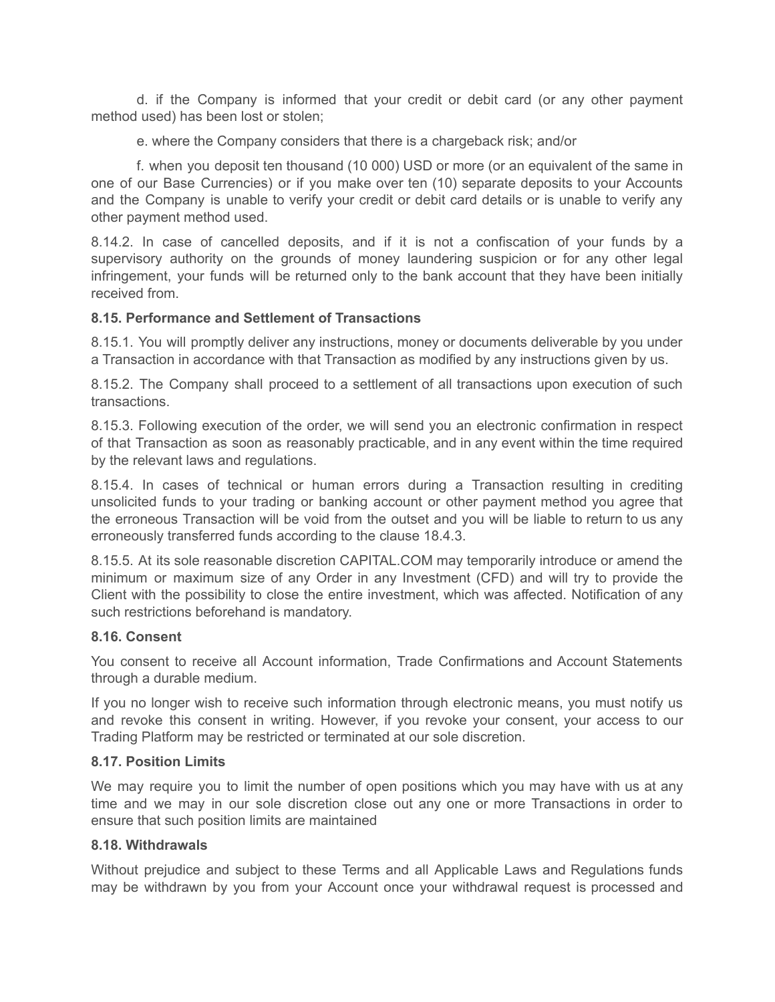d. if the Company is informed that your credit or debit card (or any other payment method used) has been lost or stolen;

e. where the Company considers that there is a chargeback risk; and/or

f. when you deposit ten thousand (10 000) USD or more (or an equivalent of the same in one of our Base Currencies) or if you make over ten (10) separate deposits to your Accounts and the Company is unable to verify your credit or debit card details or is unable to verify any other payment method used.

8.14.2. In case of cancelled deposits, and if it is not a confiscation of your funds by a supervisory authority on the grounds of money laundering suspicion or for any other legal infringement, your funds will be returned only to the bank account that they have been initially received from.

## **8.15. Performance and Settlement of Transactions**

8.15.1. You will promptly deliver any instructions, money or documents deliverable by you under a Transaction in accordance with that Transaction as modified by any instructions given by us.

8.15.2. The Company shall proceed to a settlement of all transactions upon execution of such transactions.

8.15.3. Following execution of the order, we will send you an electronic confirmation in respect of that Transaction as soon as reasonably practicable, and in any event within the time required by the relevant laws and regulations.

8.15.4. In cases of technical or human errors during a Transaction resulting in crediting unsolicited funds to your trading or banking account or other payment method you agree that the erroneous Transaction will be void from the outset and you will be liable to return to us any erroneously transferred funds according to the clause 18.4.3.

8.15.5. At its sole reasonable discretion CAPITAL.COM may temporarily introduce or amend the minimum or maximum size of any Order in any Investment (CFD) and will try to provide the Client with the possibility to close the entire investment, which was affected. Notification of any such restrictions beforehand is mandatory.

#### **8.16. Consent**

You consent to receive all Account information, Trade Confirmations and Account Statements through a durable medium.

If you no longer wish to receive such information through electronic means, you must notify us and revoke this consent in writing. However, if you revoke your consent, your access to our Trading Platform may be restricted or terminated at our sole discretion.

#### **8.17. Position Limits**

We may require you to limit the number of open positions which you may have with us at any time and we may in our sole discretion close out any one or more Transactions in order to ensure that such position limits are maintained

#### **8.18. Withdrawals**

Without prejudice and subject to these Terms and all Applicable Laws and Regulations funds may be withdrawn by you from your Account once your withdrawal request is processed and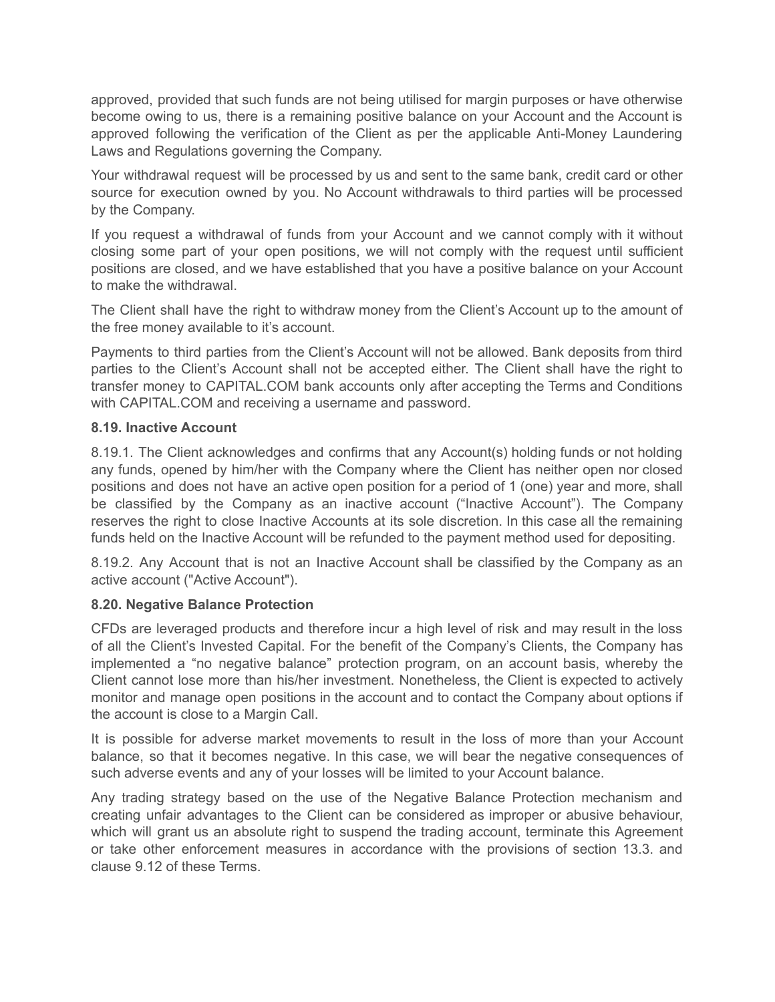approved, provided that such funds are not being utilised for margin purposes or have otherwise become owing to us, there is a remaining positive balance on your Account and the Account is approved following the verification of the Client as per the applicable Anti-Money Laundering Laws and Regulations governing the Company.

Your withdrawal request will be processed by us and sent to the same bank, credit card or other source for execution owned by you. No Account withdrawals to third parties will be processed by the Company.

If you request a withdrawal of funds from your Account and we cannot comply with it without closing some part of your open positions, we will not comply with the request until sufficient positions are closed, and we have established that you have a positive balance on your Account to make the withdrawal.

The Client shall have the right to withdraw money from the Client's Account up to the amount of the free money available to it's account.

Payments to third parties from the Client's Account will not be allowed. Bank deposits from third parties to the Client's Account shall not be accepted either. The Client shall have the right to transfer money to CAPITAL.COM bank accounts only after accepting the Terms and Conditions with CAPITAL.COM and receiving a username and password.

## **8.19. Inactive Account**

8.19.1. The Client acknowledges and confirms that any Account(s) holding funds or not holding any funds, opened by him/her with the Company where the Client has neither open nor closed positions and does not have an active open position for a period of 1 (one) year and more, shall be classified by the Company as an inactive account ("Inactive Account"). The Company reserves the right to close Inactive Accounts at its sole discretion. In this case all the remaining funds held on the Inactive Account will be refunded to the payment method used for depositing.

8.19.2. Any Account that is not an Inactive Account shall be classified by the Company as an active account ("Active Account").

## **8.20. Negative Balance Protection**

CFDs are leveraged products and therefore incur a high level of risk and may result in the loss of all the Client's Invested Capital. For the benefit of the Company's Clients, the Company has implemented a "no negative balance" protection program, on an account basis, whereby the Client cannot lose more than his/her investment. Nonetheless, the Client is expected to actively monitor and manage open positions in the account and to contact the Company about options if the account is close to a Margin Call.

It is possible for adverse market movements to result in the loss of more than your Account balance, so that it becomes negative. In this case, we will bear the negative consequences of such adverse events and any of your losses will be limited to your Account balance.

Any trading strategy based on the use of the Negative Balance Protection mechanism and creating unfair advantages to the Client can be considered as improper or abusive behaviour, which will grant us an absolute right to suspend the trading account, terminate this Agreement or take other enforcement measures in accordance with the provisions of section 13.3. and clause 9.12 of these Terms.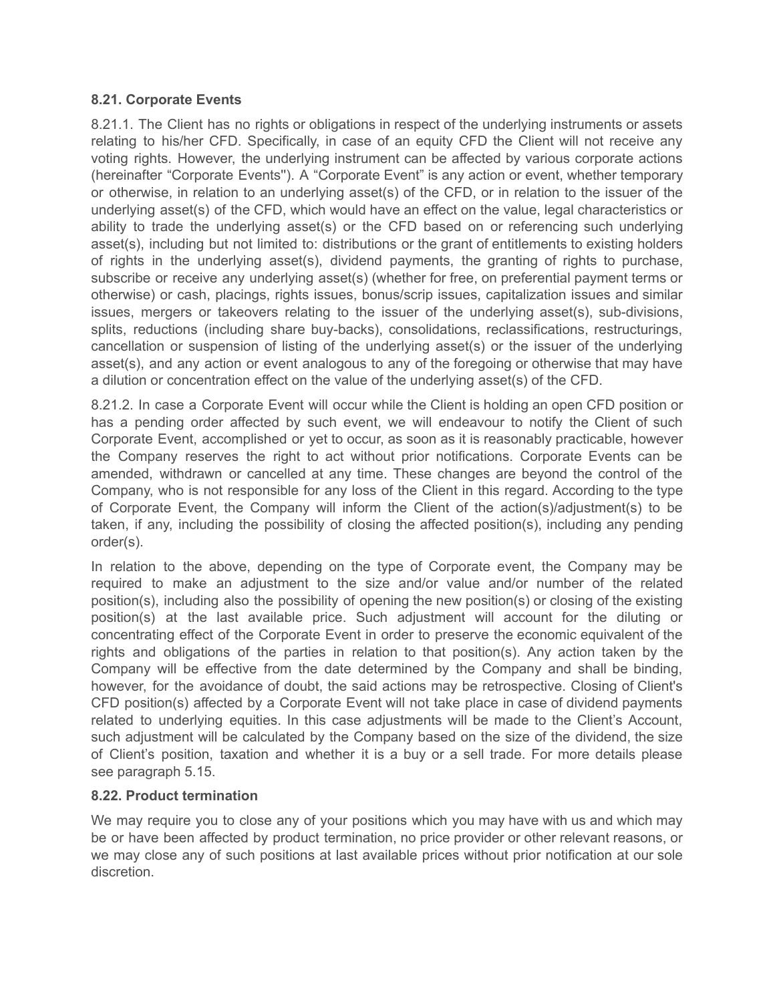#### **8.21. Corporate Events**

8.21.1. The Client has no rights or obligations in respect of the underlying instruments or assets relating to his/her CFD. Specifically, in case of an equity CFD the Client will not receive any voting rights. However, the underlying instrument can be affected by various corporate actions (hereinafter "Corporate Events''). A "Corporate Event" is any action or event, whether temporary or otherwise, in relation to an underlying asset(s) of the CFD, or in relation to the issuer of the underlying asset(s) of the CFD, which would have an effect on the value, legal characteristics or ability to trade the underlying asset(s) or the CFD based on or referencing such underlying asset(s), including but not limited to: distributions or the grant of entitlements to existing holders of rights in the underlying asset(s), dividend payments, the granting of rights to purchase, subscribe or receive any underlying asset(s) (whether for free, on preferential payment terms or otherwise) or cash, placings, rights issues, bonus/scrip issues, capitalization issues and similar issues, mergers or takeovers relating to the issuer of the underlying asset(s), sub-divisions, splits, reductions (including share buy-backs), consolidations, reclassifications, restructurings, cancellation or suspension of listing of the underlying asset(s) or the issuer of the underlying asset(s), and any action or event analogous to any of the foregoing or otherwise that may have a dilution or concentration effect on the value of the underlying asset(s) of the CFD.

8.21.2. In case a Corporate Event will occur while the Client is holding an open CFD position or has a pending order affected by such event, we will endeavour to notify the Client of such Corporate Event, accomplished or yet to occur, as soon as it is reasonably practicable, however the Company reserves the right to act without prior notifications. Corporate Events can be amended, withdrawn or cancelled at any time. These changes are beyond the control of the Company, who is not responsible for any loss of the Client in this regard. According to the type of Corporate Event, the Company will inform the Client of the action(s)/adjustment(s) to be taken, if any, including the possibility of closing the affected position(s), including any pending order(s).

In relation to the above, depending on the type of Corporate event, the Company may be required to make an adjustment to the size and/or value and/or number of the related position(s), including also the possibility of opening the new position(s) or closing of the existing position(s) at the last available price. Such adjustment will account for the diluting or concentrating effect of the Corporate Event in order to preserve the economic equivalent of the rights and obligations of the parties in relation to that position(s). Any action taken by the Company will be effective from the date determined by the Company and shall be binding, however, for the avoidance of doubt, the said actions may be retrospective. Closing of Client's CFD position(s) affected by a Corporate Event will not take place in case of dividend payments related to underlying equities. In this case adjustments will be made to the Client's Account, such adjustment will be calculated by the Company based on the size of the dividend, the size of Client's position, taxation and whether it is a buy or a sell trade. For more details please see paragraph 5.15.

## **8.22. Product termination**

We may require you to close any of your positions which you may have with us and which may be or have been affected by product termination, no price provider or other relevant reasons, or we may close any of such positions at last available prices without prior notification at our sole discretion.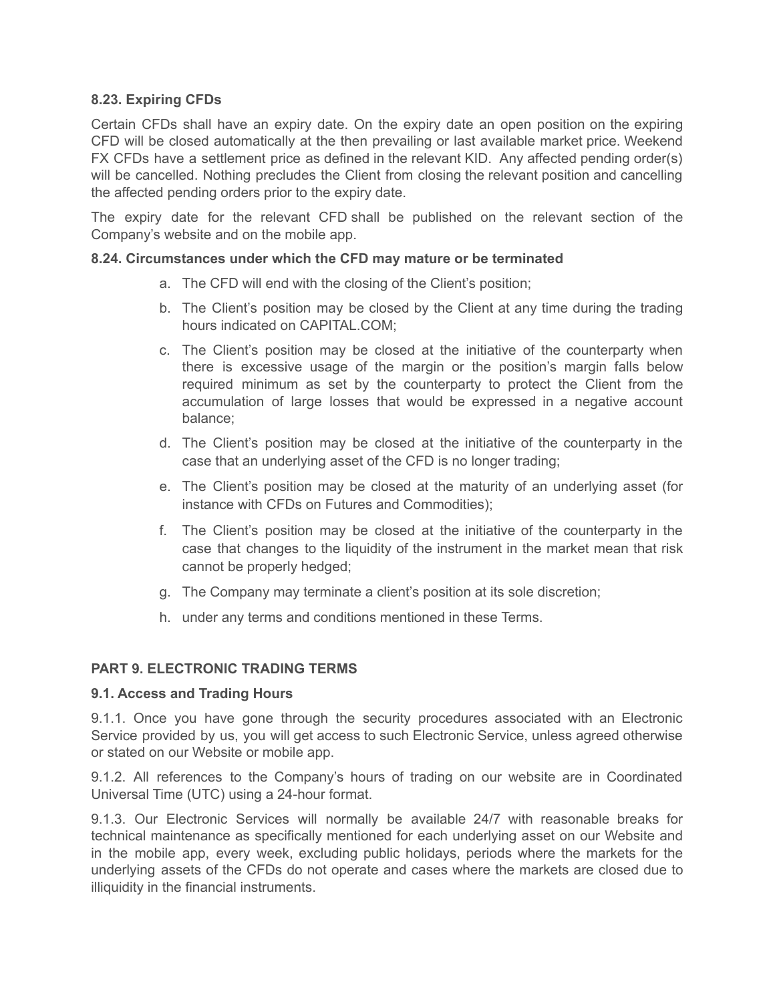# **8.23. Expiring CFDs**

Certain CFDs shall have an expiry date. On the expiry date an open position on the expiring CFD will be closed automatically at the then prevailing or last available market price. Weekend FX CFDs have a settlement price as defined in the relevant KID. Any affected pending order(s) will be cancelled. Nothing precludes the Client from closing the relevant position and cancelling the affected pending orders prior to the expiry date.

The expiry date for the relevant CFD shall be published on the relevant section of the Company's website and on the mobile app.

#### **8.24. Circumstances under which the CFD may mature or be terminated**

- a. The CFD will end with the closing of the Client's position;
- b. The Client's position may be closed by the Client at any time during the trading hours indicated on CAPITAL.COM;
- c. The Client's position may be closed at the initiative of the counterparty when there is excessive usage of the margin or the position's margin falls below required minimum as set by the counterparty to protect the Client from the accumulation of large losses that would be expressed in a negative account balance;
- d. The Client's position may be closed at the initiative of the counterparty in the case that an underlying asset of the CFD is no longer trading;
- e. The Client's position may be closed at the maturity of an underlying asset (for instance with CFDs on Futures and Commodities);
- f. The Client's position may be closed at the initiative of the counterparty in the case that changes to the liquidity of the instrument in the market mean that risk cannot be properly hedged;
- g. The Company may terminate a client's position at its sole discretion;
- h. under any terms and conditions mentioned in these Terms.

## **PART 9. ELECTRONIC TRADING TERMS**

## **9.1. Access and Trading Hours**

9.1.1. Once you have gone through the security procedures associated with an Electronic Service provided by us, you will get access to such Electronic Service, unless agreed otherwise or stated on our Website or mobile app.

9.1.2. All references to the Company's hours of trading on our website are in Coordinated Universal Time (UTC) using a 24-hour format.

9.1.3. Our Electronic Services will normally be available 24/7 with reasonable breaks for technical maintenance as specifically mentioned for each underlying asset on our Website and in the mobile app, every week, excluding public holidays, periods where the markets for the underlying assets of the CFDs do not operate and cases where the markets are closed due to illiquidity in the financial instruments.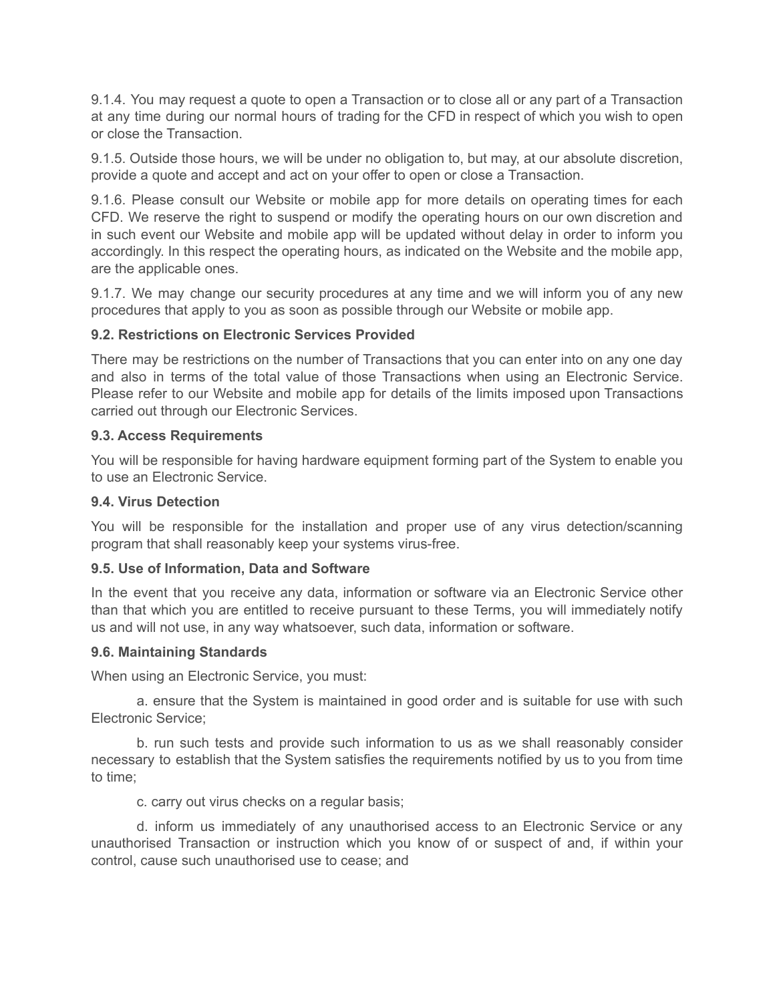9.1.4. You may request a quote to open a Transaction or to close all or any part of a Transaction at any time during our normal hours of trading for the CFD in respect of which you wish to open or close the Transaction.

9.1.5. Outside those hours, we will be under no obligation to, but may, at our absolute discretion, provide a quote and accept and act on your offer to open or close a Transaction.

9.1.6. Please consult our Website or mobile app for more details on operating times for each CFD. We reserve the right to suspend or modify the operating hours on our own discretion and in such event our Website and mobile app will be updated without delay in order to inform you accordingly. In this respect the operating hours, as indicated on the Website and the mobile app, are the applicable ones.

9.1.7. We may change our security procedures at any time and we will inform you of any new procedures that apply to you as soon as possible through our Website or mobile app.

## **9.2. Restrictions on Electronic Services Provided**

There may be restrictions on the number of Transactions that you can enter into on any one day and also in terms of the total value of those Transactions when using an Electronic Service. Please refer to our Website and mobile app for details of the limits imposed upon Transactions carried out through our Electronic Services.

## **9.3. Access Requirements**

You will be responsible for having hardware equipment forming part of the System to enable you to use an Electronic Service.

#### **9.4. Virus Detection**

You will be responsible for the installation and proper use of any virus detection/scanning program that shall reasonably keep your systems virus-free.

## **9.5. Use of Information, Data and Software**

In the event that you receive any data, information or software via an Electronic Service other than that which you are entitled to receive pursuant to these Terms, you will immediately notify us and will not use, in any way whatsoever, such data, information or software.

#### **9.6. Maintaining Standards**

When using an Electronic Service, you must:

a. ensure that the System is maintained in good order and is suitable for use with such Electronic Service;

b. run such tests and provide such information to us as we shall reasonably consider necessary to establish that the System satisfies the requirements notified by us to you from time to time;

c. carry out virus checks on a regular basis;

d. inform us immediately of any unauthorised access to an Electronic Service or any unauthorised Transaction or instruction which you know of or suspect of and, if within your control, cause such unauthorised use to cease; and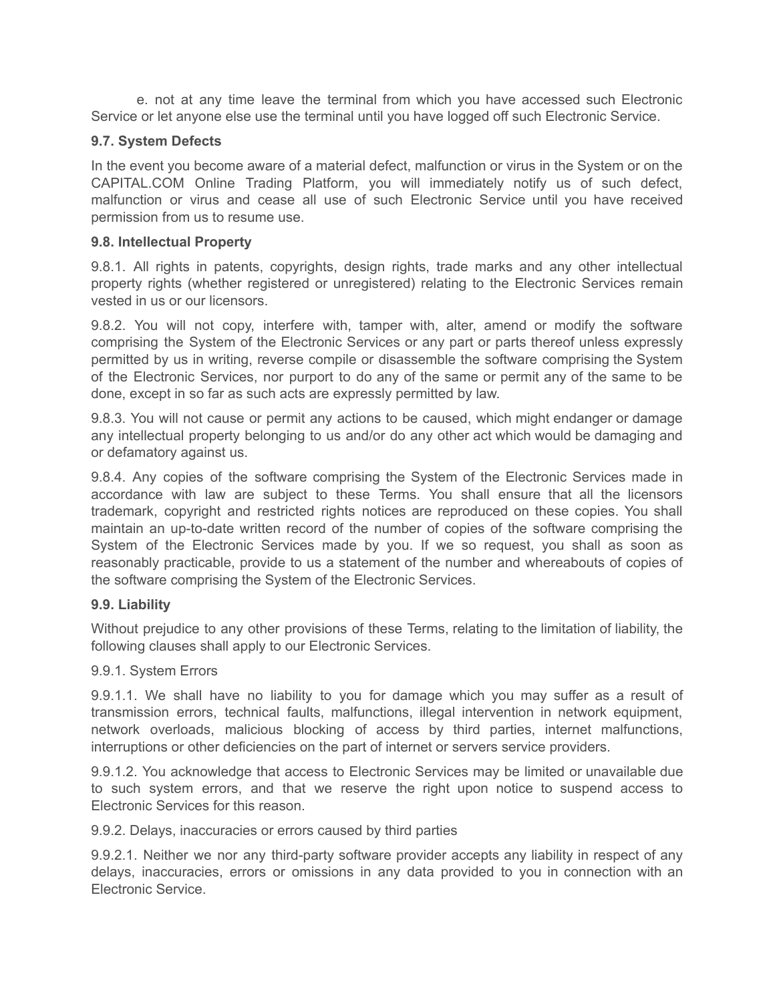e. not at any time leave the terminal from which you have accessed such Electronic Service or let anyone else use the terminal until you have logged off such Electronic Service.

#### **9.7. System Defects**

In the event you become aware of a material defect, malfunction or virus in the System or on the CAPITAL.COM Online Trading Platform, you will immediately notify us of such defect, malfunction or virus and cease all use of such Electronic Service until you have received permission from us to resume use.

#### **9.8. Intellectual Property**

9.8.1. All rights in patents, copyrights, design rights, trade marks and any other intellectual property rights (whether registered or unregistered) relating to the Electronic Services remain vested in us or our licensors.

9.8.2. You will not copy, interfere with, tamper with, alter, amend or modify the software comprising the System of the Electronic Services or any part or parts thereof unless expressly permitted by us in writing, reverse compile or disassemble the software comprising the System of the Electronic Services, nor purport to do any of the same or permit any of the same to be done, except in so far as such acts are expressly permitted by law.

9.8.3. You will not cause or permit any actions to be caused, which might endanger or damage any intellectual property belonging to us and/or do any other act which would be damaging and or defamatory against us.

9.8.4. Any copies of the software comprising the System of the Electronic Services made in accordance with law are subject to these Terms. You shall ensure that all the licensors trademark, copyright and restricted rights notices are reproduced on these copies. You shall maintain an up-to-date written record of the number of copies of the software comprising the System of the Electronic Services made by you. If we so request, you shall as soon as reasonably practicable, provide to us a statement of the number and whereabouts of copies of the software comprising the System of the Electronic Services.

#### **9.9. Liability**

Without prejudice to any other provisions of these Terms, relating to the limitation of liability, the following clauses shall apply to our Electronic Services.

#### 9.9.1. System Errors

9.9.1.1. We shall have no liability to you for damage which you may suffer as a result of transmission errors, technical faults, malfunctions, illegal intervention in network equipment, network overloads, malicious blocking of access by third parties, internet malfunctions, interruptions or other deficiencies on the part of internet or servers service providers.

9.9.1.2. You acknowledge that access to Electronic Services may be limited or unavailable due to such system errors, and that we reserve the right upon notice to suspend access to Electronic Services for this reason.

9.9.2. Delays, inaccuracies or errors caused by third parties

9.9.2.1. Neither we nor any third-party software provider accepts any liability in respect of any delays, inaccuracies, errors or omissions in any data provided to you in connection with an Electronic Service.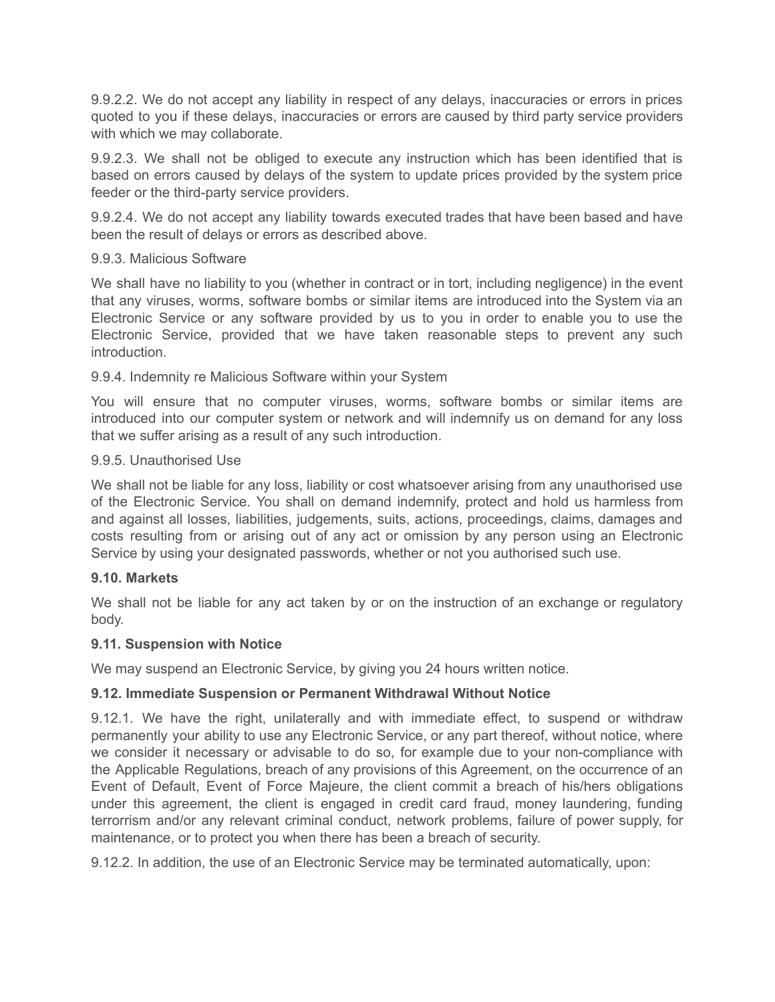9.9.2.2. We do not accept any liability in respect of any delays, inaccuracies or errors in prices quoted to you if these delays, inaccuracies or errors are caused by third party service providers with which we may collaborate.

9.9.2.3. We shall not be obliged to execute any instruction which has been identified that is based on errors caused by delays of the system to update prices provided by the system price feeder or the third-party service providers.

9.9.2.4. We do not accept any liability towards executed trades that have been based and have been the result of delays or errors as described above.

#### 9.9.3. Malicious Software

We shall have no liability to you (whether in contract or in tort, including negligence) in the event that any viruses, worms, software bombs or similar items are introduced into the System via an Electronic Service or any software provided by us to you in order to enable you to use the Electronic Service, provided that we have taken reasonable steps to prevent any such introduction.

#### 9.9.4. Indemnity re Malicious Software within your System

You will ensure that no computer viruses, worms, software bombs or similar items are introduced into our computer system or network and will indemnify us on demand for any loss that we suffer arising as a result of any such introduction.

#### 9.9.5. Unauthorised Use

We shall not be liable for any loss, liability or cost whatsoever arising from any unauthorised use of the Electronic Service. You shall on demand indemnify, protect and hold us harmless from and against all losses, liabilities, judgements, suits, actions, proceedings, claims, damages and costs resulting from or arising out of any act or omission by any person using an Electronic Service by using your designated passwords, whether or not you authorised such use.

#### **9.10. Markets**

We shall not be liable for any act taken by or on the instruction of an exchange or regulatory body.

#### **9.11. Suspension with Notice**

We may suspend an Electronic Service, by giving you 24 hours written notice.

## **9.12. Immediate Suspension or Permanent Withdrawal Without Notice**

9.12.1. We have the right, unilaterally and with immediate effect, to suspend or withdraw permanently your ability to use any Electronic Service, or any part thereof, without notice, where we consider it necessary or advisable to do so, for example due to your non-compliance with the Applicable Regulations, breach of any provisions of this Agreement, on the occurrence of an Event of Default, Event of Force Majeure, the client commit a breach of his/hers obligations under this agreement, the client is engaged in credit card fraud, money laundering, funding terrorrism and/or any relevant criminal conduct, network problems, failure of power supply, for maintenance, or to protect you when there has been a breach of security.

9.12.2. In addition, the use of an Electronic Service may be terminated automatically, upon: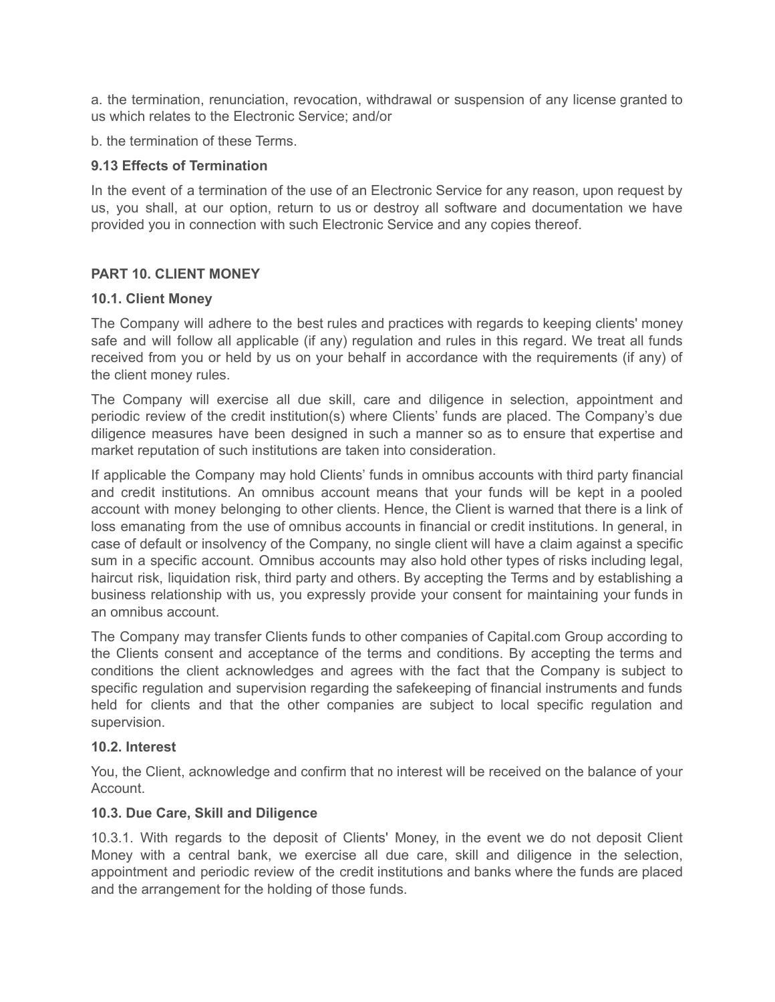a. the termination, renunciation, revocation, withdrawal or suspension of any license granted to us which relates to the Electronic Service; and/or

b. the termination of these Terms.

## **9.13 Effects of Termination**

In the event of a termination of the use of an Electronic Service for any reason, upon request by us, you shall, at our option, return to us or destroy all software and documentation we have provided you in connection with such Electronic Service and any copies thereof.

# **PART 10. CLIENT MONEY**

## **10.1. Client Money**

The Company will adhere to the best rules and practices with regards to keeping clients' money safe and will follow all applicable (if any) regulation and rules in this regard. We treat all funds received from you or held by us on your behalf in accordance with the requirements (if any) of the client money rules.

The Company will exercise all due skill, care and diligence in selection, appointment and periodic review of the credit institution(s) where Clients' funds are placed. The Company's due diligence measures have been designed in such a manner so as to ensure that expertise and market reputation of such institutions are taken into consideration.

If applicable the Company may hold Clients' funds in omnibus accounts with third party financial and credit institutions. An omnibus account means that your funds will be kept in a pooled account with money belonging to other clients. Hence, the Client is warned that there is a link of loss emanating from the use of omnibus accounts in financial or credit institutions. In general, in case of default or insolvency of the Company, no single client will have a claim against a specific sum in a specific account. Omnibus accounts may also hold other types of risks including legal, haircut risk, liquidation risk, third party and others. By accepting the Terms and by establishing a business relationship with us, you expressly provide your consent for maintaining your funds in an omnibus account.

The Company may transfer Clients funds to other companies of Capital.com Group according to the Clients consent and acceptance of the terms and conditions. By accepting the terms and conditions the client acknowledges and agrees with the fact that the Company is subject to specific regulation and supervision regarding the safekeeping of financial instruments and funds held for clients and that the other companies are subject to local specific regulation and supervision.

## **10.2. Interest**

You, the Client, acknowledge and confirm that no interest will be received on the balance of your Account.

## **10.3. Due Care, Skill and Diligence**

10.3.1. With regards to the deposit of Clients' Money, in the event we do not deposit Client Money with a central bank, we exercise all due care, skill and diligence in the selection, appointment and periodic review of the credit institutions and banks where the funds are placed and the arrangement for the holding of those funds.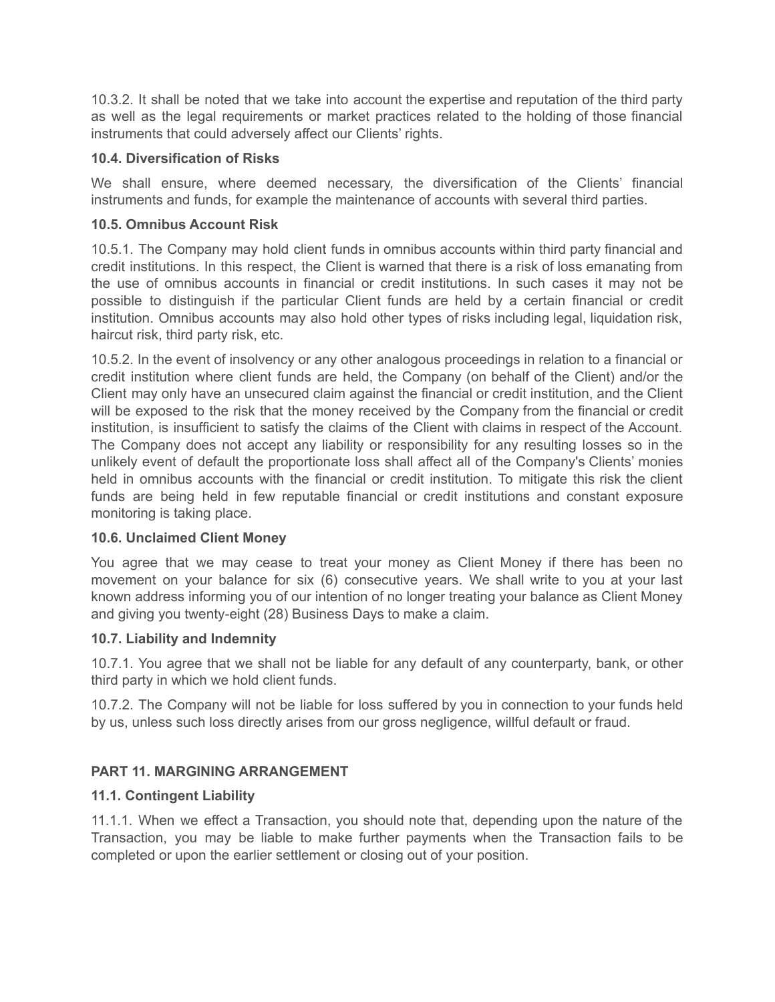10.3.2. It shall be noted that we take into account the expertise and reputation of the third party as well as the legal requirements or market practices related to the holding of those financial instruments that could adversely affect our Clients' rights.

# **10.4. Diversification of Risks**

We shall ensure, where deemed necessary, the diversification of the Clients' financial instruments and funds, for example the maintenance of accounts with several third parties.

# **10.5. Omnibus Account Risk**

10.5.1. The Company may hold client funds in omnibus accounts within third party financial and credit institutions. In this respect, the Client is warned that there is a risk of loss emanating from the use of omnibus accounts in financial or credit institutions. In such cases it may not be possible to distinguish if the particular Client funds are held by a certain financial or credit institution. Omnibus accounts may also hold other types of risks including legal, liquidation risk, haircut risk, third party risk, etc.

10.5.2. In the event of insolvency or any other analogous proceedings in relation to a financial or credit institution where client funds are held, the Company (on behalf of the Client) and/or the Client may only have an unsecured claim against the financial or credit institution, and the Client will be exposed to the risk that the money received by the Company from the financial or credit institution, is insufficient to satisfy the claims of the Client with claims in respect of the Account. The Company does not accept any liability or responsibility for any resulting losses so in the unlikely event of default the proportionate loss shall affect all of the Company's Clients' monies held in omnibus accounts with the financial or credit institution. To mitigate this risk the client funds are being held in few reputable financial or credit institutions and constant exposure monitoring is taking place.

## **10.6. Unclaimed Client Money**

You agree that we may cease to treat your money as Client Money if there has been no movement on your balance for six (6) consecutive years. We shall write to you at your last known address informing you of our intention of no longer treating your balance as Client Money and giving you twenty-eight (28) Business Days to make a claim.

## **10.7. Liability and Indemnity**

10.7.1. You agree that we shall not be liable for any default of any counterparty, bank, or other third party in which we hold client funds.

10.7.2. The Company will not be liable for loss suffered by you in connection to your funds held by us, unless such loss directly arises from our gross negligence, willful default or fraud.

# **PART 11. MARGINING ARRANGEMENT**

# **11.1. Contingent Liability**

11.1.1. When we effect a Transaction, you should note that, depending upon the nature of the Transaction, you may be liable to make further payments when the Transaction fails to be completed or upon the earlier settlement or closing out of your position.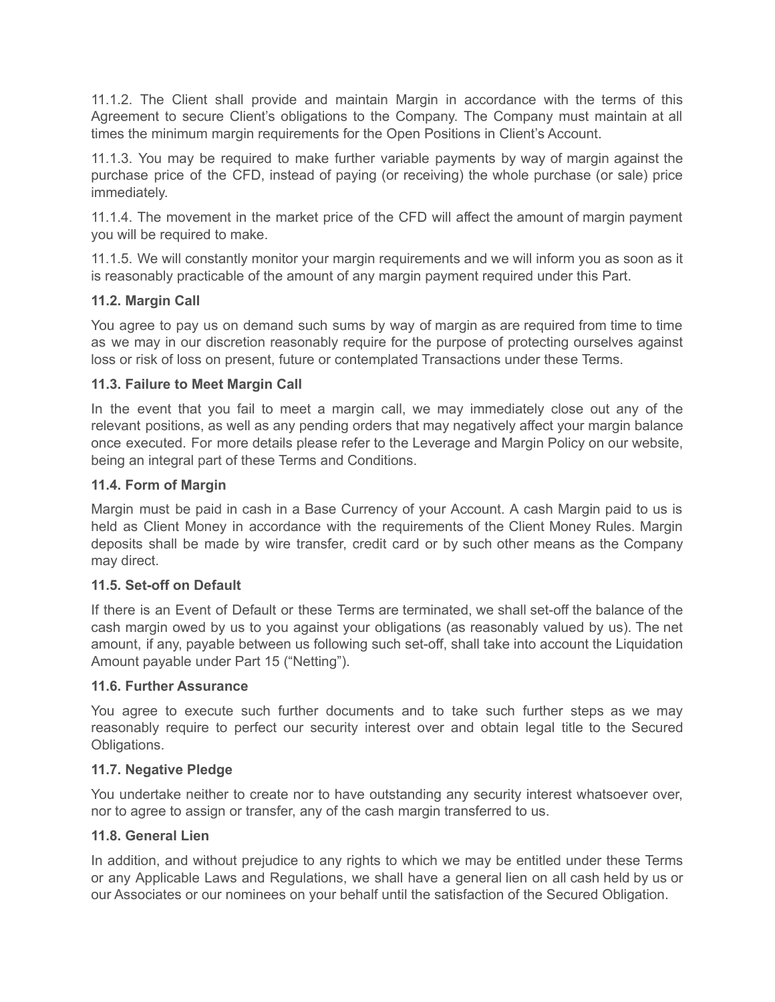11.1.2. The Client shall provide and maintain Margin in accordance with the terms of this Agreement to secure Client's obligations to the Company. The Company must maintain at all times the minimum margin requirements for the Open Positions in Client's Account.

11.1.3. You may be required to make further variable payments by way of margin against the purchase price of the CFD, instead of paying (or receiving) the whole purchase (or sale) price immediately.

11.1.4. The movement in the market price of the CFD will affect the amount of margin payment you will be required to make.

11.1.5. We will constantly monitor your margin requirements and we will inform you as soon as it is reasonably practicable of the amount of any margin payment required under this Part.

# **11.2. Margin Call**

You agree to pay us on demand such sums by way of margin as are required from time to time as we may in our discretion reasonably require for the purpose of protecting ourselves against loss or risk of loss on present, future or contemplated Transactions under these Terms.

# **11.3. Failure to Meet Margin Call**

In the event that you fail to meet a margin call, we may immediately close out any of the relevant positions, as well as any pending orders that may negatively affect your margin balance once executed. For more details please refer to the Leverage and Margin Policy on our website, being an integral part of these Terms and Conditions.

# **11.4. Form of Margin**

Margin must be paid in cash in a Base Currency of your Account. A cash Margin paid to us is held as Client Money in accordance with the requirements of the Client Money Rules. Margin deposits shall be made by wire transfer, credit card or by such other means as the Company may direct.

## **11.5. Set-off on Default**

If there is an Event of Default or these Terms are terminated, we shall set-off the balance of the cash margin owed by us to you against your obligations (as reasonably valued by us). The net amount, if any, payable between us following such set-off, shall take into account the Liquidation Amount payable under Part 15 ("Netting").

## **11.6. Further Assurance**

You agree to execute such further documents and to take such further steps as we may reasonably require to perfect our security interest over and obtain legal title to the Secured Obligations.

## **11.7. Negative Pledge**

You undertake neither to create nor to have outstanding any security interest whatsoever over, nor to agree to assign or transfer, any of the cash margin transferred to us.

# **11.8. General Lien**

In addition, and without prejudice to any rights to which we may be entitled under these Terms or any Applicable Laws and Regulations, we shall have a general lien on all cash held by us or our Associates or our nominees on your behalf until the satisfaction of the Secured Obligation.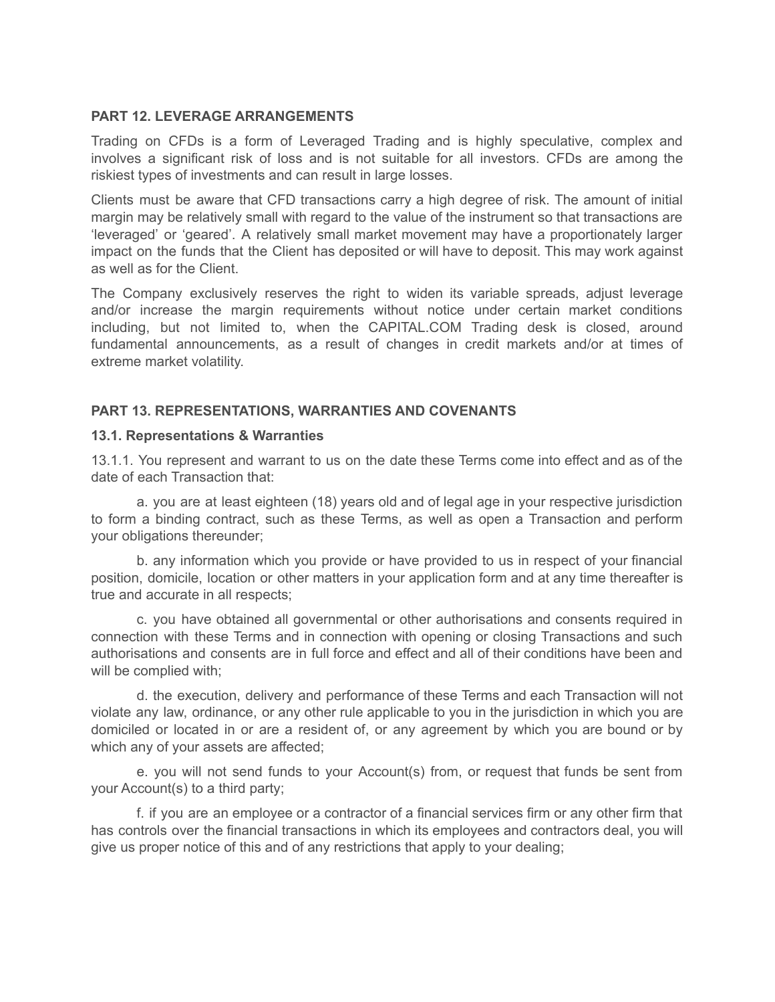## **PART 12. LEVERAGE ARRANGEMENTS**

Trading on CFDs is a form of Leveraged Trading and is highly speculative, complex and involves a significant risk of loss and is not suitable for all investors. CFDs are among the riskiest types of investments and can result in large losses.

Clients must be aware that CFD transactions carry a high degree of risk. The amount of initial margin may be relatively small with regard to the value of the instrument so that transactions are 'leveraged' or 'geared'. A relatively small market movement may have a proportionately larger impact on the funds that the Client has deposited or will have to deposit. This may work against as well as for the Client.

The Company exclusively reserves the right to widen its variable spreads, adjust leverage and/or increase the margin requirements without notice under certain market conditions including, but not limited to, when the CAPITAL.COM Trading desk is closed, around fundamental announcements, as a result of changes in credit markets and/or at times of extreme market volatility.

#### **PART 13. REPRESENTATIONS, WARRANTIES AND COVENANTS**

#### **13.1. Representations & Warranties**

13.1.1. You represent and warrant to us on the date these Terms come into effect and as of the date of each Transaction that:

a. you are at least eighteen (18) years old and of legal age in your respective jurisdiction to form a binding contract, such as these Terms, as well as open a Transaction and perform your obligations thereunder;

b. any information which you provide or have provided to us in respect of your financial position, domicile, location or other matters in your application form and at any time thereafter is true and accurate in all respects;

c. you have obtained all governmental or other authorisations and consents required in connection with these Terms and in connection with opening or closing Transactions and such authorisations and consents are in full force and effect and all of their conditions have been and will be complied with;

d. the execution, delivery and performance of these Terms and each Transaction will not violate any law, ordinance, or any other rule applicable to you in the jurisdiction in which you are domiciled or located in or are a resident of, or any agreement by which you are bound or by which any of your assets are affected;

e. you will not send funds to your Account(s) from, or request that funds be sent from your Account(s) to a third party;

f. if you are an employee or a contractor of a financial services firm or any other firm that has controls over the financial transactions in which its employees and contractors deal, you will give us proper notice of this and of any restrictions that apply to your dealing;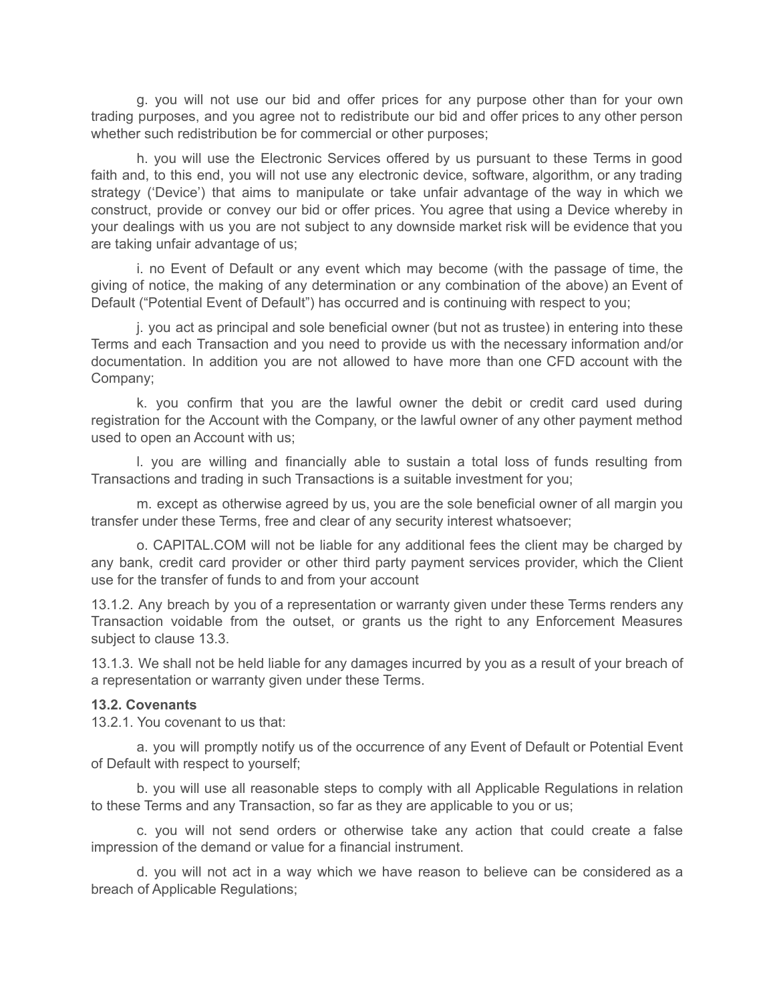g. you will not use our bid and offer prices for any purpose other than for your own trading purposes, and you agree not to redistribute our bid and offer prices to any other person whether such redistribution be for commercial or other purposes;

h. you will use the Electronic Services offered by us pursuant to these Terms in good faith and, to this end, you will not use any electronic device, software, algorithm, or any trading strategy ('Device') that aims to manipulate or take unfair advantage of the way in which we construct, provide or convey our bid or offer prices. You agree that using a Device whereby in your dealings with us you are not subject to any downside market risk will be evidence that you are taking unfair advantage of us;

i. no Event of Default or any event which may become (with the passage of time, the giving of notice, the making of any determination or any combination of the above) an Event of Default ("Potential Event of Default") has occurred and is continuing with respect to you;

j. you act as principal and sole beneficial owner (but not as trustee) in entering into these Terms and each Transaction and you need to provide us with the necessary information and/or documentation. In addition you are not allowed to have more than one CFD account with the Company;

k. you confirm that you are the lawful owner the debit or credit card used during registration for the Account with the Company, or the lawful owner of any other payment method used to open an Account with us;

l. you are willing and financially able to sustain a total loss of funds resulting from Transactions and trading in such Transactions is a suitable investment for you;

m. except as otherwise agreed by us, you are the sole beneficial owner of all margin you transfer under these Terms, free and clear of any security interest whatsoever;

o. CAPITAL.COM will not be liable for any additional fees the client may be charged by any bank, credit card provider or other third party payment services provider, which the Client use for the transfer of funds to and from your account

13.1.2. Any breach by you of a representation or warranty given under these Terms renders any Transaction voidable from the outset, or grants us the right to any Enforcement Measures subject to clause 13.3.

13.1.3. We shall not be held liable for any damages incurred by you as a result of your breach of a representation or warranty given under these Terms.

#### **13.2. Covenants**

13.2.1. You covenant to us that:

a. you will promptly notify us of the occurrence of any Event of Default or Potential Event of Default with respect to yourself;

b. you will use all reasonable steps to comply with all Applicable Regulations in relation to these Terms and any Transaction, so far as they are applicable to you or us;

c. you will not send orders or otherwise take any action that could create a false impression of the demand or value for a financial instrument.

d. you will not act in a way which we have reason to believe can be considered as a breach of Applicable Regulations;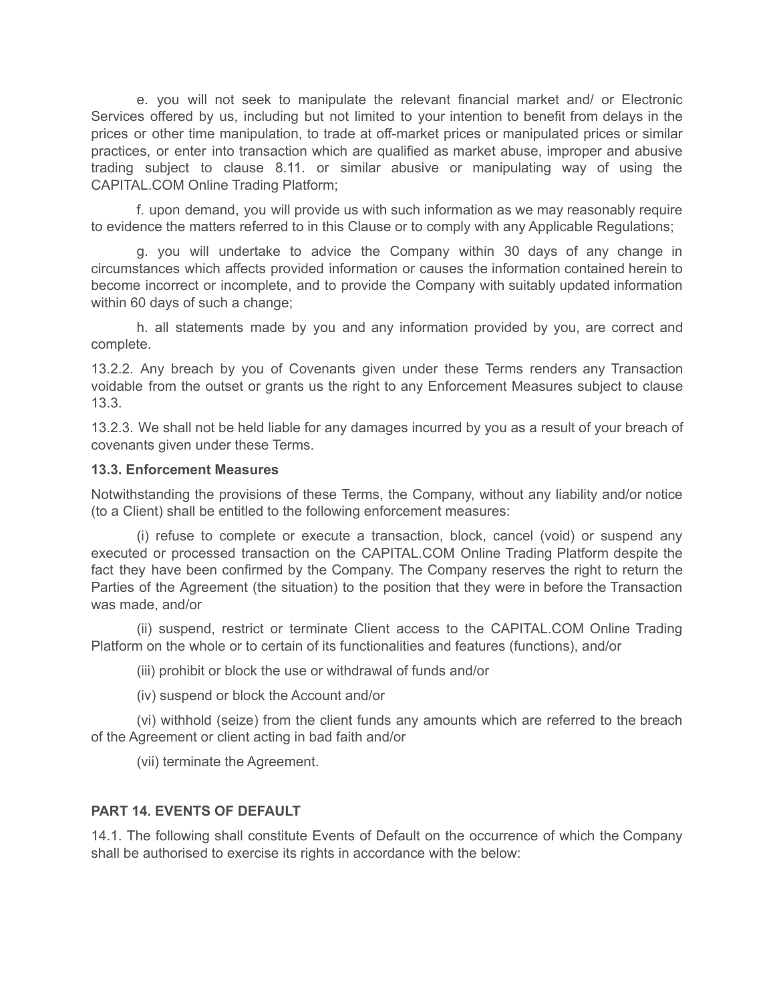e. you will not seek to manipulate the relevant financial market and/ or Electronic Services offered by us, including but not limited to your intention to benefit from delays in the prices or other time manipulation, to trade at off-market prices or manipulated prices or similar practices, or enter into transaction which are qualified as market abuse, improper and abusive trading subject to clause 8.11. or similar abusive or manipulating way of using the CAPITAL.COM Online Trading Platform;

f. upon demand, you will provide us with such information as we may reasonably require to evidence the matters referred to in this Clause or to comply with any Applicable Regulations;

g. you will undertake to advice the Company within 30 days of any change in circumstances which affects provided information or causes the information contained herein to become incorrect or incomplete, and to provide the Company with suitably updated information within 60 days of such a change;

h. all statements made by you and any information provided by you, are correct and complete.

13.2.2. Any breach by you of Covenants given under these Terms renders any Transaction voidable from the outset or grants us the right to any Enforcement Measures subject to clause 13.3.

13.2.3. We shall not be held liable for any damages incurred by you as a result of your breach of covenants given under these Terms.

#### **13.3. Enforcement Measures**

Notwithstanding the provisions of these Terms, the Company, without any liability and/or notice (to a Client) shall be entitled to the following enforcement measures:

(i) refuse to complete or execute a transaction, block, cancel (void) or suspend any executed or processed transaction on the CAPITAL.COM Online Trading Platform despite the fact they have been confirmed by the Company. The Company reserves the right to return the Parties of the Agreement (the situation) to the position that they were in before the Transaction was made, and/or

(ii) suspend, restrict or terminate Client access to the CAPITAL.COM Online Trading Platform on the whole or to certain of its functionalities and features (functions), and/or

(iii) prohibit or block the use or withdrawal of funds and/or

(iv) suspend or block the Account and/or

(vi) withhold (seize) from the client funds any amounts which are referred to the breach of the Agreement or client acting in bad faith and/or

(vii) terminate the Agreement.

## **PART 14. EVENTS OF DEFAULT**

14.1. The following shall constitute Events of Default on the occurrence of which the Company shall be authorised to exercise its rights in accordance with the below: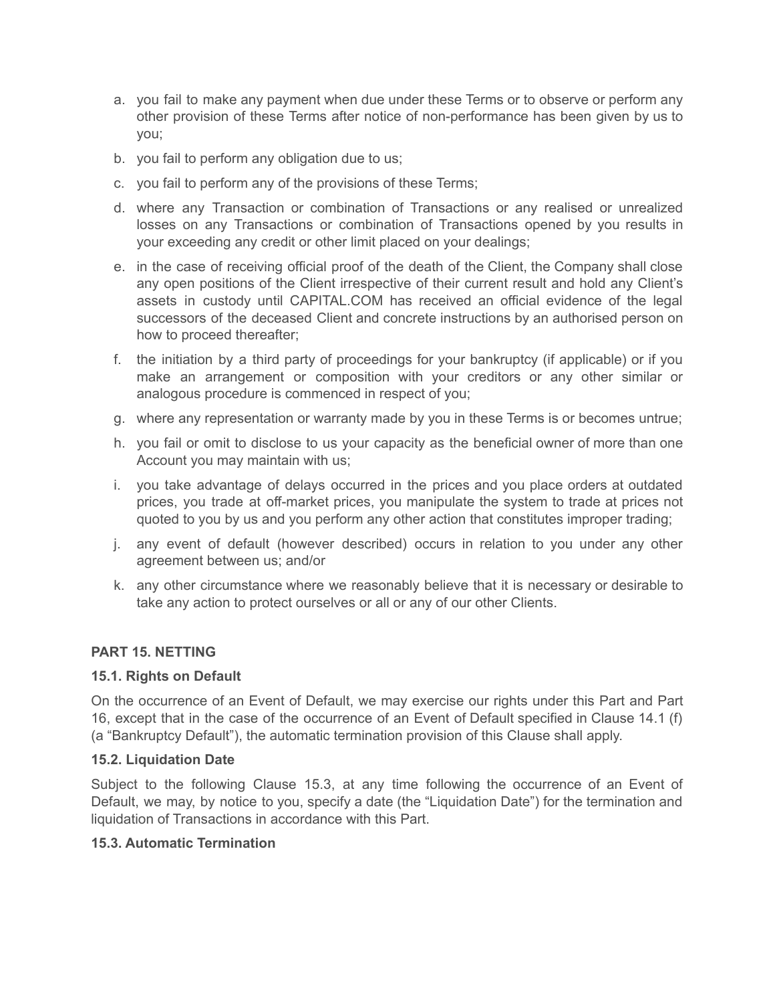- a. you fail to make any payment when due under these Terms or to observe or perform any other provision of these Terms after notice of non-performance has been given by us to you;
- b. you fail to perform any obligation due to us;
- c. you fail to perform any of the provisions of these Terms;
- d. where any Transaction or combination of Transactions or any realised or unrealized losses on any Transactions or combination of Transactions opened by you results in your exceeding any credit or other limit placed on your dealings;
- e. in the case of receiving official proof of the death of the Client, the Company shall close any open positions of the Client irrespective of their current result and hold any Client's assets in custody until CAPITAL.COM has received an official evidence of the legal successors of the deceased Client and concrete instructions by an authorised person on how to proceed thereafter;
- f. the initiation by a third party of proceedings for your bankruptcy (if applicable) or if you make an arrangement or composition with your creditors or any other similar or analogous procedure is commenced in respect of you;
- g. where any representation or warranty made by you in these Terms is or becomes untrue;
- h. you fail or omit to disclose to us your capacity as the beneficial owner of more than one Account you may maintain with us;
- i. you take advantage of delays occurred in the prices and you place orders at outdated prices, you trade at off-market prices, you manipulate the system to trade at prices not quoted to you by us and you perform any other action that constitutes improper trading;
- j. any event of default (however described) occurs in relation to you under any other agreement between us; and/or
- k. any other circumstance where we reasonably believe that it is necessary or desirable to take any action to protect ourselves or all or any of our other Clients.

## **PART 15. NETTING**

#### **15.1. Rights on Default**

On the occurrence of an Event of Default, we may exercise our rights under this Part and Part 16, except that in the case of the occurrence of an Event of Default specified in Clause 14.1 (f) (a "Bankruptcy Default"), the automatic termination provision of this Clause shall apply.

#### **15.2. Liquidation Date**

Subject to the following Clause 15.3, at any time following the occurrence of an Event of Default, we may, by notice to you, specify a date (the "Liquidation Date") for the termination and liquidation of Transactions in accordance with this Part.

#### **15.3. Automatic Termination**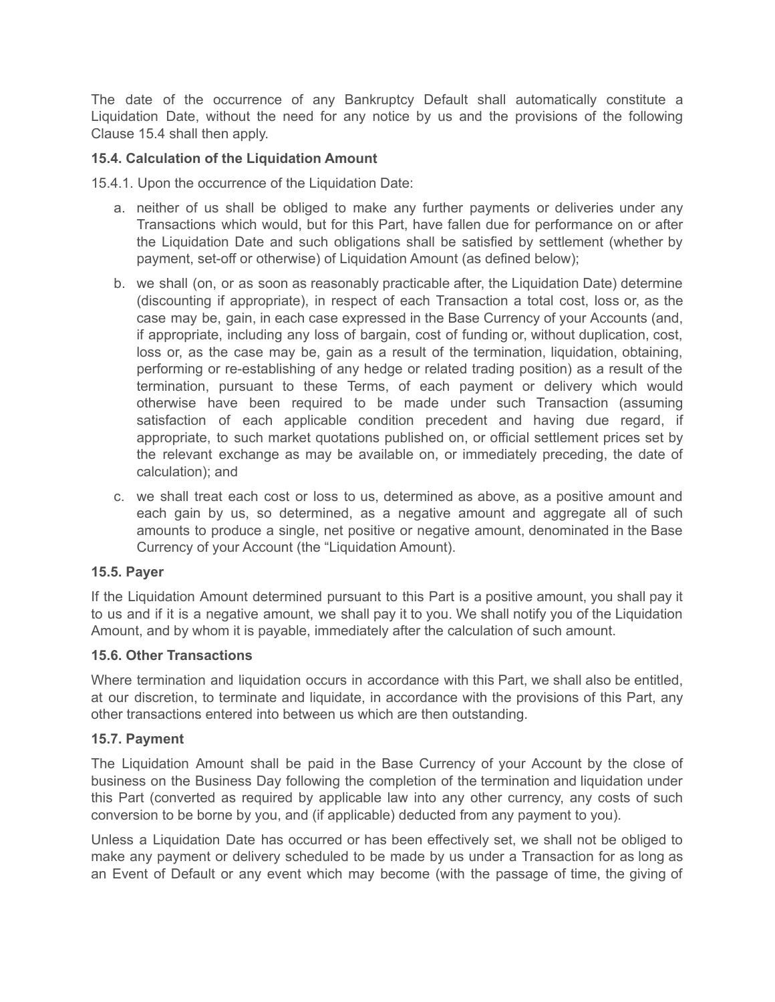The date of the occurrence of any Bankruptcy Default shall automatically constitute a Liquidation Date, without the need for any notice by us and the provisions of the following Clause 15.4 shall then apply.

# **15.4. Calculation of the Liquidation Amount**

15.4.1. Upon the occurrence of the Liquidation Date:

- a. neither of us shall be obliged to make any further payments or deliveries under any Transactions which would, but for this Part, have fallen due for performance on or after the Liquidation Date and such obligations shall be satisfied by settlement (whether by payment, set-off or otherwise) of Liquidation Amount (as defined below);
- b. we shall (on, or as soon as reasonably practicable after, the Liquidation Date) determine (discounting if appropriate), in respect of each Transaction a total cost, loss or, as the case may be, gain, in each case expressed in the Base Currency of your Accounts (and, if appropriate, including any loss of bargain, cost of funding or, without duplication, cost, loss or, as the case may be, gain as a result of the termination, liquidation, obtaining, performing or re-establishing of any hedge or related trading position) as a result of the termination, pursuant to these Terms, of each payment or delivery which would otherwise have been required to be made under such Transaction (assuming satisfaction of each applicable condition precedent and having due regard, if appropriate, to such market quotations published on, or official settlement prices set by the relevant exchange as may be available on, or immediately preceding, the date of calculation); and
- c. we shall treat each cost or loss to us, determined as above, as a positive amount and each gain by us, so determined, as a negative amount and aggregate all of such amounts to produce a single, net positive or negative amount, denominated in the Base Currency of your Account (the "Liquidation Amount).

## **15.5. Payer**

If the Liquidation Amount determined pursuant to this Part is a positive amount, you shall pay it to us and if it is a negative amount, we shall pay it to you. We shall notify you of the Liquidation Amount, and by whom it is payable, immediately after the calculation of such amount.

## **15.6. Other Transactions**

Where termination and liquidation occurs in accordance with this Part, we shall also be entitled, at our discretion, to terminate and liquidate, in accordance with the provisions of this Part, any other transactions entered into between us which are then outstanding.

#### **15.7. Payment**

The Liquidation Amount shall be paid in the Base Currency of your Account by the close of business on the Business Day following the completion of the termination and liquidation under this Part (converted as required by applicable law into any other currency, any costs of such conversion to be borne by you, and (if applicable) deducted from any payment to you).

Unless a Liquidation Date has occurred or has been effectively set, we shall not be obliged to make any payment or delivery scheduled to be made by us under a Transaction for as long as an Event of Default or any event which may become (with the passage of time, the giving of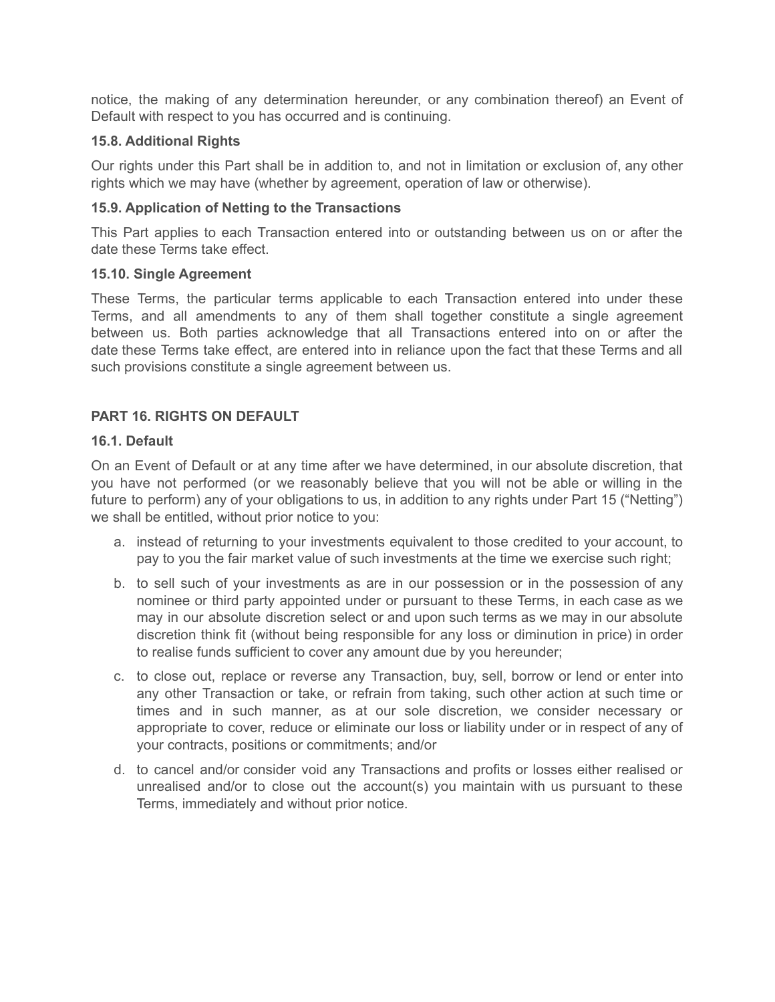notice, the making of any determination hereunder, or any combination thereof) an Event of Default with respect to you has occurred and is continuing.

## **15.8. Additional Rights**

Our rights under this Part shall be in addition to, and not in limitation or exclusion of, any other rights which we may have (whether by agreement, operation of law or otherwise).

#### **15.9. Application of Netting to the Transactions**

This Part applies to each Transaction entered into or outstanding between us on or after the date these Terms take effect.

#### **15.10. Single Agreement**

These Terms, the particular terms applicable to each Transaction entered into under these Terms, and all amendments to any of them shall together constitute a single agreement between us. Both parties acknowledge that all Transactions entered into on or after the date these Terms take effect, are entered into in reliance upon the fact that these Terms and all such provisions constitute a single agreement between us.

## **PART 16. RIGHTS ON DEFAULT**

#### **16.1. Default**

On an Event of Default or at any time after we have determined, in our absolute discretion, that you have not performed (or we reasonably believe that you will not be able or willing in the future to perform) any of your obligations to us, in addition to any rights under Part 15 ("Netting") we shall be entitled, without prior notice to you:

- a. instead of returning to your investments equivalent to those credited to your account, to pay to you the fair market value of such investments at the time we exercise such right;
- b. to sell such of your investments as are in our possession or in the possession of any nominee or third party appointed under or pursuant to these Terms, in each case as we may in our absolute discretion select or and upon such terms as we may in our absolute discretion think fit (without being responsible for any loss or diminution in price) in order to realise funds sufficient to cover any amount due by you hereunder;
- c. to close out, replace or reverse any Transaction, buy, sell, borrow or lend or enter into any other Transaction or take, or refrain from taking, such other action at such time or times and in such manner, as at our sole discretion, we consider necessary or appropriate to cover, reduce or eliminate our loss or liability under or in respect of any of your contracts, positions or commitments; and/or
- d. to cancel and/or consider void any Transactions and profits or losses either realised or unrealised and/or to close out the account(s) you maintain with us pursuant to these Terms, immediately and without prior notice.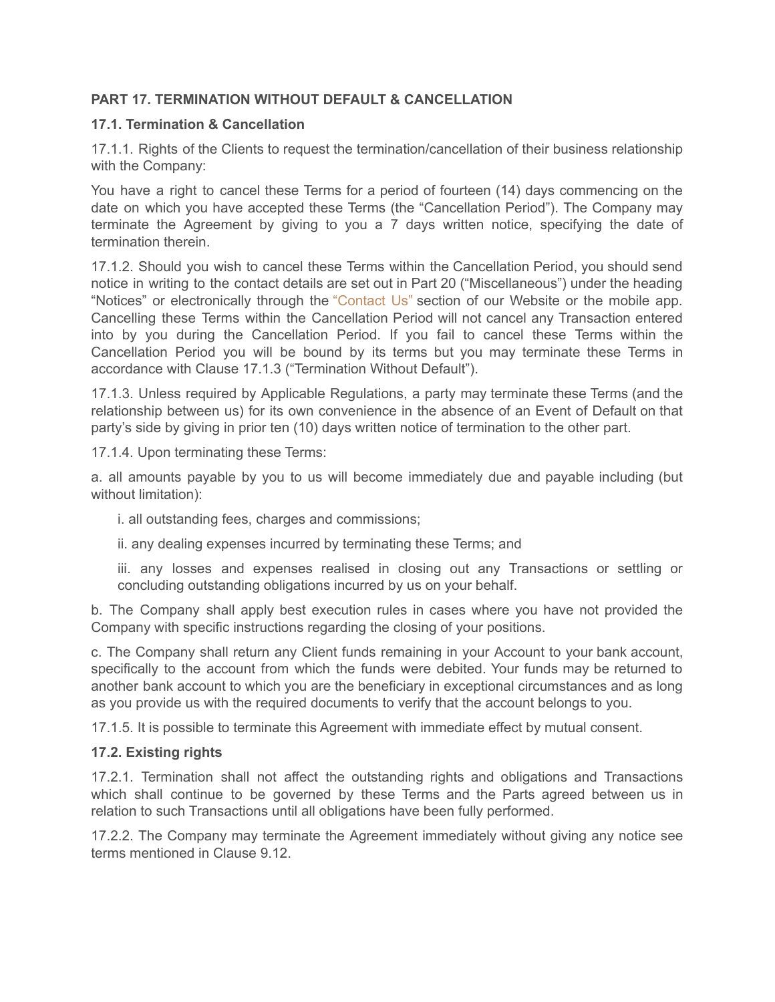# **PART 17. TERMINATION WITHOUT DEFAULT & CANCELLATION**

## **17.1. Termination & Cancellation**

17.1.1. Rights of the Clients to request the termination/cancellation of their business relationship with the Company:

You have a right to cancel these Terms for a period of fourteen (14) days commencing on the date on which you have accepted these Terms (the "Cancellation Period"). The Company may terminate the Agreement by giving to you a 7 days written notice, specifying the date of termination therein.

17.1.2. Should you wish to cancel these Terms within the Cancellation Period, you should send notice in writing to the contact details are set out in Part 20 ("Miscellaneous") under the heading "Notices" or electronically through the ["Contact](https://capital.com/contact-us) Us" section of our Website or the mobile app. Cancelling these Terms within the Cancellation Period will not cancel any Transaction entered into by you during the Cancellation Period. If you fail to cancel these Terms within the Cancellation Period you will be bound by its terms but you may terminate these Terms in accordance with Clause 17.1.3 ("Termination Without Default").

17.1.3. Unless required by Applicable Regulations, a party may terminate these Terms (and the relationship between us) for its own convenience in the absence of an Event of Default on that party's side by giving in prior ten (10) days written notice of termination to the other part.

17.1.4. Upon terminating these Terms:

a. all amounts payable by you to us will become immediately due and payable including (but without limitation):

i. all outstanding fees, charges and commissions;

ii. any dealing expenses incurred by terminating these Terms; and

iii. any losses and expenses realised in closing out any Transactions or settling or concluding outstanding obligations incurred by us on your behalf.

b. The Company shall apply best execution rules in cases where you have not provided the Company with specific instructions regarding the closing of your positions.

c. The Company shall return any Client funds remaining in your Account to your bank account, specifically to the account from which the funds were debited. Your funds may be returned to another bank account to which you are the beneficiary in exceptional circumstances and as long as you provide us with the required documents to verify that the account belongs to you.

17.1.5. It is possible to terminate this Agreement with immediate effect by mutual consent.

## **17.2. Existing rights**

17.2.1. Termination shall not affect the outstanding rights and obligations and Transactions which shall continue to be governed by these Terms and the Parts agreed between us in relation to such Transactions until all obligations have been fully performed.

17.2.2. The Company may terminate the Agreement immediately without giving any notice see terms mentioned in Clause 9.12.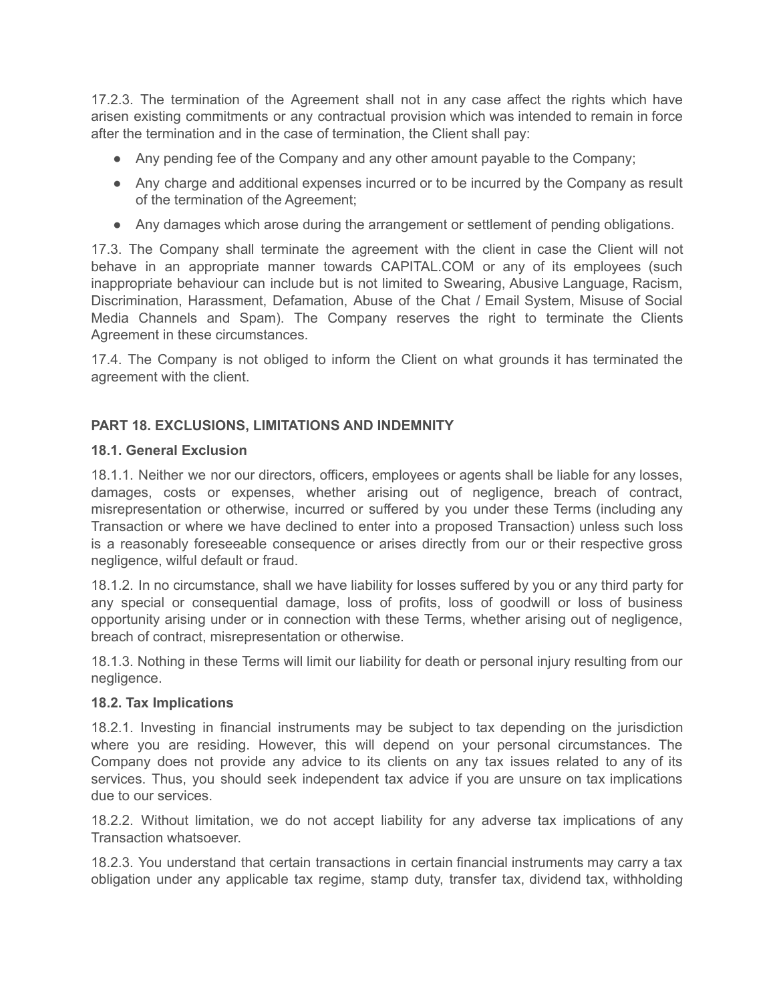17.2.3. The termination of the Agreement shall not in any case affect the rights which have arisen existing commitments or any contractual provision which was intended to remain in force after the termination and in the case of termination, the Client shall pay:

- Any pending fee of the Company and any other amount payable to the Company;
- Any charge and additional expenses incurred or to be incurred by the Company as result of the termination of the Agreement;
- Any damages which arose during the arrangement or settlement of pending obligations.

17.3. The Company shall terminate the agreement with the client in case the Client will not behave in an appropriate manner towards CAPITAL.COM or any of its employees (such inappropriate behaviour can include but is not limited to Swearing, Abusive Language, Racism, Discrimination, Harassment, Defamation, Abuse of the Chat / Email System, Misuse of Social Media Channels and Spam). The Company reserves the right to terminate the Clients Agreement in these circumstances.

17.4. The Company is not obliged to inform the Client on what grounds it has terminated the agreement with the client.

# **PART 18. EXCLUSIONS, LIMITATIONS AND INDEMNITY**

#### **18.1. General Exclusion**

18.1.1. Neither we nor our directors, officers, employees or agents shall be liable for any losses, damages, costs or expenses, whether arising out of negligence, breach of contract, misrepresentation or otherwise, incurred or suffered by you under these Terms (including any Transaction or where we have declined to enter into a proposed Transaction) unless such loss is a reasonably foreseeable consequence or arises directly from our or their respective gross negligence, wilful default or fraud.

18.1.2. In no circumstance, shall we have liability for losses suffered by you or any third party for any special or consequential damage, loss of profits, loss of goodwill or loss of business opportunity arising under or in connection with these Terms, whether arising out of negligence, breach of contract, misrepresentation or otherwise.

18.1.3. Nothing in these Terms will limit our liability for death or personal injury resulting from our negligence.

## **18.2. Tax Implications**

18.2.1. Investing in financial instruments may be subject to tax depending on the jurisdiction where you are residing. However, this will depend on your personal circumstances. The Company does not provide any advice to its clients on any tax issues related to any of its services. Thus, you should seek independent tax advice if you are unsure on tax implications due to our services.

18.2.2. Without limitation, we do not accept liability for any adverse tax implications of any Transaction whatsoever.

18.2.3. You understand that certain transactions in certain financial instruments may carry a tax obligation under any applicable tax regime, stamp duty, transfer tax, dividend tax, withholding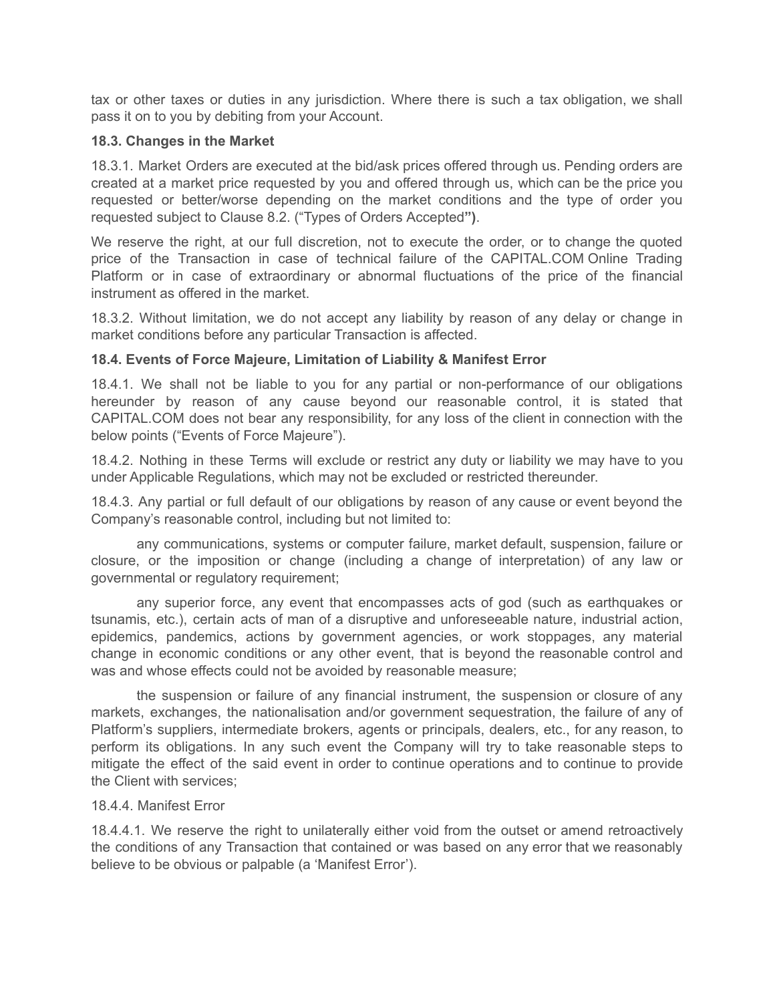tax or other taxes or duties in any jurisdiction. Where there is such a tax obligation, we shall pass it on to you by debiting from your Account.

#### **18.3. Changes in the Market**

18.3.1. Market Orders are executed at the bid/ask prices offered through us. Pending orders are created at a market price requested by you and offered through us, which can be the price you requested or better/worse depending on the market conditions and the type of order you requested subject to Clause 8.2. ("Types of Orders Accepted**")**.

We reserve the right, at our full discretion, not to execute the order, or to change the quoted price of the Transaction in case of technical failure of the CAPITAL.COM Online Trading Platform or in case of extraordinary or abnormal fluctuations of the price of the financial instrument as offered in the market.

18.3.2. Without limitation, we do not accept any liability by reason of any delay or change in market conditions before any particular Transaction is affected.

## **18.4. Events of Force Majeure, Limitation of Liability & Manifest Error**

18.4.1. We shall not be liable to you for any partial or non-performance of our obligations hereunder by reason of any cause beyond our reasonable control, it is stated that CAPITAL.COM does not bear any responsibility, for any loss of the client in connection with the below points ("Events of Force Majeure").

18.4.2. Nothing in these Terms will exclude or restrict any duty or liability we may have to you under Applicable Regulations, which may not be excluded or restricted thereunder.

18.4.3. Any partial or full default of our obligations by reason of any cause or event beyond the Company's reasonable control, including but not limited to:

any communications, systems or computer failure, market default, suspension, failure or closure, or the imposition or change (including a change of interpretation) of any law or governmental or regulatory requirement;

any superior force, any event that encompasses acts of god (such as earthquakes or tsunamis, etc.), certain acts of man of a disruptive and unforeseeable nature, industrial action, epidemics, pandemics, actions by government agencies, or work stoppages, any material change in economic conditions or any other event, that is beyond the reasonable control and was and whose effects could not be avoided by reasonable measure;

the suspension or failure of any financial instrument, the suspension or closure of any markets, exchanges, the nationalisation and/or government sequestration, the failure of any of Platform's suppliers, intermediate brokers, agents or principals, dealers, etc., for any reason, to perform its obligations. In any such event the Company will try to take reasonable steps to mitigate the effect of the said event in order to continue operations and to continue to provide the Client with services;

#### 18.4.4. Manifest Error

18.4.4.1. We reserve the right to unilaterally either void from the outset or amend retroactively the conditions of any Transaction that contained or was based on any error that we reasonably believe to be obvious or palpable (a 'Manifest Error').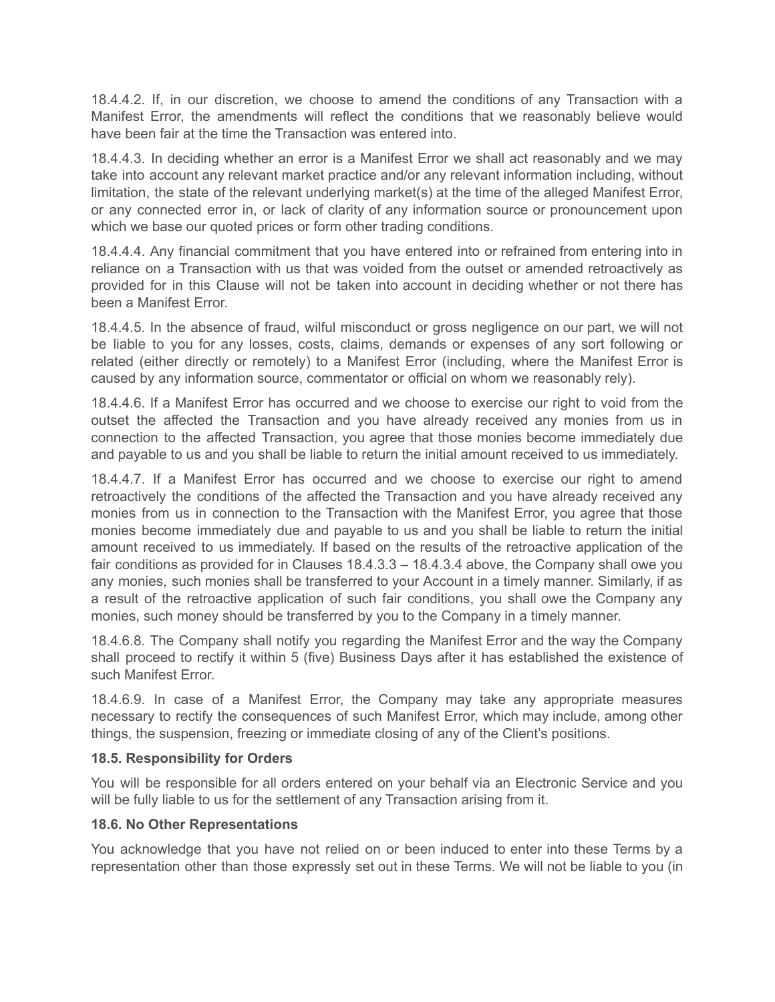18.4.4.2. If, in our discretion, we choose to amend the conditions of any Transaction with a Manifest Error, the amendments will reflect the conditions that we reasonably believe would have been fair at the time the Transaction was entered into.

18.4.4.3. In deciding whether an error is a Manifest Error we shall act reasonably and we may take into account any relevant market practice and/or any relevant information including, without limitation, the state of the relevant underlying market(s) at the time of the alleged Manifest Error, or any connected error in, or lack of clarity of any information source or pronouncement upon which we base our quoted prices or form other trading conditions.

18.4.4.4. Any financial commitment that you have entered into or refrained from entering into in reliance on a Transaction with us that was voided from the outset or amended retroactively as provided for in this Clause will not be taken into account in deciding whether or not there has been a Manifest Error.

18.4.4.5. In the absence of fraud, wilful misconduct or gross negligence on our part, we will not be liable to you for any losses, costs, claims, demands or expenses of any sort following or related (either directly or remotely) to a Manifest Error (including, where the Manifest Error is caused by any information source, commentator or official on whom we reasonably rely).

18.4.4.6. If a Manifest Error has occurred and we choose to exercise our right to void from the outset the affected the Transaction and you have already received any monies from us in connection to the affected Transaction, you agree that those monies become immediately due and payable to us and you shall be liable to return the initial amount received to us immediately.

18.4.4.7. If a Manifest Error has occurred and we choose to exercise our right to amend retroactively the conditions of the affected the Transaction and you have already received any monies from us in connection to the Transaction with the Manifest Error, you agree that those monies become immediately due and payable to us and you shall be liable to return the initial amount received to us immediately. If based on the results of the retroactive application of the fair conditions as provided for in Clauses 18.4.3.3 – 18.4.3.4 above, the Company shall owe you any monies, such monies shall be transferred to your Account in a timely manner. Similarly, if as a result of the retroactive application of such fair conditions, you shall owe the Company any monies, such money should be transferred by you to the Company in a timely manner.

18.4.6.8. The Company shall notify you regarding the Manifest Error and the way the Company shall proceed to rectify it within 5 (five) Business Days after it has established the existence of such Manifest Error.

18.4.6.9. In case of a Manifest Error, the Company may take any appropriate measures necessary to rectify the consequences of such Manifest Error, which may include, among other things, the suspension, freezing or immediate closing of any of the Client's positions.

## **18.5. Responsibility for Orders**

You will be responsible for all orders entered on your behalf via an Electronic Service and you will be fully liable to us for the settlement of any Transaction arising from it.

# **18.6. No Other Representations**

You acknowledge that you have not relied on or been induced to enter into these Terms by a representation other than those expressly set out in these Terms. We will not be liable to you (in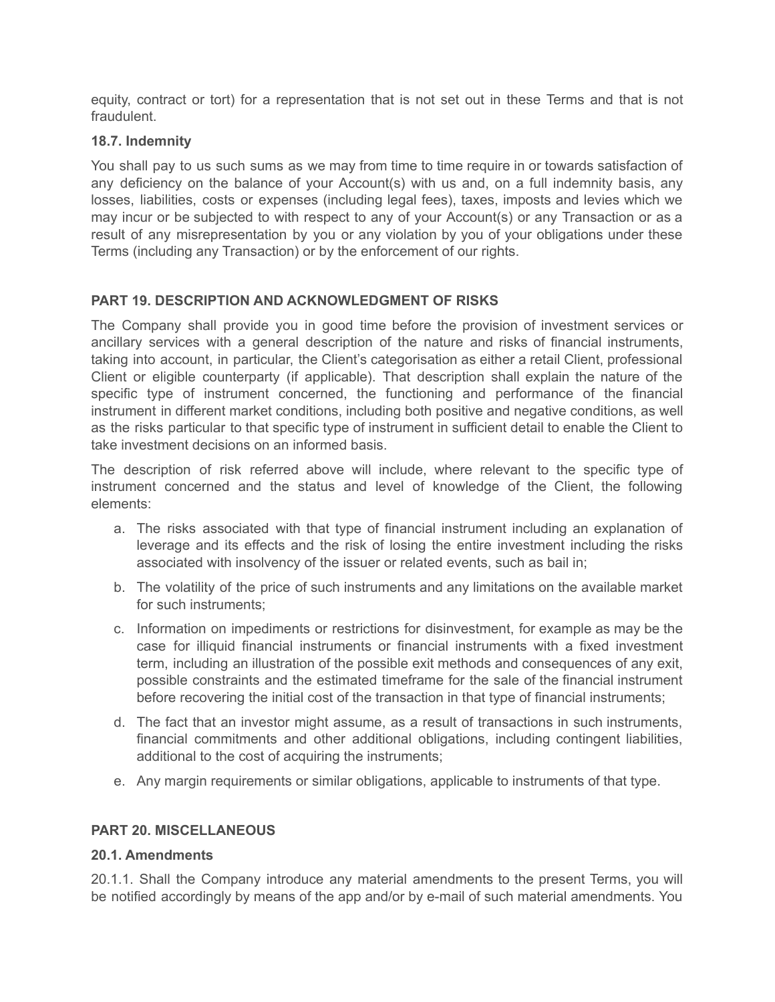equity, contract or tort) for a representation that is not set out in these Terms and that is not fraudulent.

## **18.7. Indemnity**

You shall pay to us such sums as we may from time to time require in or towards satisfaction of any deficiency on the balance of your Account(s) with us and, on a full indemnity basis, any losses, liabilities, costs or expenses (including legal fees), taxes, imposts and levies which we may incur or be subjected to with respect to any of your Account(s) or any Transaction or as a result of any misrepresentation by you or any violation by you of your obligations under these Terms (including any Transaction) or by the enforcement of our rights.

## **PART 19. DESCRIPTION AND ACKNOWLEDGMENT OF RISKS**

The Company shall provide you in good time before the provision of investment services or ancillary services with a general description of the nature and risks of financial instruments, taking into account, in particular, the Client's categorisation as either a retail Client, professional Client or eligible counterparty (if applicable). That description shall explain the nature of the specific type of instrument concerned, the functioning and performance of the financial instrument in different market conditions, including both positive and negative conditions, as well as the risks particular to that specific type of instrument in sufficient detail to enable the Client to take investment decisions on an informed basis.

The description of risk referred above will include, where relevant to the specific type of instrument concerned and the status and level of knowledge of the Client, the following elements:

- a. The risks associated with that type of financial instrument including an explanation of leverage and its effects and the risk of losing the entire investment including the risks associated with insolvency of the issuer or related events, such as bail in;
- b. The volatility of the price of such instruments and any limitations on the available market for such instruments;
- c. Information on impediments or restrictions for disinvestment, for example as may be the case for illiquid financial instruments or financial instruments with a fixed investment term, including an illustration of the possible exit methods and consequences of any exit, possible constraints and the estimated timeframe for the sale of the financial instrument before recovering the initial cost of the transaction in that type of financial instruments;
- d. The fact that an investor might assume, as a result of transactions in such instruments, financial commitments and other additional obligations, including contingent liabilities, additional to the cost of acquiring the instruments;
- e. Any margin requirements or similar obligations, applicable to instruments of that type.

#### **PART 20. MISCELLANEOUS**

#### **20.1. Amendments**

20.1.1. Shall the Company introduce any material amendments to the present Terms, you will be notified accordingly by means of the app and/or by e-mail of such material amendments. You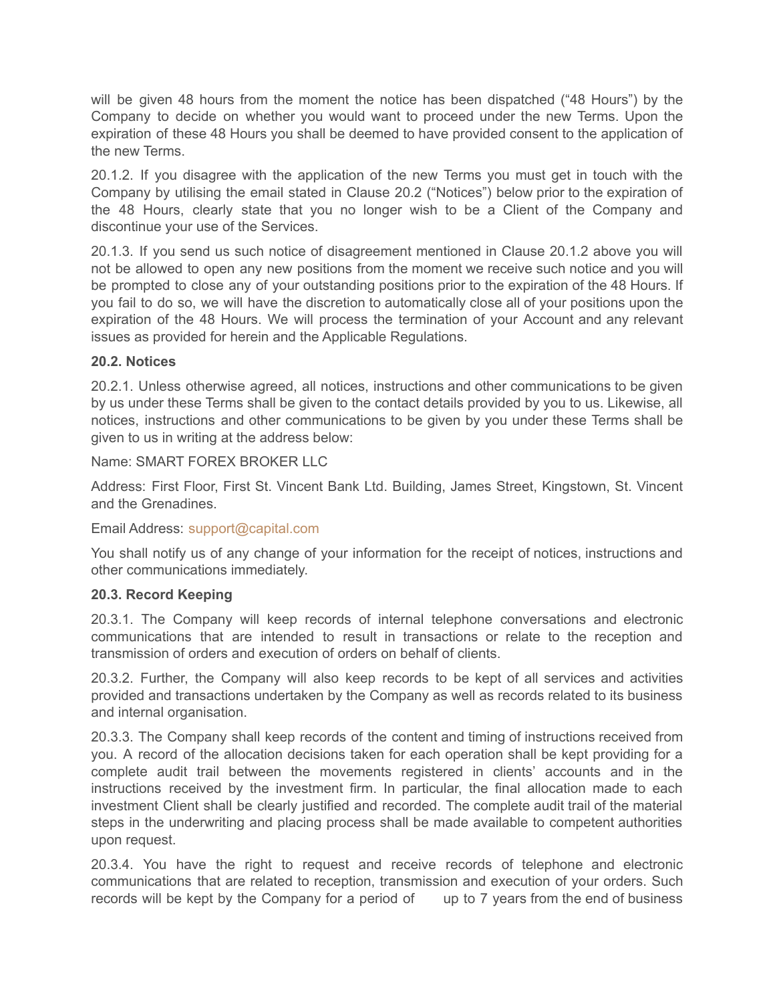will be given 48 hours from the moment the notice has been dispatched ("48 Hours") by the Company to decide on whether you would want to proceed under the new Terms. Upon the expiration of these 48 Hours you shall be deemed to have provided consent to the application of the new Terms.

20.1.2. If you disagree with the application of the new Terms you must get in touch with the Company by utilising the email stated in Clause 20.2 ("Notices") below prior to the expiration of the 48 Hours, clearly state that you no longer wish to be a Client of the Company and discontinue your use of the Services.

20.1.3. If you send us such notice of disagreement mentioned in Clause 20.1.2 above you will not be allowed to open any new positions from the moment we receive such notice and you will be prompted to close any of your outstanding positions prior to the expiration of the 48 Hours. If you fail to do so, we will have the discretion to automatically close all of your positions upon the expiration of the 48 Hours. We will process the termination of your Account and any relevant issues as provided for herein and the Applicable Regulations.

# **20.2. Notices**

20.2.1. Unless otherwise agreed, all notices, instructions and other communications to be given by us under these Terms shall be given to the contact details provided by you to us. Likewise, all notices, instructions and other communications to be given by you under these Terms shall be given to us in writing at the address below:

## Name: SMART FOREX BROKER LLC

Address: First Floor, First St. Vincent Ваnk Ltd. Building, James Street, Kingstown, St. Vincent and the Grenadines.

## Email Address: [support@capital.com](https://capital.com/contact-us)

You shall notify us of any change of your information for the receipt of notices, instructions and other communications immediately.

## **20.3. Record Keeping**

20.3.1. The Company will keep records of internal telephone conversations and electronic communications that are intended to result in transactions or relate to the reception and transmission of orders and execution of orders on behalf of clients.

20.3.2. Further, the Company will also keep records to be kept of all services and activities provided and transactions undertaken by the Company as well as records related to its business and internal organisation.

20.3.3. The Company shall keep records of the content and timing of instructions received from you. A record of the allocation decisions taken for each operation shall be kept providing for a complete audit trail between the movements registered in clients' accounts and in the instructions received by the investment firm. In particular, the final allocation made to each investment Client shall be clearly justified and recorded. The complete audit trail of the material steps in the underwriting and placing process shall be made available to competent authorities upon request.

20.3.4. You have the right to request and receive records of telephone and electronic communications that are related to reception, transmission and execution of your orders. Such records will be kept by the Company for a period of up to 7 years from the end of business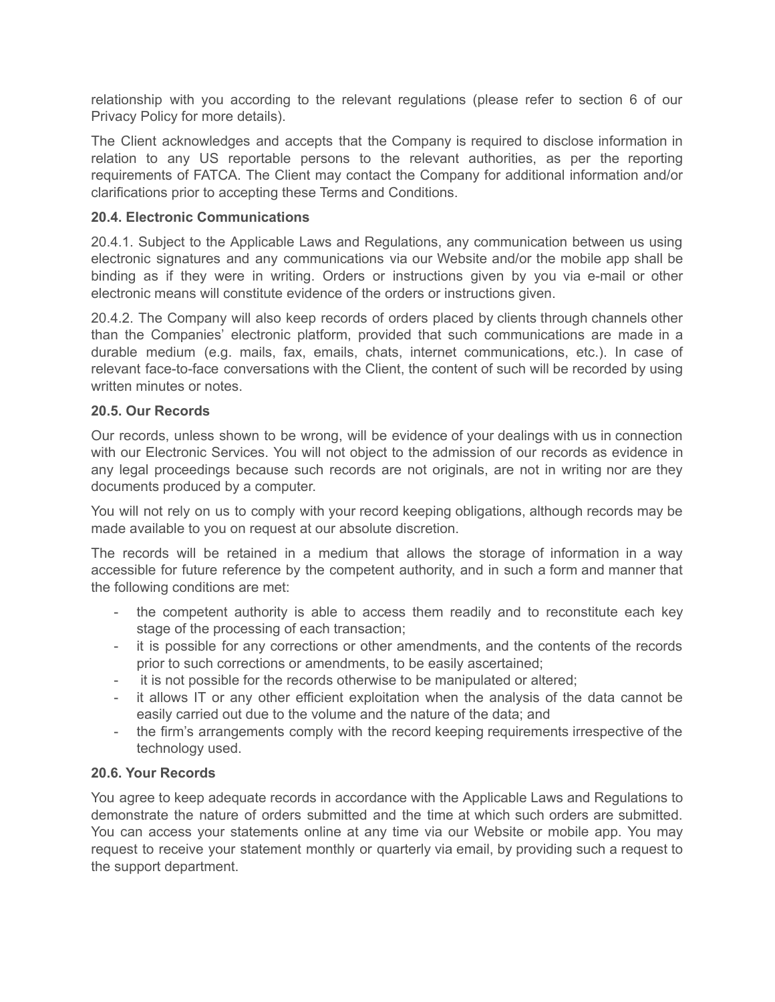relationship with you according to the relevant regulations (please refer to section 6 of our Privacy Policy for more details).

The Client acknowledges and accepts that the Company is required to disclose information in relation to any US reportable persons to the relevant authorities, as per the reporting requirements of FATCA. The Client may contact the Company for additional information and/or clarifications prior to accepting these Terms and Conditions.

# **20.4. Electronic Communications**

20.4.1. Subject to the Applicable Laws and Regulations, any communication between us using electronic signatures and any communications via our Website and/or the mobile app shall be binding as if they were in writing. Orders or instructions given by you via e-mail or other electronic means will constitute evidence of the orders or instructions given.

20.4.2. The Company will also keep records of orders placed by clients through channels other than the Companies' electronic platform, provided that such communications are made in a durable medium (e.g. mails, fax, emails, chats, internet communications, etc.). In case of relevant face-to-face conversations with the Client, the content of such will be recorded by using written minutes or notes.

## **20.5. Our Records**

Our records, unless shown to be wrong, will be evidence of your dealings with us in connection with our Electronic Services. You will not object to the admission of our records as evidence in any legal proceedings because such records are not originals, are not in writing nor are they documents produced by a computer.

You will not rely on us to comply with your record keeping obligations, although records may be made available to you on request at our absolute discretion.

The records will be retained in a medium that allows the storage of information in a way accessible for future reference by the competent authority, and in such a form and manner that the following conditions are met:

- the competent authority is able to access them readily and to reconstitute each key stage of the processing of each transaction;
- it is possible for any corrections or other amendments, and the contents of the records prior to such corrections or amendments, to be easily ascertained;
- it is not possible for the records otherwise to be manipulated or altered;
- it allows IT or any other efficient exploitation when the analysis of the data cannot be easily carried out due to the volume and the nature of the data; and
- the firm's arrangements comply with the record keeping requirements irrespective of the technology used.

# **20.6. Your Records**

You agree to keep adequate records in accordance with the Applicable Laws and Regulations to demonstrate the nature of orders submitted and the time at which such orders are submitted. You can access your statements online at any time via our Website or mobile app. You may request to receive your statement monthly or quarterly via email, by providing such a request to the support department.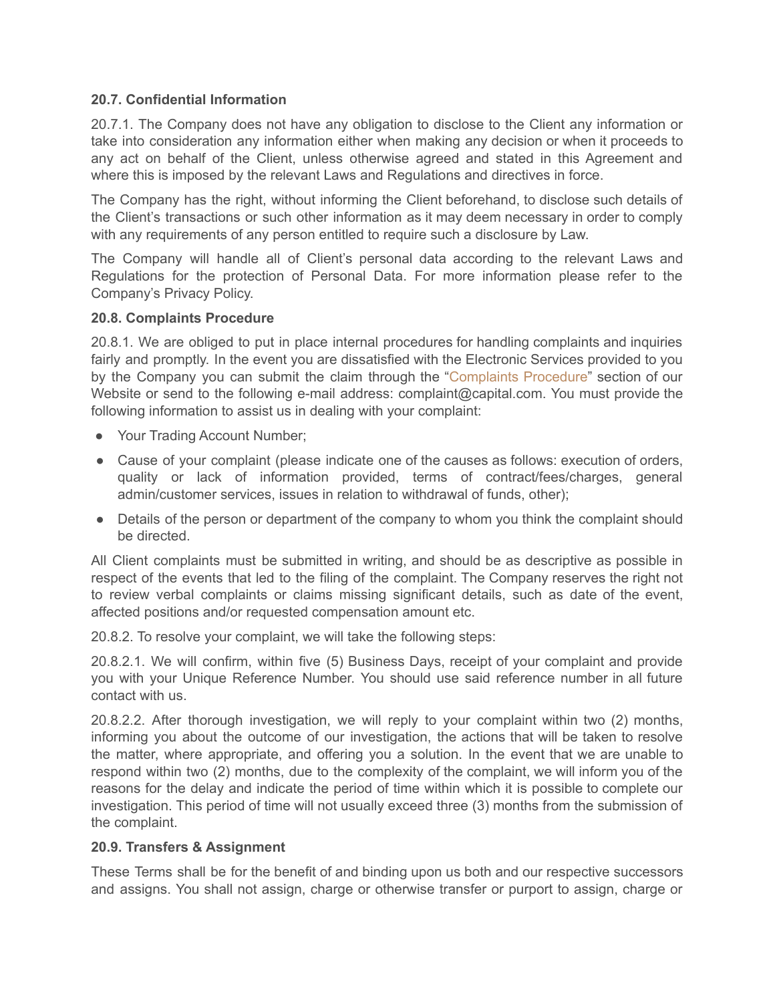## **20.7. Confidential Information**

20.7.1. The Company does not have any obligation to disclose to the Client any information or take into consideration any information either when making any decision or when it proceeds to any act on behalf of the Client, unless otherwise agreed and stated in this Agreement and where this is imposed by the relevant Laws and Regulations and directives in force.

The Company has the right, without informing the Client beforehand, to disclose such details of the Client's transactions or such other information as it may deem necessary in order to comply with any requirements of any person entitled to require such a disclosure by Law.

The Company will handle all of Client's personal data according to the relevant Laws and Regulations for the protection of Personal Data. For more information please refer to the Company's Privacy Policy.

#### **20.8. Complaints Procedure**

20.8.1. We are obliged to put in place internal procedures for handling complaints and inquiries fairly and promptly. In the event you are dissatisfied with the Electronic Services provided to you by the Company you can submit the claim through the "[Complaints](https://capital.com/complaints-procedure) Procedure" section of our Website or send to the following e-mail address: complaint@capital.com. You must provide the following information to assist us in dealing with your complaint:

- Your Trading Account Number;
- Cause of your complaint (please indicate one of the causes as follows: execution of orders, quality or lack of information provided, terms of contract/fees/charges, general admin/customer services, issues in relation to withdrawal of funds, other);
- Details of the person or department of the company to whom you think the complaint should be directed.

All Client complaints must be submitted in writing, and should be as descriptive as possible in respect of the events that led to the filing of the complaint. The Company reserves the right not to review verbal complaints or claims missing significant details, such as date of the event, affected positions and/or requested compensation amount etc.

20.8.2. To resolve your complaint, we will take the following steps:

20.8.2.1. We will confirm, within five (5) Business Days, receipt of your complaint and provide you with your Unique Reference Number. You should use said reference number in all future contact with us.

20.8.2.2. After thorough investigation, we will reply to your complaint within two (2) months, informing you about the outcome of our investigation, the actions that will be taken to resolve the matter, where appropriate, and offering you a solution. In the event that we are unable to respond within two (2) months, due to the complexity of the complaint, we will inform you of the reasons for the delay and indicate the period of time within which it is possible to complete our investigation. This period of time will not usually exceed three (3) months from the submission of the complaint.

#### **20.9. Transfers & Assignment**

These Terms shall be for the benefit of and binding upon us both and our respective successors and assigns. You shall not assign, charge or otherwise transfer or purport to assign, charge or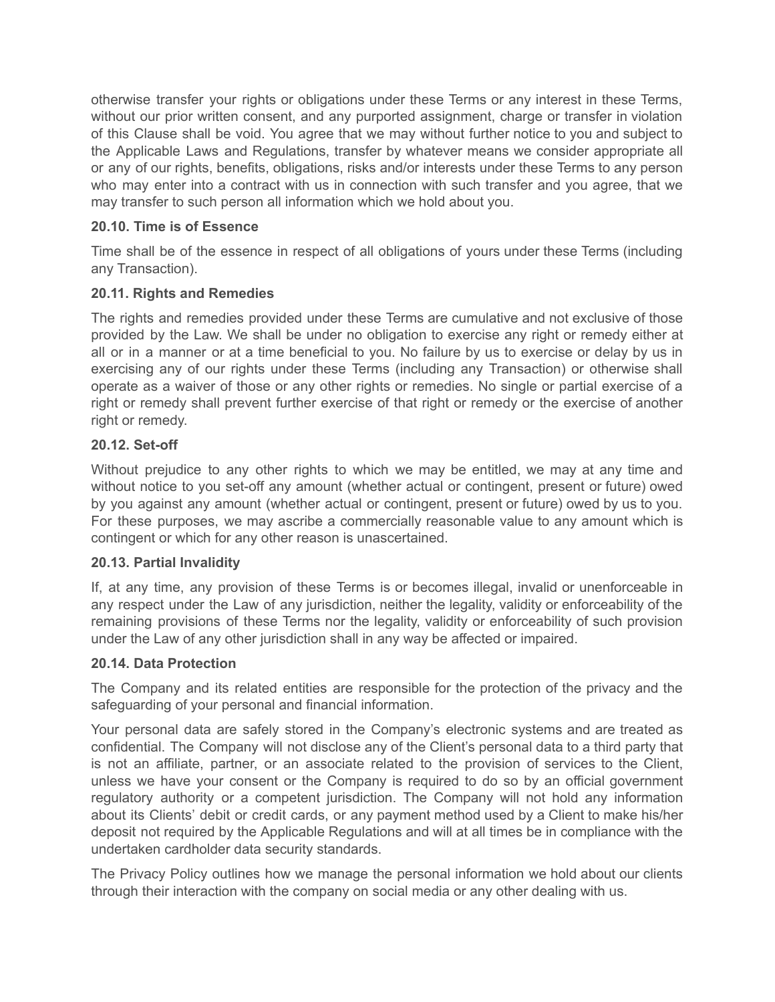otherwise transfer your rights or obligations under these Terms or any interest in these Terms, without our prior written consent, and any purported assignment, charge or transfer in violation of this Clause shall be void. You agree that we may without further notice to you and subject to the Applicable Laws and Regulations, transfer by whatever means we consider appropriate all or any of our rights, benefits, obligations, risks and/or interests under these Terms to any person who may enter into a contract with us in connection with such transfer and you agree, that we may transfer to such person all information which we hold about you.

# **20.10. Time is of Essence**

Time shall be of the essence in respect of all obligations of yours under these Terms (including any Transaction).

# **20.11. Rights and Remedies**

The rights and remedies provided under these Terms are cumulative and not exclusive of those provided by the Law. We shall be under no obligation to exercise any right or remedy either at all or in a manner or at a time beneficial to you. No failure by us to exercise or delay by us in exercising any of our rights under these Terms (including any Transaction) or otherwise shall operate as a waiver of those or any other rights or remedies. No single or partial exercise of a right or remedy shall prevent further exercise of that right or remedy or the exercise of another right or remedy.

## **20.12. Set-off**

Without prejudice to any other rights to which we may be entitled, we may at any time and without notice to you set-off any amount (whether actual or contingent, present or future) owed by you against any amount (whether actual or contingent, present or future) owed by us to you. For these purposes, we may ascribe a commercially reasonable value to any amount which is contingent or which for any other reason is unascertained.

## **20.13. Partial Invalidity**

If, at any time, any provision of these Terms is or becomes illegal, invalid or unenforceable in any respect under the Law of any jurisdiction, neither the legality, validity or enforceability of the remaining provisions of these Terms nor the legality, validity or enforceability of such provision under the Law of any other jurisdiction shall in any way be affected or impaired.

## **20.14. Data Protection**

The Company and its related entities are responsible for the protection of the privacy and the safeguarding of your personal and financial information.

Your personal data are safely stored in the Company's electronic systems and are treated as confidential. The Company will not disclose any of the Client's personal data to a third party that is not an affiliate, partner, or an associate related to the provision of services to the Client, unless we have your consent or the Company is required to do so by an official government regulatory authority or a competent jurisdiction. The Company will not hold any information about its Clients' debit or credit cards, or any payment method used by a Client to make his/her deposit not required by the Applicable Regulations and will at all times be in compliance with the undertaken cardholder data security standards.

The Privacy Policy outlines how we manage the personal information we hold about our clients through their interaction with the company on social media or any other dealing with us.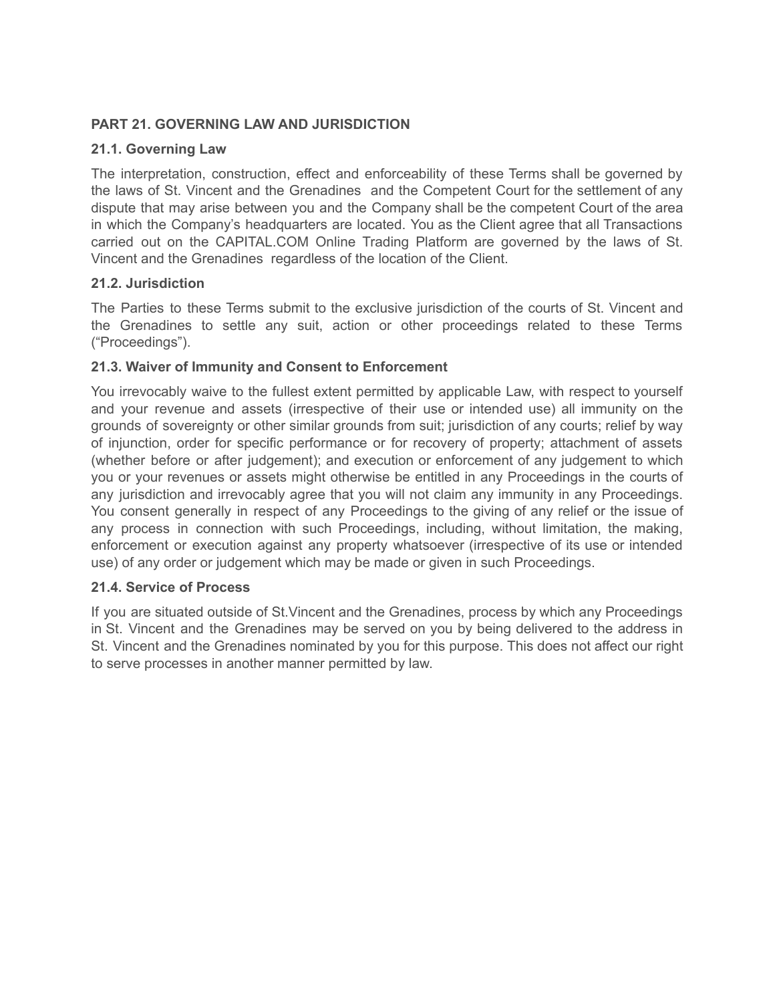# **PART 21. GOVERNING LAW AND JURISDICTION**

# **21.1. Governing Law**

The interpretation, construction, effect and enforceability of these Terms shall be governed by the laws of St. Vincent and the Grenadines and the Competent Court for the settlement of any dispute that may arise between you and the Company shall be the competent Court of the area in which the Company's headquarters are located. You as the Client agree that all Transactions carried out on the CAPITAL.COM Online Trading Platform are governed by the laws of St. Vincent and the Grenadines regardless of the location of the Client.

# **21.2. Jurisdiction**

The Parties to these Terms submit to the exclusive jurisdiction of the courts of St. Vincent and the Grenadines to settle any suit, action or other proceedings related to these Terms ("Proceedings").

# **21.3. Waiver of Immunity and Consent to Enforcement**

You irrevocably waive to the fullest extent permitted by applicable Law, with respect to yourself and your revenue and assets (irrespective of their use or intended use) all immunity on the grounds of sovereignty or other similar grounds from suit; jurisdiction of any courts; relief by way of injunction, order for specific performance or for recovery of property; attachment of assets (whether before or after judgement); and execution or enforcement of any judgement to which you or your revenues or assets might otherwise be entitled in any Proceedings in the courts of any jurisdiction and irrevocably agree that you will not claim any immunity in any Proceedings. You consent generally in respect of any Proceedings to the giving of any relief or the issue of any process in connection with such Proceedings, including, without limitation, the making, enforcement or execution against any property whatsoever (irrespective of its use or intended use) of any order or judgement which may be made or given in such Proceedings.

## **21.4. Service of Process**

If you are situated outside of St.Vincent and the Grenadines, process by which any Proceedings in St. Vincent and the Grenadines may be served on you by being delivered to the address in St. Vincent and the Grenadines nominated by you for this purpose. This does not affect our right to serve processes in another manner permitted by law.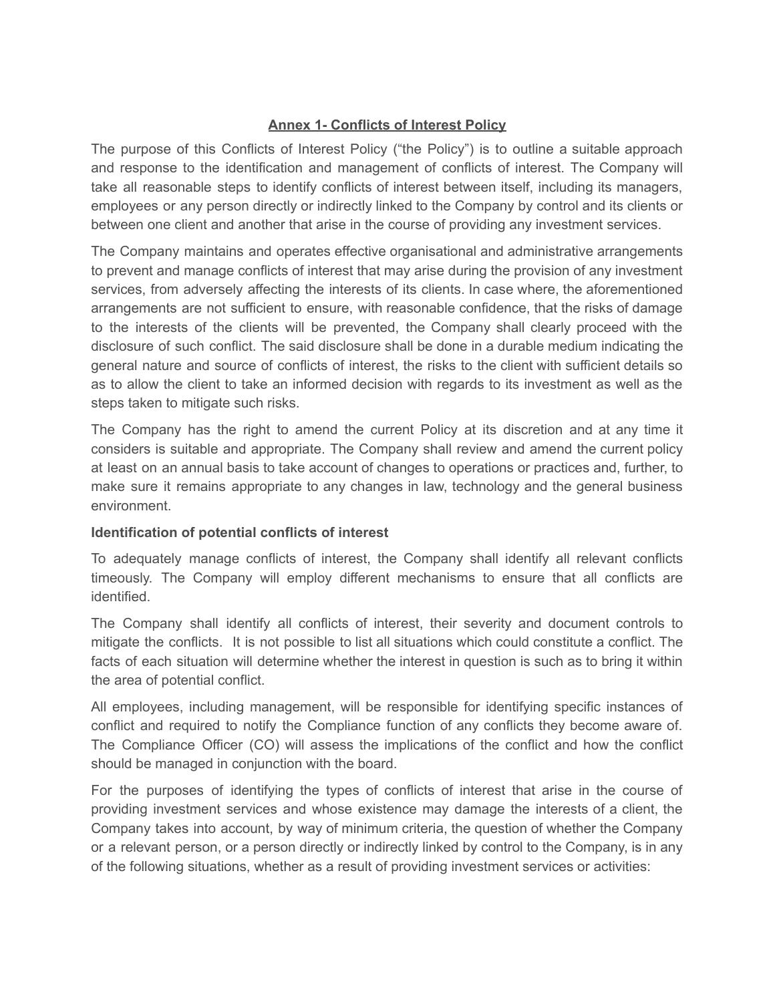# **Annex 1- Conflicts of Interest Policy**

The purpose of this Conflicts of Interest Policy ("the Policy") is to outline a suitable approach and response to the identification and management of conflicts of interest. The Company will take all reasonable steps to identify conflicts of interest between itself, including its managers, employees or any person directly or indirectly linked to the Company by control and its clients or between one client and another that arise in the course of providing any investment services.

The Company maintains and operates effective organisational and administrative arrangements to prevent and manage conflicts of interest that may arise during the provision of any investment services, from adversely affecting the interests of its clients. In case where, the aforementioned arrangements are not sufficient to ensure, with reasonable confidence, that the risks of damage to the interests of the clients will be prevented, the Company shall clearly proceed with the disclosure of such conflict. The said disclosure shall be done in a durable medium indicating the general nature and source of conflicts of interest, the risks to the client with sufficient details so as to allow the client to take an informed decision with regards to its investment as well as the steps taken to mitigate such risks.

The Company has the right to amend the current Policy at its discretion and at any time it considers is suitable and appropriate. The Company shall review and amend the current policy at least on an annual basis to take account of changes to operations or practices and, further, to make sure it remains appropriate to any changes in law, technology and the general business environment.

# **Identification of potential conflicts of interest**

To adequately manage conflicts of interest, the Company shall identify all relevant conflicts timeously. The Company will employ different mechanisms to ensure that all conflicts are identified.

The Company shall identify all conflicts of interest, their severity and document controls to mitigate the conflicts. It is not possible to list all situations which could constitute a conflict. The facts of each situation will determine whether the interest in question is such as to bring it within the area of potential conflict.

All employees, including management, will be responsible for identifying specific instances of conflict and required to notify the Compliance function of any conflicts they become aware of. The Compliance Officer (CO) will assess the implications of the conflict and how the conflict should be managed in conjunction with the board.

For the purposes of identifying the types of conflicts of interest that arise in the course of providing investment services and whose existence may damage the interests of a client, the Company takes into account, by way of minimum criteria, the question of whether the Company or a relevant person, or a person directly or indirectly linked by control to the Company, is in any of the following situations, whether as a result of providing investment services or activities: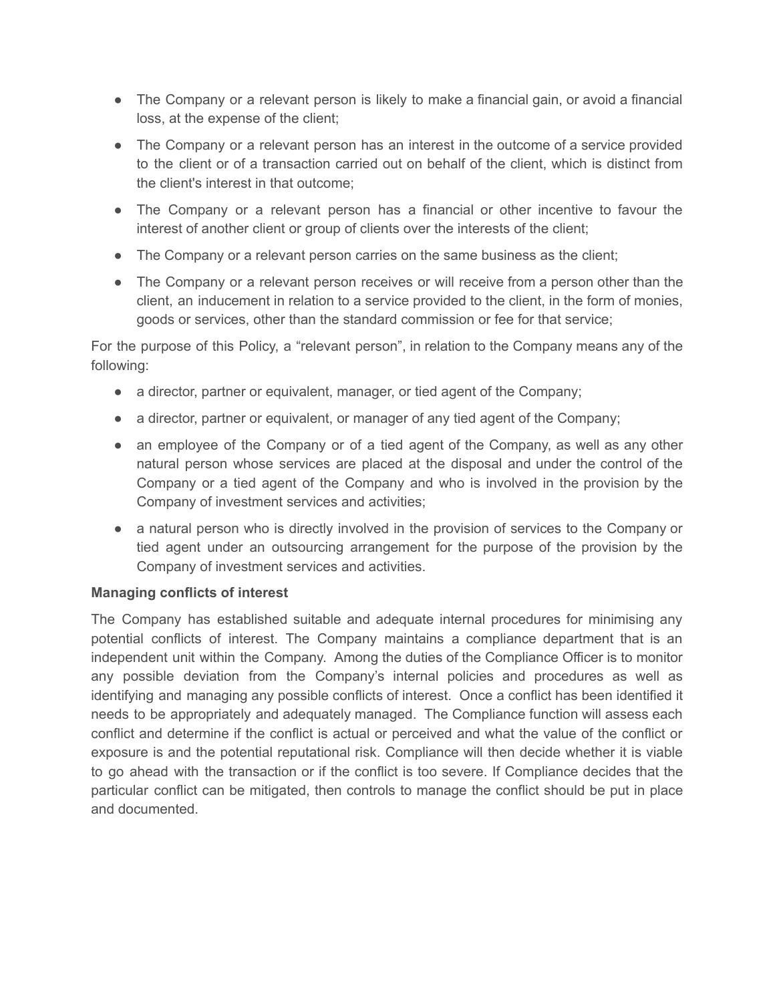- The Company or a relevant person is likely to make a financial gain, or avoid a financial loss, at the expense of the client;
- The Company or a relevant person has an interest in the outcome of a service provided to the client or of a transaction carried out on behalf of the client, which is distinct from the client's interest in that outcome;
- The Company or a relevant person has a financial or other incentive to favour the interest of another client or group of clients over the interests of the client;
- The Company or a relevant person carries on the same business as the client;
- The Company or a relevant person receives or will receive from a person other than the client, an inducement in relation to a service provided to the client, in the form of monies, goods or services, other than the standard commission or fee for that service;

For the purpose of this Policy, a "relevant person", in relation to the Company means any of the following:

- a director, partner or equivalent, manager, or tied agent of the Company;
- a director, partner or equivalent, or manager of any tied agent of the Company;
- an employee of the Company or of a tied agent of the Company, as well as any other natural person whose services are placed at the disposal and under the control of the Company or a tied agent of the Company and who is involved in the provision by the Company of investment services and activities;
- a natural person who is directly involved in the provision of services to the Company or tied agent under an outsourcing arrangement for the purpose of the provision by the Company of investment services and activities.

# **Managing conflicts of interest**

The Company has established suitable and adequate internal procedures for minimising any potential conflicts of interest. The Company maintains a compliance department that is an independent unit within the Company. Among the duties of the Compliance Officer is to monitor any possible deviation from the Company's internal policies and procedures as well as identifying and managing any possible conflicts of interest. Once a conflict has been identified it needs to be appropriately and adequately managed. The Compliance function will assess each conflict and determine if the conflict is actual or perceived and what the value of the conflict or exposure is and the potential reputational risk. Compliance will then decide whether it is viable to go ahead with the transaction or if the conflict is too severe. If Compliance decides that the particular conflict can be mitigated, then controls to manage the conflict should be put in place and documented.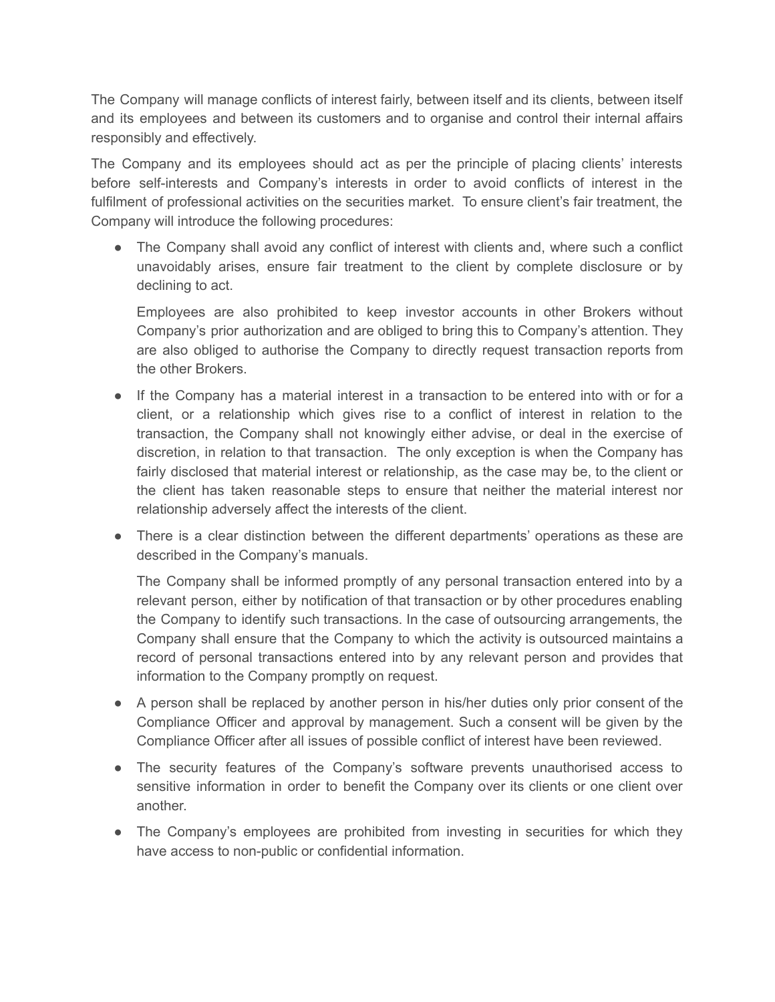The Company will manage conflicts of interest fairly, between itself and its clients, between itself and its employees and between its customers and to organise and control their internal affairs responsibly and effectively.

The Company and its employees should act as per the principle of placing clients' interests before self-interests and Company's interests in order to avoid conflicts of interest in the fulfilment of professional activities on the securities market. To ensure client's fair treatment, the Company will introduce the following procedures:

• The Company shall avoid any conflict of interest with clients and, where such a conflict unavoidably arises, ensure fair treatment to the client by complete disclosure or by declining to act.

Employees are also prohibited to keep investor accounts in other Brokers without Company's prior authorization and are obliged to bring this to Company's attention. They are also obliged to authorise the Company to directly request transaction reports from the other Brokers.

- If the Company has a material interest in a transaction to be entered into with or for a client, or a relationship which gives rise to a conflict of interest in relation to the transaction, the Company shall not knowingly either advise, or deal in the exercise of discretion, in relation to that transaction. The only exception is when the Company has fairly disclosed that material interest or relationship, as the case may be, to the client or the client has taken reasonable steps to ensure that neither the material interest nor relationship adversely affect the interests of the client.
- There is a clear distinction between the different departments' operations as these are described in the Company's manuals.

The Company shall be informed promptly of any personal transaction entered into by a relevant person, either by notification of that transaction or by other procedures enabling the Company to identify such transactions. In the case of outsourcing arrangements, the Company shall ensure that the Company to which the activity is outsourced maintains a record of personal transactions entered into by any relevant person and provides that information to the Company promptly on request.

- A person shall be replaced by another person in his/her duties only prior consent of the Compliance Officer and approval by management. Such a consent will be given by the Compliance Officer after all issues of possible conflict of interest have been reviewed.
- The security features of the Company's software prevents unauthorised access to sensitive information in order to benefit the Company over its clients or one client over another.
- The Company's employees are prohibited from investing in securities for which they have access to non-public or confidential information.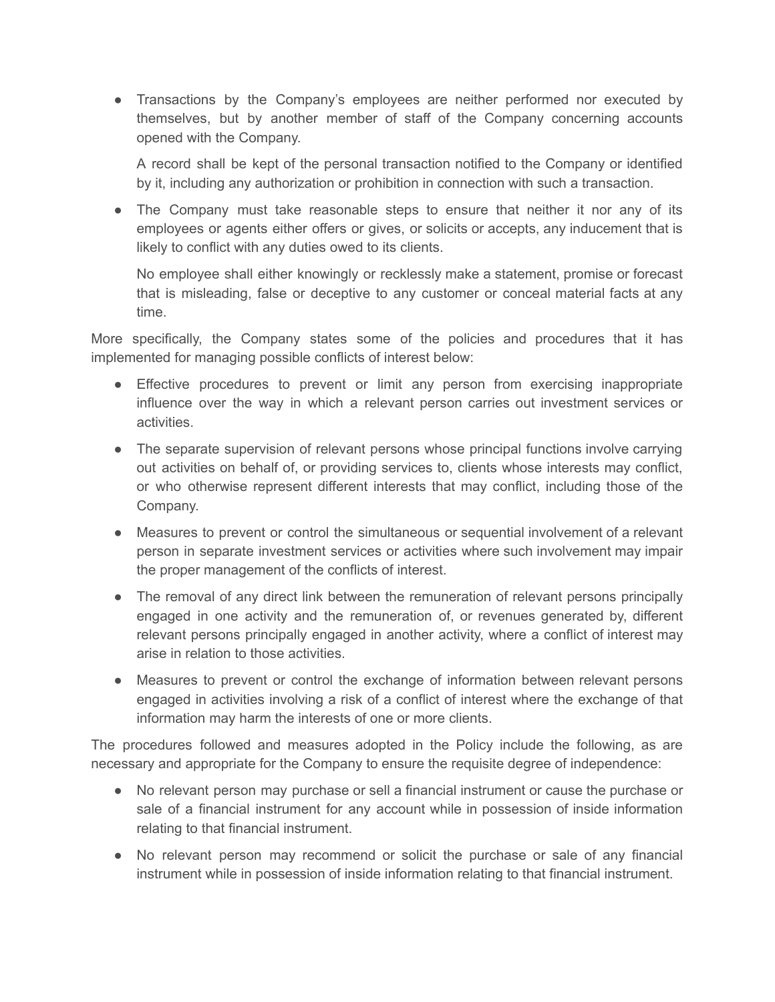● Transactions by the Company's employees are neither performed nor executed by themselves, but by another member of staff of the Company concerning accounts opened with the Company.

A record shall be kept of the personal transaction notified to the Company or identified by it, including any authorization or prohibition in connection with such a transaction.

• The Company must take reasonable steps to ensure that neither it nor any of its employees or agents either offers or gives, or solicits or accepts, any inducement that is likely to conflict with any duties owed to its clients.

No employee shall either knowingly or recklessly make a statement, promise or forecast that is misleading, false or deceptive to any customer or conceal material facts at any time.

More specifically, the Company states some of the policies and procedures that it has implemented for managing possible conflicts of interest below:

- Effective procedures to prevent or limit any person from exercising inappropriate influence over the way in which a relevant person carries out investment services or activities.
- The separate supervision of relevant persons whose principal functions involve carrying out activities on behalf of, or providing services to, clients whose interests may conflict, or who otherwise represent different interests that may conflict, including those of the Company.
- Measures to prevent or control the simultaneous or sequential involvement of a relevant person in separate investment services or activities where such involvement may impair the proper management of the conflicts of interest.
- The removal of any direct link between the remuneration of relevant persons principally engaged in one activity and the remuneration of, or revenues generated by, different relevant persons principally engaged in another activity, where a conflict of interest may arise in relation to those activities.
- Measures to prevent or control the exchange of information between relevant persons engaged in activities involving a risk of a conflict of interest where the exchange of that information may harm the interests of one or more clients.

The procedures followed and measures adopted in the Policy include the following, as are necessary and appropriate for the Company to ensure the requisite degree of independence:

- No relevant person may purchase or sell a financial instrument or cause the purchase or sale of a financial instrument for any account while in possession of inside information relating to that financial instrument.
- No relevant person may recommend or solicit the purchase or sale of any financial instrument while in possession of inside information relating to that financial instrument.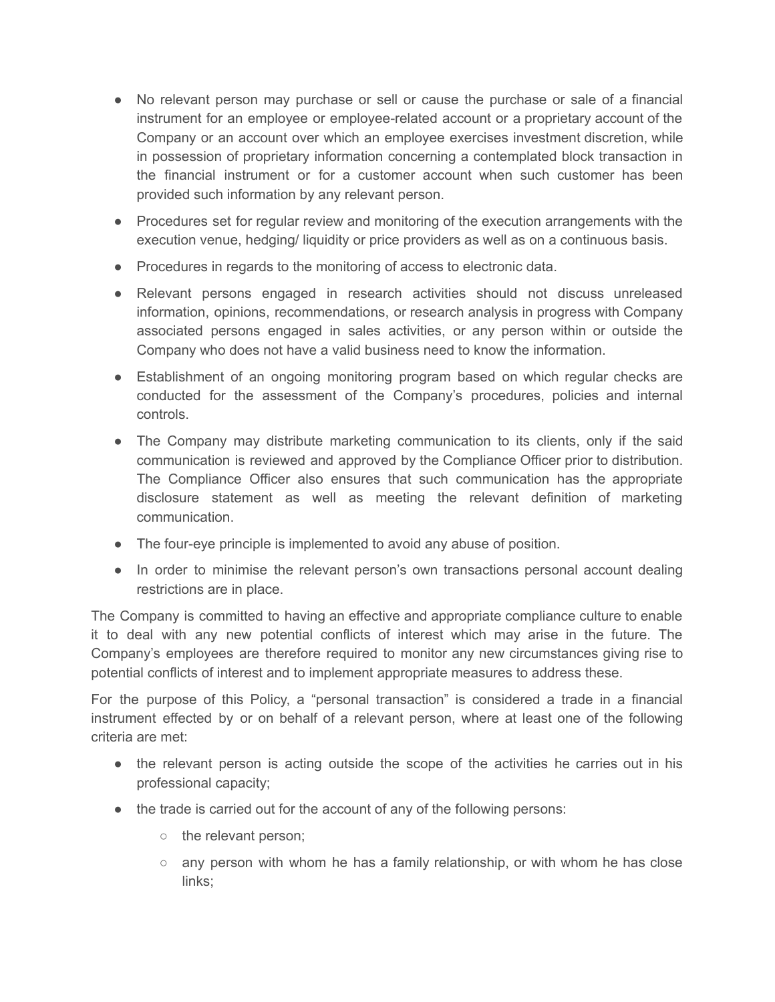- No relevant person may purchase or sell or cause the purchase or sale of a financial instrument for an employee or employee-related account or a proprietary account of the Company or an account over which an employee exercises investment discretion, while in possession of proprietary information concerning a contemplated block transaction in the financial instrument or for a customer account when such customer has been provided such information by any relevant person.
- Procedures set for regular review and monitoring of the execution arrangements with the execution venue, hedging/ liquidity or price providers as well as on a continuous basis.
- Procedures in regards to the monitoring of access to electronic data.
- Relevant persons engaged in research activities should not discuss unreleased information, opinions, recommendations, or research analysis in progress with Company associated persons engaged in sales activities, or any person within or outside the Company who does not have a valid business need to know the information.
- Establishment of an ongoing monitoring program based on which regular checks are conducted for the assessment of the Company's procedures, policies and internal controls.
- The Company may distribute marketing communication to its clients, only if the said communication is reviewed and approved by the Compliance Officer prior to distribution. The Compliance Officer also ensures that such communication has the appropriate disclosure statement as well as meeting the relevant definition of marketing communication.
- The four-eye principle is implemented to avoid any abuse of position.
- In order to minimise the relevant person's own transactions personal account dealing restrictions are in place.

The Company is committed to having an effective and appropriate compliance culture to enable it to deal with any new potential conflicts of interest which may arise in the future. The Company's employees are therefore required to monitor any new circumstances giving rise to potential conflicts of interest and to implement appropriate measures to address these.

For the purpose of this Policy, a "personal transaction" is considered a trade in a financial instrument effected by or on behalf of a relevant person, where at least one of the following criteria are met:

- the relevant person is acting outside the scope of the activities he carries out in his professional capacity;
- the trade is carried out for the account of any of the following persons:
	- the relevant person;
	- any person with whom he has a family relationship, or with whom he has close links;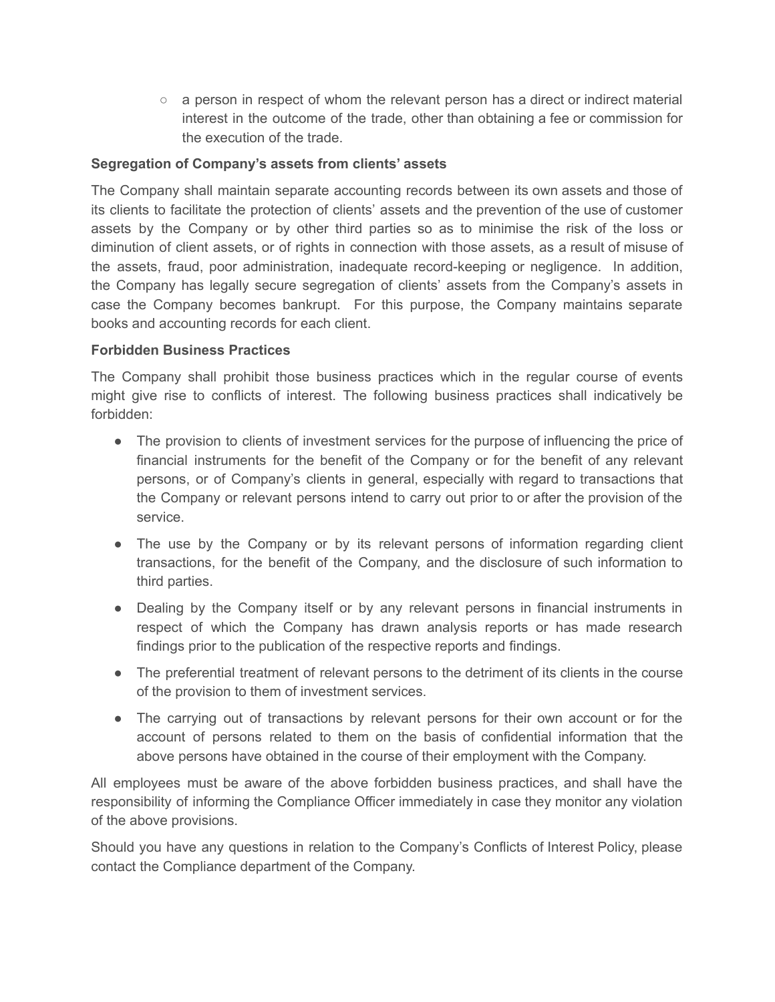$\circ$  a person in respect of whom the relevant person has a direct or indirect material interest in the outcome of the trade, other than obtaining a fee or commission for the execution of the trade.

# **Segregation of Company's assets from clients' assets**

The Company shall maintain separate accounting records between its own assets and those of its clients to facilitate the protection of clients' assets and the prevention of the use of customer assets by the Company or by other third parties so as to minimise the risk of the loss or diminution of client assets, or of rights in connection with those assets, as a result of misuse of the assets, fraud, poor administration, inadequate record-keeping or negligence. In addition, the Company has legally secure segregation of clients' assets from the Company's assets in case the Company becomes bankrupt. For this purpose, the Company maintains separate books and accounting records for each client.

## **Forbidden Business Practices**

The Company shall prohibit those business practices which in the regular course of events might give rise to conflicts of interest. The following business practices shall indicatively be forbidden:

- The provision to clients of investment services for the purpose of influencing the price of financial instruments for the benefit of the Company or for the benefit of any relevant persons, or of Company's clients in general, especially with regard to transactions that the Company or relevant persons intend to carry out prior to or after the provision of the service.
- The use by the Company or by its relevant persons of information regarding client transactions, for the benefit of the Company, and the disclosure of such information to third parties.
- Dealing by the Company itself or by any relevant persons in financial instruments in respect of which the Company has drawn analysis reports or has made research findings prior to the publication of the respective reports and findings.
- The preferential treatment of relevant persons to the detriment of its clients in the course of the provision to them of investment services.
- The carrying out of transactions by relevant persons for their own account or for the account of persons related to them on the basis of confidential information that the above persons have obtained in the course of their employment with the Company.

All employees must be aware of the above forbidden business practices, and shall have the responsibility of informing the Compliance Officer immediately in case they monitor any violation of the above provisions.

Should you have any questions in relation to the Company's Conflicts of Interest Policy, please contact the Compliance department of the Company.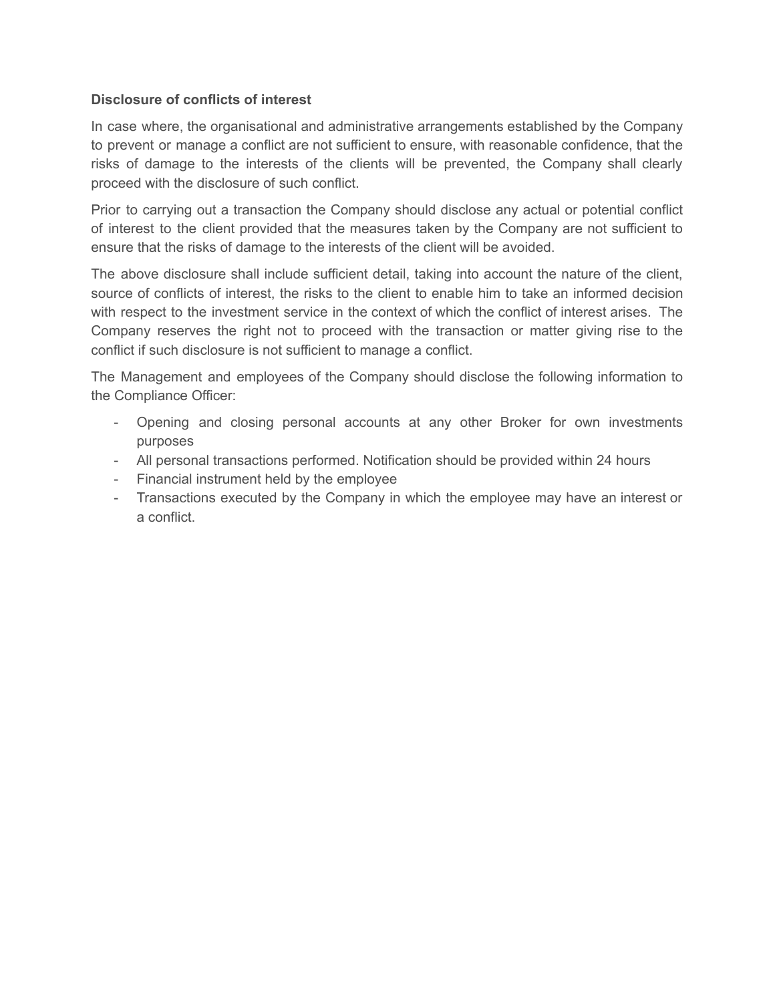# **Disclosure of conflicts of interest**

In case where, the organisational and administrative arrangements established by the Company to prevent or manage a conflict are not sufficient to ensure, with reasonable confidence, that the risks of damage to the interests of the clients will be prevented, the Company shall clearly proceed with the disclosure of such conflict.

Prior to carrying out a transaction the Company should disclose any actual or potential conflict of interest to the client provided that the measures taken by the Company are not sufficient to ensure that the risks of damage to the interests of the client will be avoided.

The above disclosure shall include sufficient detail, taking into account the nature of the client, source of conflicts of interest, the risks to the client to enable him to take an informed decision with respect to the investment service in the context of which the conflict of interest arises. The Company reserves the right not to proceed with the transaction or matter giving rise to the conflict if such disclosure is not sufficient to manage a conflict.

The Management and employees of the Company should disclose the following information to the Compliance Officer:

- Opening and closing personal accounts at any other Broker for own investments purposes
- All personal transactions performed. Notification should be provided within 24 hours
- Financial instrument held by the employee
- Transactions executed by the Company in which the employee may have an interest or a conflict.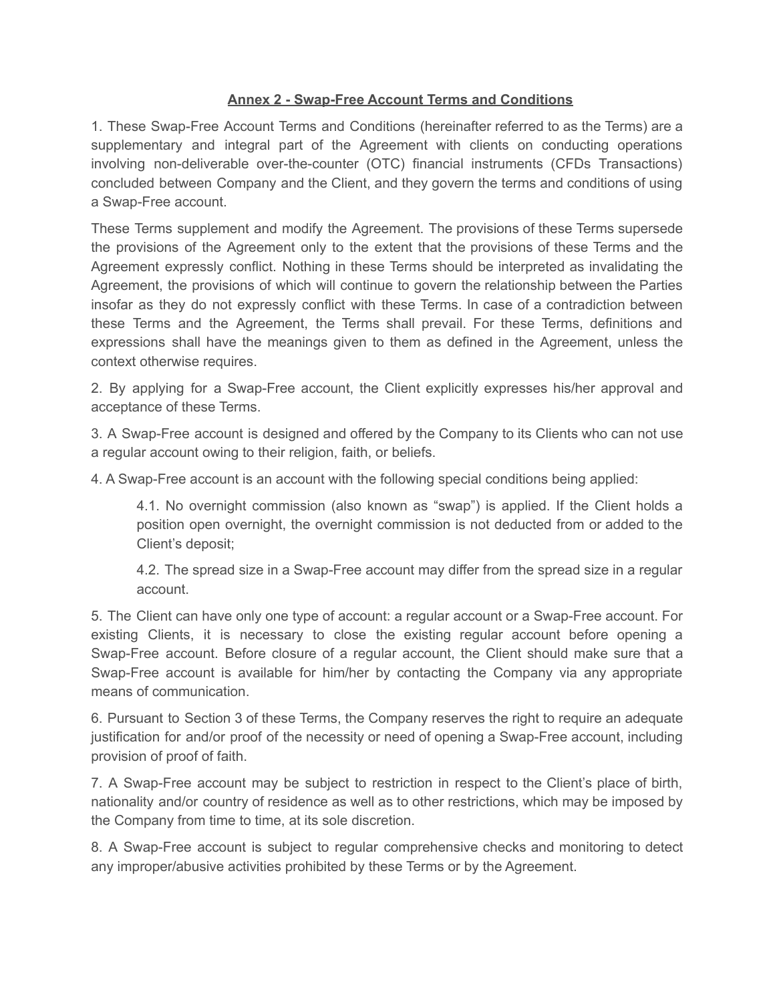# **Annex 2 - Swap-Free Account Terms and Conditions**

1. These Swap-Free Account Terms and Conditions (hereinafter referred to as the Terms) are a supplementary and integral part of the Agreement with clients on conducting operations involving non-deliverable over-the-counter (OTC) financial instruments (CFDs Transactions) concluded between Company and the Client, and they govern the terms and conditions of using a Swap-Free account.

These Terms supplement and modify the Agreement. The provisions of these Terms supersede the provisions of the Agreement only to the extent that the provisions of these Terms and the Agreement expressly conflict. Nothing in these Terms should be interpreted as invalidating the Agreement, the provisions of which will continue to govern the relationship between the Parties insofar as they do not expressly conflict with these Terms. In case of a contradiction between these Terms and the Agreement, the Terms shall prevail. For these Terms, definitions and expressions shall have the meanings given to them as defined in the Agreement, unless the context otherwise requires.

2. By applying for a Swap-Free account, the Client explicitly expresses his/her approval and acceptance of these Terms.

3. A Swap-Free account is designed and offered by the Company to its Clients who can not use a regular account owing to their religion, faith, or beliefs.

4. A Swap-Free account is an account with the following special conditions being applied:

4.1. No overnight commission (also known as "swap") is applied. If the Client holds a position open overnight, the overnight commission is not deducted from or added to the Client's deposit;

4.2. The spread size in a Swap-Free account may differ from the spread size in a regular account.

5. The Client can have only one type of account: a regular account or a Swap-Free account. For existing Clients, it is necessary to close the existing regular account before opening a Swap-Free account. Before closure of a regular account, the Client should make sure that a Swap-Free account is available for him/her by contacting the Company via any appropriate means of communication.

6. Pursuant to Section 3 of these Terms, the Company reserves the right to require an adequate justification for and/or proof of the necessity or need of opening a Swap-Free account, including provision of proof of faith.

7. A Swap-Free account may be subject to restriction in respect to the Client's place of birth, nationality and/or country of residence as well as to other restrictions, which may be imposed by the Company from time to time, at its sole discretion.

8. A Swap-Free account is subject to regular comprehensive checks and monitoring to detect any improper/abusive activities prohibited by these Terms or by the Agreement.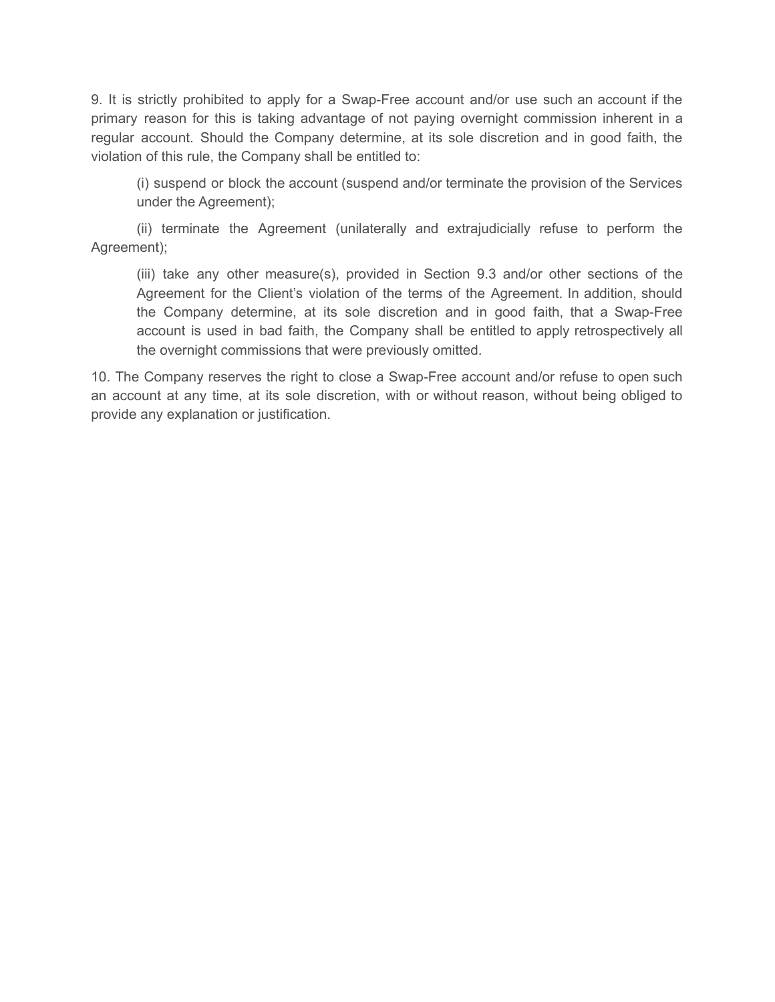9. It is strictly prohibited to apply for a Swap-Free account and/or use such an account if the primary reason for this is taking advantage of not paying overnight commission inherent in a regular account. Should the Company determine, at its sole discretion and in good faith, the violation of this rule, the Company shall be entitled to:

(i) suspend or block the account (suspend and/or terminate the provision of the Services under the Agreement);

(ii) terminate the Agreement (unilaterally and extrajudicially refuse to perform the Agreement);

(iii) take any other measure(s), provided in Section 9.3 and/or other sections of the Agreement for the Client's violation of the terms of the Agreement. In addition, should the Company determine, at its sole discretion and in good faith, that a Swap-Free account is used in bad faith, the Company shall be entitled to apply retrospectively all the overnight commissions that were previously omitted.

10. The Company reserves the right to close a Swap-Free account and/or refuse to open such an account at any time, at its sole discretion, with or without reason, without being obliged to provide any explanation or justification.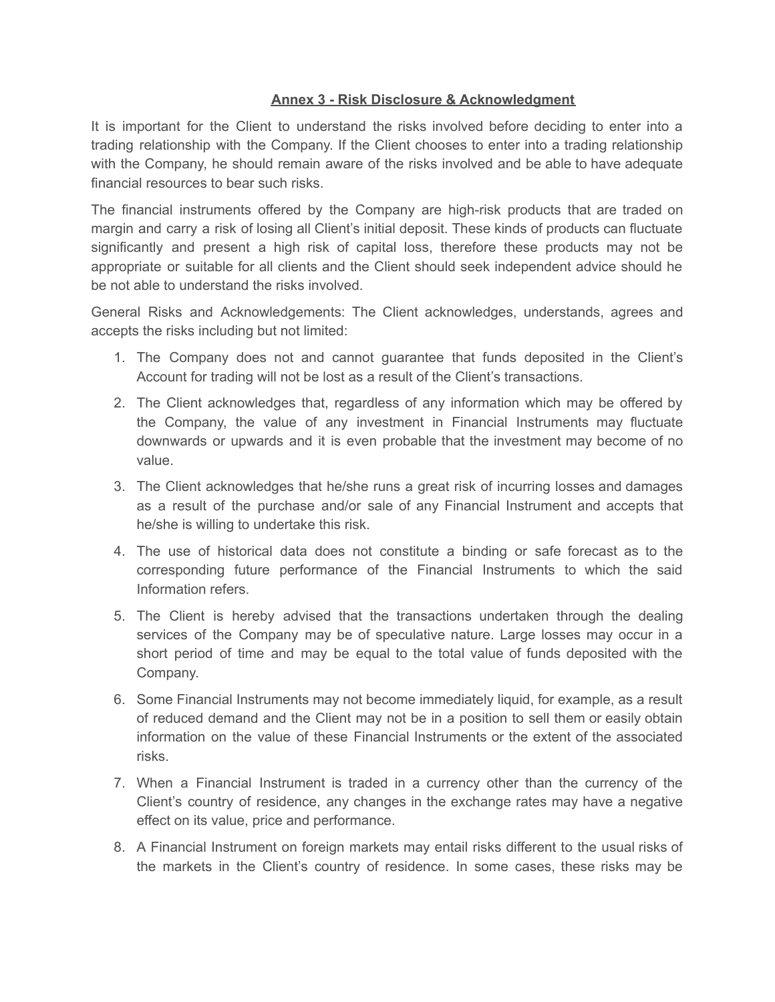# **Annex 3 - Risk Disclosure & Acknowledgment**

It is important for the Client to understand the risks involved before deciding to enter into a trading relationship with the Company. If the Client chooses to enter into a trading relationship with the Company, he should remain aware of the risks involved and be able to have adequate financial resources to bear such risks.

The financial instruments offered by the Company are high-risk products that are traded on margin and carry a risk of losing all Client's initial deposit. These kinds of products can fluctuate significantly and present a high risk of capital loss, therefore these products may not be appropriate or suitable for all clients and the Client should seek independent advice should he be not able to understand the risks involved.

General Risks and Acknowledgements: The Client acknowledges, understands, agrees and accepts the risks including but not limited:

- 1. The Company does not and cannot guarantee that funds deposited in the Client's Account for trading will not be lost as a result of the Client's transactions.
- 2. The Client acknowledges that, regardless of any information which may be offered by the Company, the value of any investment in Financial Instruments may fluctuate downwards or upwards and it is even probable that the investment may become of no value.
- 3. The Client acknowledges that he/she runs a great risk of incurring losses and damages as a result of the purchase and/or sale of any Financial Instrument and accepts that he/she is willing to undertake this risk.
- 4. The use of historical data does not constitute a binding or safe forecast as to the corresponding future performance of the Financial Instruments to which the said Information refers.
- 5. The Client is hereby advised that the transactions undertaken through the dealing services of the Company may be of speculative nature. Large losses may occur in a short period of time and may be equal to the total value of funds deposited with the Company.
- 6. Some Financial Instruments may not become immediately liquid, for example, as a result of reduced demand and the Client may not be in a position to sell them or easily obtain information on the value of these Financial Instruments or the extent of the associated risks.
- 7. When a Financial Instrument is traded in a currency other than the currency of the Client's country of residence, any changes in the exchange rates may have a negative effect on its value, price and performance.
- 8. A Financial Instrument on foreign markets may entail risks different to the usual risks of the markets in the Client's country of residence. In some cases, these risks may be